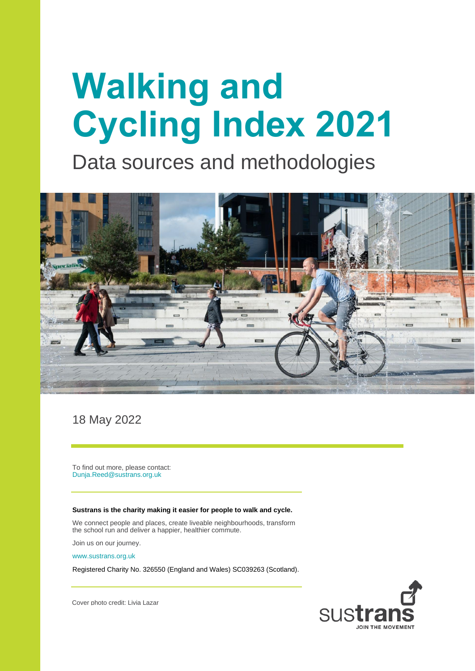# **Walking and Cycling Index 2021**

Data sources and methodologies



18 May 2022

To find out more, please contact: [Dunja.Reed@sustrans.org.uk](mailto:Dunja.Reed@sustrans.org.uk)

#### **Sustrans is the charity making it easier for people to walk and cycle.**

We connect people and places, create liveable neighbourhoods, transform the school run and deliver a happier, healthier commute.

Join us on our journey.

[www.sustrans.org.uk](file://///susad/share/RMU/Project%20Delivery/05%20Active%20Projects/Ce_Bike%20Life%202018-2022/2018-2020/08%20Reports/03%20Methodology%20report/www.sustrans.org.uk)

Registered Charity No. 326550 (England and Wales) SC039263 (Scotland).



Cover photo credit: Livia Lazar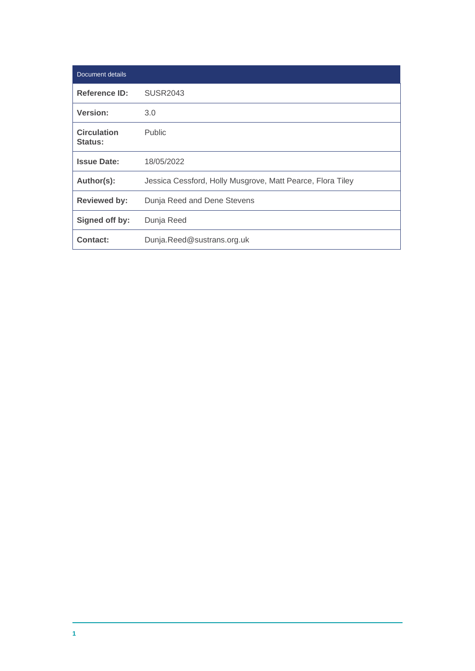| Document details                     |                                                            |
|--------------------------------------|------------------------------------------------------------|
| <b>Reference ID:</b>                 | SUSR2043                                                   |
| Version:                             | 3.0                                                        |
| <b>Circulation</b><br><b>Status:</b> | <b>Public</b>                                              |
| <b>Issue Date:</b>                   | 18/05/2022                                                 |
| Author(s):                           | Jessica Cessford, Holly Musgrove, Matt Pearce, Flora Tiley |
| <b>Reviewed by:</b>                  | Dunja Reed and Dene Stevens                                |
| Signed off by:                       | Dunja Reed                                                 |
| Contact:                             | Dunja.Reed@sustrans.org.uk                                 |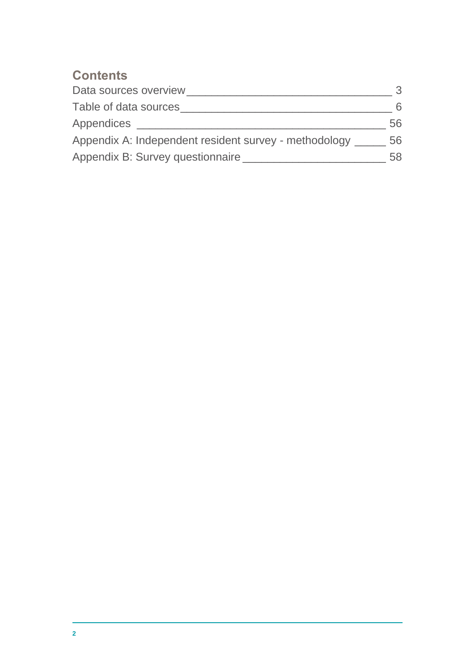#### **Contents**

| Data sources overview                                 | 3  |
|-------------------------------------------------------|----|
| Table of data sources                                 | 6  |
| Appendices                                            | 56 |
| Appendix A: Independent resident survey - methodology | 56 |
| Appendix B: Survey questionnaire                      | 58 |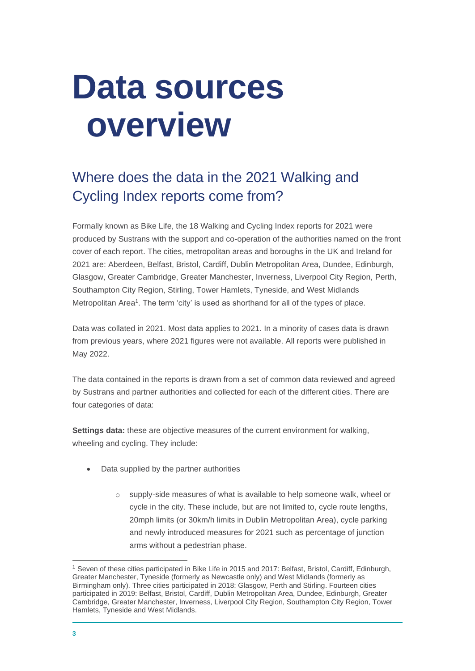### <span id="page-3-0"></span>**Data sources overview**

### Where does the data in the 2021 Walking and Cycling Index reports come from?

Formally known as Bike Life, the 18 Walking and Cycling Index reports for 2021 were produced by Sustrans with the support and co-operation of the authorities named on the front cover of each report. The cities, metropolitan areas and boroughs in the UK and Ireland for 2021 are: Aberdeen, Belfast, Bristol, Cardiff, Dublin Metropolitan Area, Dundee, Edinburgh, Glasgow, Greater Cambridge, Greater Manchester, Inverness, Liverpool City Region, Perth, Southampton City Region, Stirling, Tower Hamlets, Tyneside, and West Midlands Metropolitan Area<sup>1</sup>. The term 'city' is used as shorthand for all of the types of place.

Data was collated in 2021. Most data applies to 2021. In a minority of cases data is drawn from previous years, where 2021 figures were not available. All reports were published in May 2022.

The data contained in the reports is drawn from a set of common data reviewed and agreed by Sustrans and partner authorities and collected for each of the different cities. There are four categories of data:

**Settings data:** these are objective measures of the current environment for walking, wheeling and cycling. They include:

- Data supplied by the partner authorities
	- o supply-side measures of what is available to help someone walk, wheel or cycle in the city. These include, but are not limited to, cycle route lengths, 20mph limits (or 30km/h limits in Dublin Metropolitan Area), cycle parking and newly introduced measures for 2021 such as percentage of junction arms without a pedestrian phase.

<sup>&</sup>lt;sup>1</sup> Seven of these cities participated in Bike Life in 2015 and 2017: Belfast, Bristol, Cardiff, Edinburgh, Greater Manchester, Tyneside (formerly as Newcastle only) and West Midlands (formerly as Birmingham only). Three cities participated in 2018: Glasgow, Perth and Stirling. Fourteen cities participated in 2019: Belfast, Bristol, Cardiff, Dublin Metropolitan Area, Dundee, Edinburgh, Greater Cambridge, Greater Manchester, Inverness, Liverpool City Region, Southampton City Region, Tower Hamlets, Tyneside and West Midlands.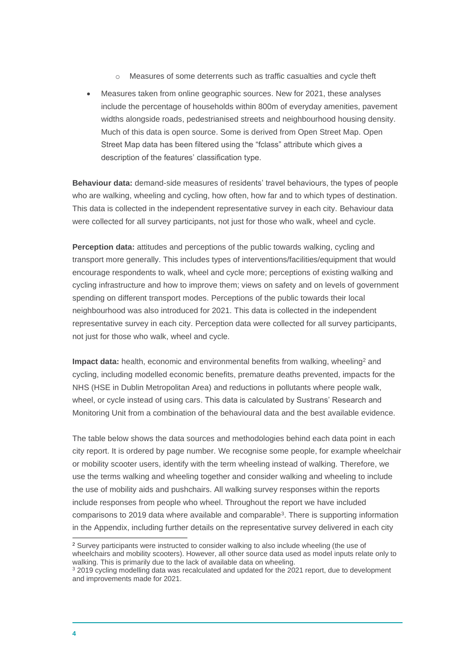- o Measures of some deterrents such as traffic casualties and cycle theft
- Measures taken from online geographic sources. New for 2021, these analyses include the percentage of households within 800m of everyday amenities, pavement widths alongside roads, pedestrianised streets and neighbourhood housing density. Much of this data is open source. Some is derived from Open Street Map. Open Street Map data has been filtered using the "fclass" attribute which gives a description of the features' classification type.

**Behaviour data:** demand-side measures of residents' travel behaviours, the types of people who are walking, wheeling and cycling, how often, how far and to which types of destination. This data is collected in the independent representative survey in each city. Behaviour data were collected for all survey participants, not just for those who walk, wheel and cycle.

**Perception data:** attitudes and perceptions of the public towards walking, cycling and transport more generally. This includes types of interventions/facilities/equipment that would encourage respondents to walk, wheel and cycle more; perceptions of existing walking and cycling infrastructure and how to improve them; views on safety and on levels of government spending on different transport modes. Perceptions of the public towards their local neighbourhood was also introduced for 2021. This data is collected in the independent representative survey in each city. Perception data were collected for all survey participants, not just for those who walk, wheel and cycle.

**Impact data:** health, economic and environmental benefits from walking, wheeling<sup>2</sup> and cycling, including modelled economic benefits, premature deaths prevented, impacts for the NHS (HSE in Dublin Metropolitan Area) and reductions in pollutants where people walk, wheel, or cycle instead of using cars. This data is calculated by Sustrans' Research and Monitoring Unit from a combination of the behavioural data and the best available evidence.

The table below shows the data sources and methodologies behind each data point in each city report. It is ordered by page number. We recognise some people, for example wheelchair or mobility scooter users, identify with the term wheeling instead of walking. Therefore, we use the terms walking and wheeling together and consider walking and wheeling to include the use of mobility aids and pushchairs. All walking survey responses within the reports include responses from people who wheel. Throughout the report we have included comparisons to 2019 data where available and comparable<sup>3</sup>. There is supporting information in the Appendix, including further details on the representative survey delivered in each city

<sup>2</sup> Survey participants were instructed to consider walking to also include wheeling (the use of wheelchairs and mobility scooters). However, all other source data used as model inputs relate only to walking. This is primarily due to the lack of available data on wheeling.

<sup>&</sup>lt;sup>3</sup> 2019 cycling modelling data was recalculated and updated for the 2021 report, due to development and improvements made for 2021.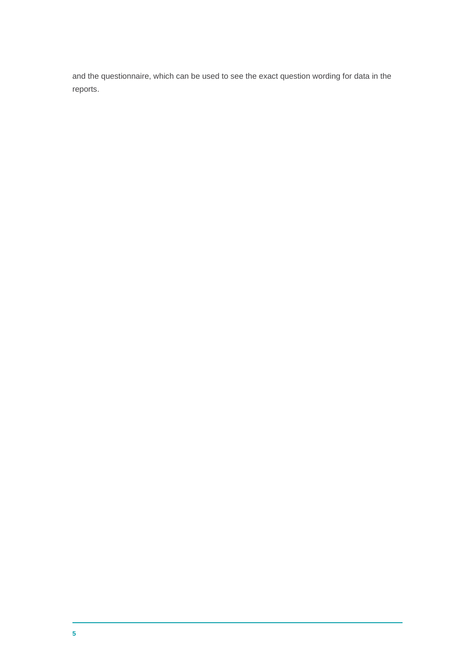and the questionnaire, which can be used to see the exact question wording for data in the reports.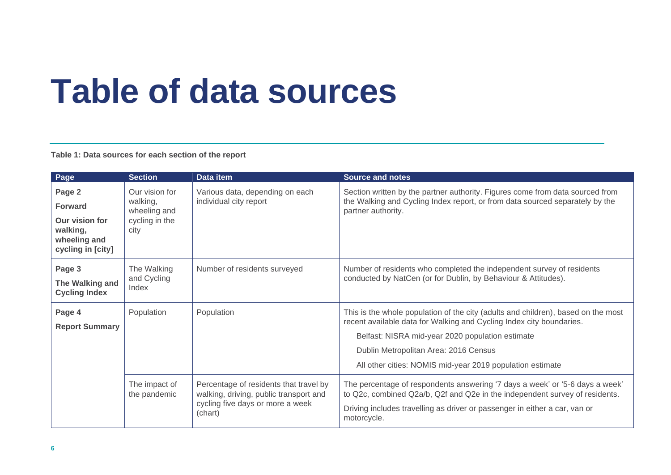## **Table of data sources**

**Table 1: Data sources for each section of the report**

<span id="page-6-0"></span>

| Page                                                                                        | <b>Section</b>                                                       | Data item                                                                                                                       | <b>Source and notes</b>                                                                                                                                                                                                                                                                                             |
|---------------------------------------------------------------------------------------------|----------------------------------------------------------------------|---------------------------------------------------------------------------------------------------------------------------------|---------------------------------------------------------------------------------------------------------------------------------------------------------------------------------------------------------------------------------------------------------------------------------------------------------------------|
| Page 2<br><b>Forward</b><br>Our vision for<br>walking,<br>wheeling and<br>cycling in [city] | Our vision for<br>walking,<br>wheeling and<br>cycling in the<br>city | Various data, depending on each<br>individual city report                                                                       | Section written by the partner authority. Figures come from data sourced from<br>the Walking and Cycling Index report, or from data sourced separately by the<br>partner authority.                                                                                                                                 |
| Page 3<br>The Walking and<br><b>Cycling Index</b>                                           | The Walking<br>and Cycling<br>Index                                  | Number of residents surveyed                                                                                                    | Number of residents who completed the independent survey of residents<br>conducted by NatCen (or for Dublin, by Behaviour & Attitudes).                                                                                                                                                                             |
| Page 4<br><b>Report Summary</b>                                                             | Population                                                           | Population                                                                                                                      | This is the whole population of the city (adults and children), based on the most<br>recent available data for Walking and Cycling Index city boundaries.<br>Belfast: NISRA mid-year 2020 population estimate<br>Dublin Metropolitan Area: 2016 Census<br>All other cities: NOMIS mid-year 2019 population estimate |
|                                                                                             | The impact of<br>the pandemic                                        | Percentage of residents that travel by<br>walking, driving, public transport and<br>cycling five days or more a week<br>(chart) | The percentage of respondents answering '7 days a week' or '5-6 days a week'<br>to Q2c, combined Q2a/b, Q2f and Q2e in the independent survey of residents.<br>Driving includes travelling as driver or passenger in either a car, van or<br>motorcycle.                                                            |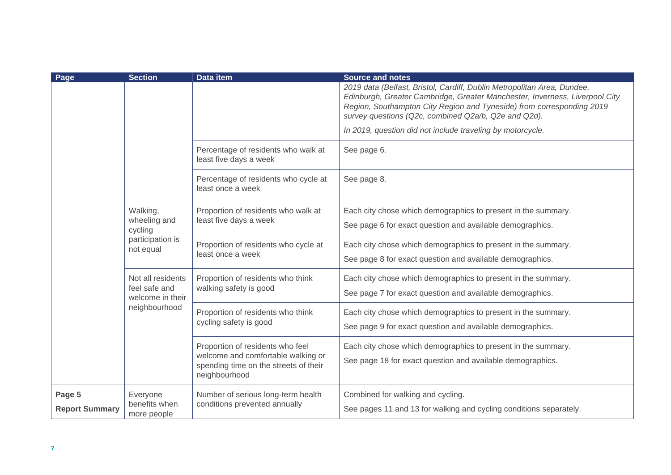| Page                  | <b>Section</b>                                         | Data item                                                                                                                        | <b>Source and notes</b>                                                                                                                                                                                                                                                                 |
|-----------------------|--------------------------------------------------------|----------------------------------------------------------------------------------------------------------------------------------|-----------------------------------------------------------------------------------------------------------------------------------------------------------------------------------------------------------------------------------------------------------------------------------------|
|                       |                                                        |                                                                                                                                  | 2019 data (Belfast, Bristol, Cardiff, Dublin Metropolitan Area, Dundee,<br>Edinburgh, Greater Cambridge, Greater Manchester, Inverness, Liverpool City<br>Region, Southampton City Region and Tyneside) from corresponding 2019<br>survey questions (Q2c, combined Q2a/b, Q2e and Q2d). |
|                       |                                                        |                                                                                                                                  | In 2019, question did not include traveling by motorcycle.                                                                                                                                                                                                                              |
|                       |                                                        | Percentage of residents who walk at<br>least five days a week                                                                    | See page 6.                                                                                                                                                                                                                                                                             |
|                       |                                                        | Percentage of residents who cycle at<br>least once a week                                                                        | See page 8.                                                                                                                                                                                                                                                                             |
|                       | Walking,<br>wheeling and<br>cycling                    | Proportion of residents who walk at<br>least five days a week                                                                    | Each city chose which demographics to present in the summary.<br>See page 6 for exact question and available demographics.                                                                                                                                                              |
|                       | participation is<br>not equal                          | Proportion of residents who cycle at<br>least once a week                                                                        | Each city chose which demographics to present in the summary.<br>See page 8 for exact question and available demographics.                                                                                                                                                              |
|                       | Not all residents<br>feel safe and<br>welcome in their | Proportion of residents who think<br>walking safety is good                                                                      | Each city chose which demographics to present in the summary.<br>See page 7 for exact question and available demographics.                                                                                                                                                              |
|                       | neighbourhood                                          | Proportion of residents who think<br>cycling safety is good                                                                      | Each city chose which demographics to present in the summary.<br>See page 9 for exact question and available demographics.                                                                                                                                                              |
|                       |                                                        | Proportion of residents who feel<br>welcome and comfortable walking or<br>spending time on the streets of their<br>neighbourhood | Each city chose which demographics to present in the summary.<br>See page 18 for exact question and available demographics.                                                                                                                                                             |
| Page 5                | Everyone                                               | Number of serious long-term health                                                                                               | Combined for walking and cycling.                                                                                                                                                                                                                                                       |
| <b>Report Summary</b> | benefits when<br>more people                           | conditions prevented annually                                                                                                    | See pages 11 and 13 for walking and cycling conditions separately.                                                                                                                                                                                                                      |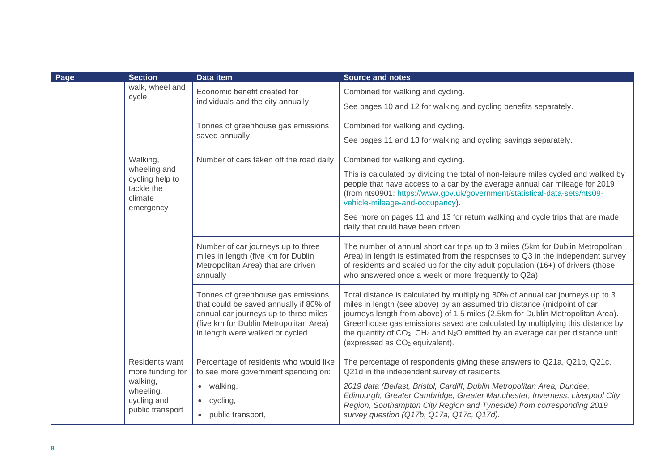| Page | <b>Section</b>                                                                                 | Data item                                                                                                                                                                                          | <b>Source and notes</b>                                                                                                                                                                                                                                                                                                                                                                                                                                                                           |
|------|------------------------------------------------------------------------------------------------|----------------------------------------------------------------------------------------------------------------------------------------------------------------------------------------------------|---------------------------------------------------------------------------------------------------------------------------------------------------------------------------------------------------------------------------------------------------------------------------------------------------------------------------------------------------------------------------------------------------------------------------------------------------------------------------------------------------|
|      | walk, wheel and<br>cycle                                                                       | Economic benefit created for<br>individuals and the city annually                                                                                                                                  | Combined for walking and cycling.<br>See pages 10 and 12 for walking and cycling benefits separately.                                                                                                                                                                                                                                                                                                                                                                                             |
|      |                                                                                                | Tonnes of greenhouse gas emissions<br>saved annually                                                                                                                                               | Combined for walking and cycling.<br>See pages 11 and 13 for walking and cycling savings separately.                                                                                                                                                                                                                                                                                                                                                                                              |
|      | Walking,<br>wheeling and<br>cycling help to<br>tackle the<br>climate<br>emergency              | Number of cars taken off the road daily                                                                                                                                                            | Combined for walking and cycling.<br>This is calculated by dividing the total of non-leisure miles cycled and walked by<br>people that have access to a car by the average annual car mileage for 2019<br>(from nts0901: https://www.gov.uk/government/statistical-data-sets/nts09-<br>vehicle-mileage-and-occupancy).<br>See more on pages 11 and 13 for return walking and cycle trips that are made<br>daily that could have been driven.                                                      |
|      |                                                                                                | Number of car journeys up to three<br>miles in length (five km for Dublin<br>Metropolitan Area) that are driven<br>annually                                                                        | The number of annual short car trips up to 3 miles (5km for Dublin Metropolitan<br>Area) in length is estimated from the responses to Q3 in the independent survey<br>of residents and scaled up for the city adult population (16+) of drivers (those<br>who answered once a week or more frequently to Q2a).                                                                                                                                                                                    |
|      |                                                                                                | Tonnes of greenhouse gas emissions<br>that could be saved annually if 80% of<br>annual car journeys up to three miles<br>(five km for Dublin Metropolitan Area)<br>in length were walked or cycled | Total distance is calculated by multiplying 80% of annual car journeys up to 3<br>miles in length (see above) by an assumed trip distance (midpoint of car<br>journeys length from above) of 1.5 miles (2.5km for Dublin Metropolitan Area).<br>Greenhouse gas emissions saved are calculated by multiplying this distance by<br>the quantity of CO <sub>2</sub> , CH <sub>4</sub> and N <sub>2</sub> O emitted by an average car per distance unit<br>(expressed as CO <sub>2</sub> equivalent). |
|      | Residents want<br>more funding for<br>walking,<br>wheeling,<br>cycling and<br>public transport | Percentage of residents who would like<br>to see more government spending on:<br>$\bullet$ walking,<br>$\bullet$ cycling,<br>• public transport,                                                   | The percentage of respondents giving these answers to Q21a, Q21b, Q21c,<br>Q21d in the independent survey of residents.<br>2019 data (Belfast, Bristol, Cardiff, Dublin Metropolitan Area, Dundee,<br>Edinburgh, Greater Cambridge, Greater Manchester, Inverness, Liverpool City<br>Region, Southampton City Region and Tyneside) from corresponding 2019<br>survey question (Q17b, Q17a, Q17c, Q17d).                                                                                           |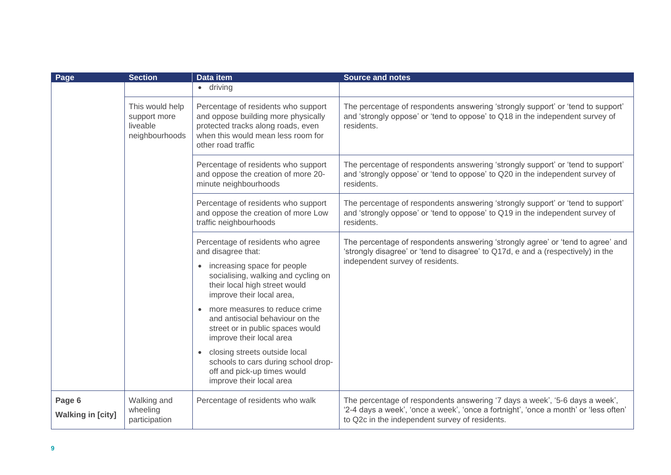| Page                               | <b>Section</b>                                                | <b>Data item</b>                                                                                                                                                                                                                                                                                                                                                                                                                                                                  | <b>Source and notes</b>                                                                                                                                                                                               |
|------------------------------------|---------------------------------------------------------------|-----------------------------------------------------------------------------------------------------------------------------------------------------------------------------------------------------------------------------------------------------------------------------------------------------------------------------------------------------------------------------------------------------------------------------------------------------------------------------------|-----------------------------------------------------------------------------------------------------------------------------------------------------------------------------------------------------------------------|
|                                    |                                                               | $\bullet$ driving                                                                                                                                                                                                                                                                                                                                                                                                                                                                 |                                                                                                                                                                                                                       |
|                                    | This would help<br>support more<br>liveable<br>neighbourhoods | Percentage of residents who support<br>and oppose building more physically<br>protected tracks along roads, even<br>when this would mean less room for<br>other road traffic                                                                                                                                                                                                                                                                                                      | The percentage of respondents answering 'strongly support' or 'tend to support'<br>and 'strongly oppose' or 'tend to oppose' to Q18 in the independent survey of<br>residents.                                        |
|                                    |                                                               | Percentage of residents who support<br>and oppose the creation of more 20-<br>minute neighbourhoods                                                                                                                                                                                                                                                                                                                                                                               | The percentage of respondents answering 'strongly support' or 'tend to support'<br>and 'strongly oppose' or 'tend to oppose' to Q20 in the independent survey of<br>residents.                                        |
|                                    |                                                               | Percentage of residents who support<br>and oppose the creation of more Low<br>traffic neighbourhoods                                                                                                                                                                                                                                                                                                                                                                              | The percentage of respondents answering 'strongly support' or 'tend to support'<br>and 'strongly oppose' or 'tend to oppose' to Q19 in the independent survey of<br>residents.                                        |
|                                    |                                                               | Percentage of residents who agree<br>and disagree that:<br>• increasing space for people<br>socialising, walking and cycling on<br>their local high street would<br>improve their local area,<br>more measures to reduce crime<br>and antisocial behaviour on the<br>street or in public spaces would<br>improve their local area<br>closing streets outside local<br>$\bullet$<br>schools to cars during school drop-<br>off and pick-up times would<br>improve their local area | The percentage of respondents answering 'strongly agree' or 'tend to agree' and<br>'strongly disagree' or 'tend to disagree' to Q17d, e and a (respectively) in the<br>independent survey of residents.               |
| Page 6<br><b>Walking in [city]</b> | Walking and<br>wheeling<br>participation                      | Percentage of residents who walk                                                                                                                                                                                                                                                                                                                                                                                                                                                  | The percentage of respondents answering '7 days a week', '5-6 days a week',<br>'2-4 days a week', 'once a week', 'once a fortnight', 'once a month' or 'less often'<br>to Q2c in the independent survey of residents. |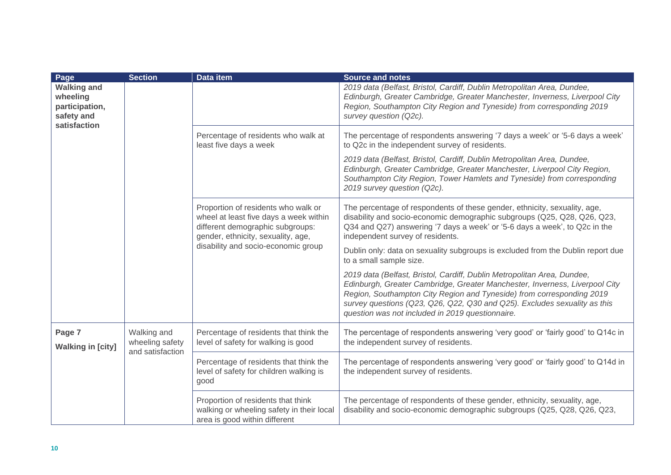| Page                                                           | <b>Section</b>                                     | Data item                                                                                                                                                                                      | <b>Source and notes</b>                                                                                                                                                                                                                                                                                                                                          |
|----------------------------------------------------------------|----------------------------------------------------|------------------------------------------------------------------------------------------------------------------------------------------------------------------------------------------------|------------------------------------------------------------------------------------------------------------------------------------------------------------------------------------------------------------------------------------------------------------------------------------------------------------------------------------------------------------------|
| <b>Walking and</b><br>wheeling<br>participation,<br>safety and |                                                    |                                                                                                                                                                                                | 2019 data (Belfast, Bristol, Cardiff, Dublin Metropolitan Area, Dundee,<br>Edinburgh, Greater Cambridge, Greater Manchester, Inverness, Liverpool City<br>Region, Southampton City Region and Tyneside) from corresponding 2019<br>survey question (Q2c).                                                                                                        |
| satisfaction                                                   |                                                    | Percentage of residents who walk at<br>least five days a week                                                                                                                                  | The percentage of respondents answering '7 days a week' or '5-6 days a week'<br>to Q2c in the independent survey of residents.                                                                                                                                                                                                                                   |
|                                                                |                                                    |                                                                                                                                                                                                | 2019 data (Belfast, Bristol, Cardiff, Dublin Metropolitan Area, Dundee,<br>Edinburgh, Greater Cambridge, Greater Manchester, Liverpool City Region,<br>Southampton City Region, Tower Hamlets and Tyneside) from corresponding<br>2019 survey question (Q2c).                                                                                                    |
|                                                                |                                                    | Proportion of residents who walk or<br>wheel at least five days a week within<br>different demographic subgroups:<br>gender, ethnicity, sexuality, age,<br>disability and socio-economic group | The percentage of respondents of these gender, ethnicity, sexuality, age,<br>disability and socio-economic demographic subgroups (Q25, Q28, Q26, Q23,<br>Q34 and Q27) answering '7 days a week' or '5-6 days a week', to Q2c in the<br>independent survey of residents.                                                                                          |
|                                                                |                                                    |                                                                                                                                                                                                | Dublin only: data on sexuality subgroups is excluded from the Dublin report due<br>to a small sample size.                                                                                                                                                                                                                                                       |
|                                                                |                                                    |                                                                                                                                                                                                | 2019 data (Belfast, Bristol, Cardiff, Dublin Metropolitan Area, Dundee,<br>Edinburgh, Greater Cambridge, Greater Manchester, Inverness, Liverpool City<br>Region, Southampton City Region and Tyneside) from corresponding 2019<br>survey questions (Q23, Q26, Q22, Q30 and Q25). Excludes sexuality as this<br>question was not included in 2019 questionnaire. |
| Page 7<br><b>Walking in [city]</b>                             | Walking and<br>wheeling safety<br>and satisfaction | Percentage of residents that think the<br>level of safety for walking is good                                                                                                                  | The percentage of respondents answering 'very good' or 'fairly good' to Q14c in<br>the independent survey of residents.                                                                                                                                                                                                                                          |
|                                                                |                                                    | Percentage of residents that think the<br>level of safety for children walking is<br>good                                                                                                      | The percentage of respondents answering 'very good' or 'fairly good' to Q14d in<br>the independent survey of residents.                                                                                                                                                                                                                                          |
|                                                                |                                                    | Proportion of residents that think<br>walking or wheeling safety in their local<br>area is good within different                                                                               | The percentage of respondents of these gender, ethnicity, sexuality, age,<br>disability and socio-economic demographic subgroups (Q25, Q28, Q26, Q23,                                                                                                                                                                                                            |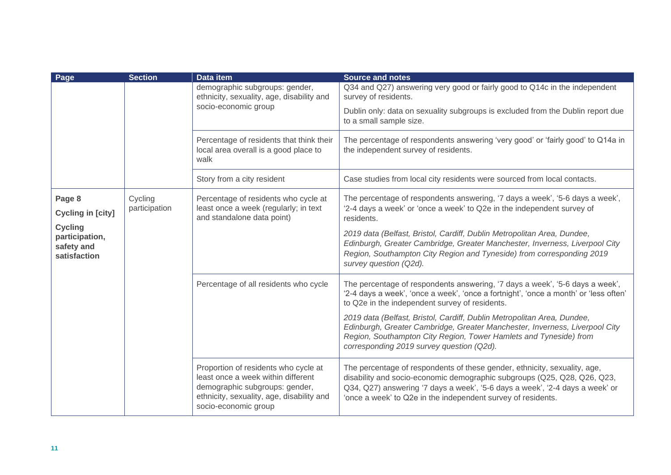| Page                                                           | <b>Section</b>           | Data item                                                                                                                                                                         | <b>Source and notes</b>                                                                                                                                                                                                                                                                               |
|----------------------------------------------------------------|--------------------------|-----------------------------------------------------------------------------------------------------------------------------------------------------------------------------------|-------------------------------------------------------------------------------------------------------------------------------------------------------------------------------------------------------------------------------------------------------------------------------------------------------|
|                                                                |                          | demographic subgroups: gender,<br>ethnicity, sexuality, age, disability and                                                                                                       | Q34 and Q27) answering very good or fairly good to Q14c in the independent<br>survey of residents.                                                                                                                                                                                                    |
|                                                                |                          | socio-economic group                                                                                                                                                              | Dublin only: data on sexuality subgroups is excluded from the Dublin report due<br>to a small sample size.                                                                                                                                                                                            |
|                                                                |                          | Percentage of residents that think their<br>local area overall is a good place to<br>walk                                                                                         | The percentage of respondents answering 'very good' or 'fairly good' to Q14a in<br>the independent survey of residents.                                                                                                                                                                               |
|                                                                |                          | Story from a city resident                                                                                                                                                        | Case studies from local city residents were sourced from local contacts.                                                                                                                                                                                                                              |
| Page 8                                                         | Cycling<br>participation | Percentage of residents who cycle at<br>least once a week (regularly; in text                                                                                                     | The percentage of respondents answering, '7 days a week', '5-6 days a week',<br>'2-4 days a week' or 'once a week' to Q2e in the independent survey of                                                                                                                                                |
| <b>Cycling in [city]</b>                                       |                          | and standalone data point)                                                                                                                                                        | residents.                                                                                                                                                                                                                                                                                            |
| <b>Cycling</b><br>participation,<br>safety and<br>satisfaction |                          |                                                                                                                                                                                   | 2019 data (Belfast, Bristol, Cardiff, Dublin Metropolitan Area, Dundee,<br>Edinburgh, Greater Cambridge, Greater Manchester, Inverness, Liverpool City<br>Region, Southampton City Region and Tyneside) from corresponding 2019<br>survey question (Q2d).                                             |
|                                                                |                          | Percentage of all residents who cycle                                                                                                                                             | The percentage of respondents answering, '7 days a week', '5-6 days a week',<br>'2-4 days a week', 'once a week', 'once a fortnight', 'once a month' or 'less often'<br>to Q2e in the independent survey of residents.                                                                                |
|                                                                |                          |                                                                                                                                                                                   | 2019 data (Belfast, Bristol, Cardiff, Dublin Metropolitan Area, Dundee,<br>Edinburgh, Greater Cambridge, Greater Manchester, Inverness, Liverpool City<br>Region, Southampton City Region, Tower Hamlets and Tyneside) from<br>corresponding 2019 survey question (Q2d).                              |
|                                                                |                          | Proportion of residents who cycle at<br>least once a week within different<br>demographic subgroups: gender,<br>ethnicity, sexuality, age, disability and<br>socio-economic group | The percentage of respondents of these gender, ethnicity, sexuality, age,<br>disability and socio-economic demographic subgroups (Q25, Q28, Q26, Q23,<br>Q34, Q27) answering '7 days a week', '5-6 days a week', '2-4 days a week' or<br>'once a week' to Q2e in the independent survey of residents. |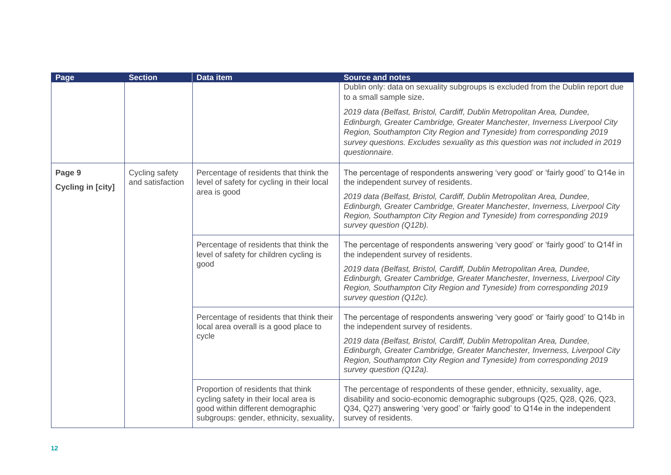| Page                        | <b>Section</b>                     | <b>Data item</b>                                                                                                                                             | <b>Source and notes</b>                                                                                                                                                                                                                                                                                                            |
|-----------------------------|------------------------------------|--------------------------------------------------------------------------------------------------------------------------------------------------------------|------------------------------------------------------------------------------------------------------------------------------------------------------------------------------------------------------------------------------------------------------------------------------------------------------------------------------------|
|                             |                                    |                                                                                                                                                              | Dublin only: data on sexuality subgroups is excluded from the Dublin report due<br>to a small sample size.                                                                                                                                                                                                                         |
|                             |                                    |                                                                                                                                                              | 2019 data (Belfast, Bristol, Cardiff, Dublin Metropolitan Area, Dundee,<br>Edinburgh, Greater Cambridge, Greater Manchester, Inverness Liverpool City<br>Region, Southampton City Region and Tyneside) from corresponding 2019<br>survey questions. Excludes sexuality as this question was not included in 2019<br>questionnaire. |
| Page 9<br>Cycling in [city] | Cycling safety<br>and satisfaction | Percentage of residents that think the<br>level of safety for cycling in their local                                                                         | The percentage of respondents answering 'very good' or 'fairly good' to Q14e in<br>the independent survey of residents.                                                                                                                                                                                                            |
|                             |                                    | area is good                                                                                                                                                 | 2019 data (Belfast, Bristol, Cardiff, Dublin Metropolitan Area, Dundee,<br>Edinburgh, Greater Cambridge, Greater Manchester, Inverness, Liverpool City<br>Region, Southampton City Region and Tyneside) from corresponding 2019<br>survey question (Q12b).                                                                         |
|                             |                                    | Percentage of residents that think the<br>level of safety for children cycling is<br>good                                                                    | The percentage of respondents answering 'very good' or 'fairly good' to Q14f in<br>the independent survey of residents.                                                                                                                                                                                                            |
|                             |                                    |                                                                                                                                                              | 2019 data (Belfast, Bristol, Cardiff, Dublin Metropolitan Area, Dundee,<br>Edinburgh, Greater Cambridge, Greater Manchester, Inverness, Liverpool City<br>Region, Southampton City Region and Tyneside) from corresponding 2019<br>survey question (Q12c).                                                                         |
|                             |                                    | Percentage of residents that think their<br>local area overall is a good place to<br>cycle                                                                   | The percentage of respondents answering 'very good' or 'fairly good' to Q14b in<br>the independent survey of residents.                                                                                                                                                                                                            |
|                             |                                    |                                                                                                                                                              | 2019 data (Belfast, Bristol, Cardiff, Dublin Metropolitan Area, Dundee,<br>Edinburgh, Greater Cambridge, Greater Manchester, Inverness, Liverpool City<br>Region, Southampton City Region and Tyneside) from corresponding 2019<br>survey question (Q12a).                                                                         |
|                             |                                    | Proportion of residents that think<br>cycling safety in their local area is<br>good within different demographic<br>subgroups: gender, ethnicity, sexuality, | The percentage of respondents of these gender, ethnicity, sexuality, age,<br>disability and socio-economic demographic subgroups (Q25, Q28, Q26, Q23,<br>Q34, Q27) answering 'very good' or 'fairly good' to Q14e in the independent<br>survey of residents.                                                                       |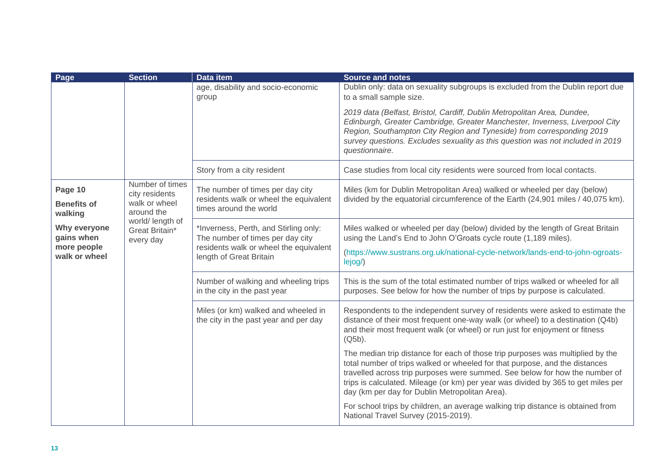| Page                                                       | <b>Section</b>                                                                                                      | <b>Data item</b>                                                                                                                               | <b>Source and notes</b>                                                                                                                                                                                                                                                                                                                                                             |
|------------------------------------------------------------|---------------------------------------------------------------------------------------------------------------------|------------------------------------------------------------------------------------------------------------------------------------------------|-------------------------------------------------------------------------------------------------------------------------------------------------------------------------------------------------------------------------------------------------------------------------------------------------------------------------------------------------------------------------------------|
|                                                            |                                                                                                                     | age, disability and socio-economic<br>group                                                                                                    | Dublin only: data on sexuality subgroups is excluded from the Dublin report due<br>to a small sample size.                                                                                                                                                                                                                                                                          |
|                                                            |                                                                                                                     |                                                                                                                                                | 2019 data (Belfast, Bristol, Cardiff, Dublin Metropolitan Area, Dundee,<br>Edinburgh, Greater Cambridge, Greater Manchester, Inverness, Liverpool City<br>Region, Southampton City Region and Tyneside) from corresponding 2019<br>survey questions. Excludes sexuality as this question was not included in 2019<br>questionnaire.                                                 |
|                                                            |                                                                                                                     | Story from a city resident                                                                                                                     | Case studies from local city residents were sourced from local contacts.                                                                                                                                                                                                                                                                                                            |
| Page 10<br><b>Benefits of</b><br>walking                   | Number of times<br>city residents<br>walk or wheel<br>around the<br>world/ length of<br>Great Britain*<br>every day | The number of times per day city<br>residents walk or wheel the equivalent<br>times around the world                                           | Miles (km for Dublin Metropolitan Area) walked or wheeled per day (below)<br>divided by the equatorial circumference of the Earth (24,901 miles / 40,075 km).                                                                                                                                                                                                                       |
| Why everyone<br>gains when<br>more people<br>walk or wheel |                                                                                                                     | *Inverness, Perth, and Stirling only:<br>The number of times per day city<br>residents walk or wheel the equivalent<br>length of Great Britain | Miles walked or wheeled per day (below) divided by the length of Great Britain<br>using the Land's End to John O'Groats cycle route (1,189 miles).<br>(https://www.sustrans.org.uk/national-cycle-network/lands-end-to-john-ogroats-<br>lejog/)                                                                                                                                     |
|                                                            |                                                                                                                     | Number of walking and wheeling trips<br>in the city in the past year                                                                           | This is the sum of the total estimated number of trips walked or wheeled for all<br>purposes. See below for how the number of trips by purpose is calculated.                                                                                                                                                                                                                       |
|                                                            |                                                                                                                     | Miles (or km) walked and wheeled in<br>the city in the past year and per day                                                                   | Respondents to the independent survey of residents were asked to estimate the<br>distance of their most frequent one-way walk (or wheel) to a destination (Q4b)<br>and their most frequent walk (or wheel) or run just for enjoyment or fitness<br>$(Q5b)$ .                                                                                                                        |
|                                                            |                                                                                                                     |                                                                                                                                                | The median trip distance for each of those trip purposes was multiplied by the<br>total number of trips walked or wheeled for that purpose, and the distances<br>travelled across trip purposes were summed. See below for how the number of<br>trips is calculated. Mileage (or km) per year was divided by 365 to get miles per<br>day (km per day for Dublin Metropolitan Area). |
|                                                            |                                                                                                                     |                                                                                                                                                | For school trips by children, an average walking trip distance is obtained from<br>National Travel Survey (2015-2019).                                                                                                                                                                                                                                                              |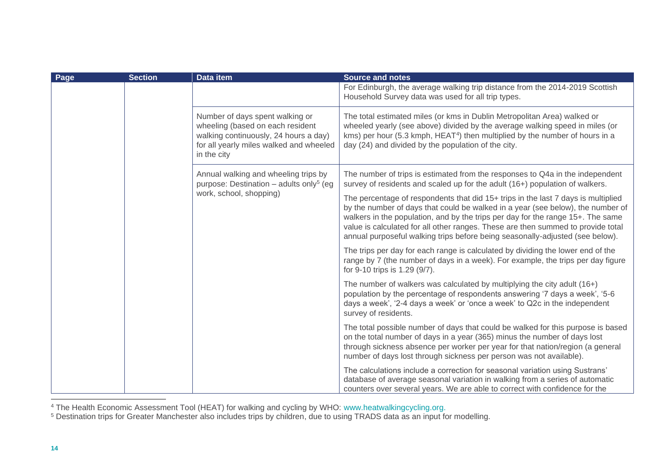| Page | <b>Section</b> | Data item                                                                                                                                                              | <b>Source and notes</b><br>For Edinburgh, the average walking trip distance from the 2014-2019 Scottish<br>Household Survey data was used for all trip types.                                                                                                                                                                                                                                                                |
|------|----------------|------------------------------------------------------------------------------------------------------------------------------------------------------------------------|------------------------------------------------------------------------------------------------------------------------------------------------------------------------------------------------------------------------------------------------------------------------------------------------------------------------------------------------------------------------------------------------------------------------------|
|      |                | Number of days spent walking or<br>wheeling (based on each resident<br>walking continuously, 24 hours a day)<br>for all yearly miles walked and wheeled<br>in the city | The total estimated miles (or kms in Dublin Metropolitan Area) walked or<br>wheeled yearly (see above) divided by the average walking speed in miles (or<br>kms) per hour (5.3 kmph, HEAT <sup>4</sup> ) then multiplied by the number of hours in a<br>day (24) and divided by the population of the city.                                                                                                                  |
|      |                | Annual walking and wheeling trips by<br>purpose: Destination - adults only <sup>5</sup> (eg                                                                            | The number of trips is estimated from the responses to Q4a in the independent<br>survey of residents and scaled up for the adult (16+) population of walkers.                                                                                                                                                                                                                                                                |
|      |                | work, school, shopping)                                                                                                                                                | The percentage of respondents that did 15+ trips in the last 7 days is multiplied<br>by the number of days that could be walked in a year (see below), the number of<br>walkers in the population, and by the trips per day for the range 15+. The same<br>value is calculated for all other ranges. These are then summed to provide total<br>annual purposeful walking trips before being seasonally-adjusted (see below). |
|      |                |                                                                                                                                                                        | The trips per day for each range is calculated by dividing the lower end of the<br>range by 7 (the number of days in a week). For example, the trips per day figure<br>for 9-10 trips is 1.29 (9/7).                                                                                                                                                                                                                         |
|      |                |                                                                                                                                                                        | The number of walkers was calculated by multiplying the city adult (16+)<br>population by the percentage of respondents answering '7 days a week', '5-6<br>days a week', '2-4 days a week' or 'once a week' to Q2c in the independent<br>survey of residents.                                                                                                                                                                |
|      |                |                                                                                                                                                                        | The total possible number of days that could be walked for this purpose is based<br>on the total number of days in a year (365) minus the number of days lost<br>through sickness absence per worker per year for that nation/region (a general<br>number of days lost through sickness per person was not available).                                                                                                       |
|      |                |                                                                                                                                                                        | The calculations include a correction for seasonal variation using Sustrans'<br>database of average seasonal variation in walking from a series of automatic<br>counters over several years. We are able to correct with confidence for the                                                                                                                                                                                  |

<sup>4</sup> The Health Economic Assessment Tool (HEAT) for walking and cycling by WHO: [www.heatwalkingcycling.org.](http://www.heatwalkingcycling.org/)

<sup>5</sup> Destination trips for Greater Manchester also includes trips by children, due to using TRADS data as an input for modelling.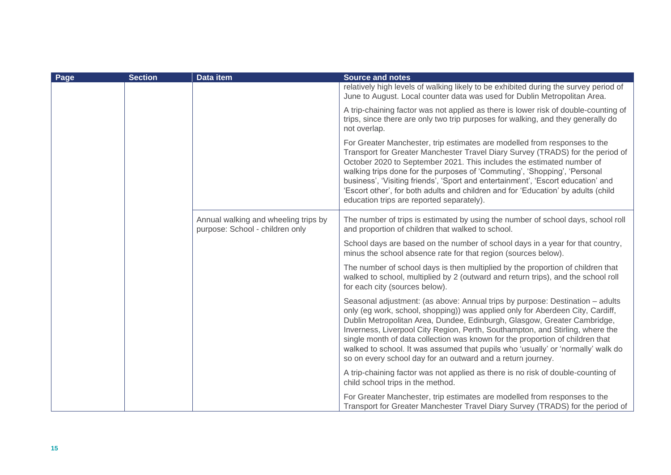<span id="page-15-0"></span>

| Page | <b>Section</b> | Data item                                                               | <b>Source and notes</b>                                                                                                                                                                                                                                                                                                                                                                                                                                                                                                                                          |
|------|----------------|-------------------------------------------------------------------------|------------------------------------------------------------------------------------------------------------------------------------------------------------------------------------------------------------------------------------------------------------------------------------------------------------------------------------------------------------------------------------------------------------------------------------------------------------------------------------------------------------------------------------------------------------------|
|      |                |                                                                         | relatively high levels of walking likely to be exhibited during the survey period of<br>June to August. Local counter data was used for Dublin Metropolitan Area.                                                                                                                                                                                                                                                                                                                                                                                                |
|      |                |                                                                         | A trip-chaining factor was not applied as there is lower risk of double-counting of<br>trips, since there are only two trip purposes for walking, and they generally do<br>not overlap.                                                                                                                                                                                                                                                                                                                                                                          |
|      |                |                                                                         | For Greater Manchester, trip estimates are modelled from responses to the<br>Transport for Greater Manchester Travel Diary Survey (TRADS) for the period of<br>October 2020 to September 2021. This includes the estimated number of<br>walking trips done for the purposes of 'Commuting', 'Shopping', 'Personal<br>business', 'Visiting friends', 'Sport and entertainment', 'Escort education' and<br>'Escort other', for both adults and children and for 'Education' by adults (child<br>education trips are reported separately).                          |
|      |                | Annual walking and wheeling trips by<br>purpose: School - children only | The number of trips is estimated by using the number of school days, school roll<br>and proportion of children that walked to school.                                                                                                                                                                                                                                                                                                                                                                                                                            |
|      |                |                                                                         | School days are based on the number of school days in a year for that country,<br>minus the school absence rate for that region (sources below).                                                                                                                                                                                                                                                                                                                                                                                                                 |
|      |                |                                                                         | The number of school days is then multiplied by the proportion of children that<br>walked to school, multiplied by 2 (outward and return trips), and the school roll<br>for each city (sources below).                                                                                                                                                                                                                                                                                                                                                           |
|      |                |                                                                         | Seasonal adjustment: (as above: Annual trips by purpose: Destination - adults<br>only (eg work, school, shopping)) was applied only for Aberdeen City, Cardiff,<br>Dublin Metropolitan Area, Dundee, Edinburgh, Glasgow, Greater Cambridge,<br>Inverness, Liverpool City Region, Perth, Southampton, and Stirling, where the<br>single month of data collection was known for the proportion of children that<br>walked to school. It was assumed that pupils who 'usually' or 'normally' walk do<br>so on every school day for an outward and a return journey. |
|      |                |                                                                         | A trip-chaining factor was not applied as there is no risk of double-counting of<br>child school trips in the method.                                                                                                                                                                                                                                                                                                                                                                                                                                            |
|      |                |                                                                         | For Greater Manchester, trip estimates are modelled from responses to the<br>Transport for Greater Manchester Travel Diary Survey (TRADS) for the period of                                                                                                                                                                                                                                                                                                                                                                                                      |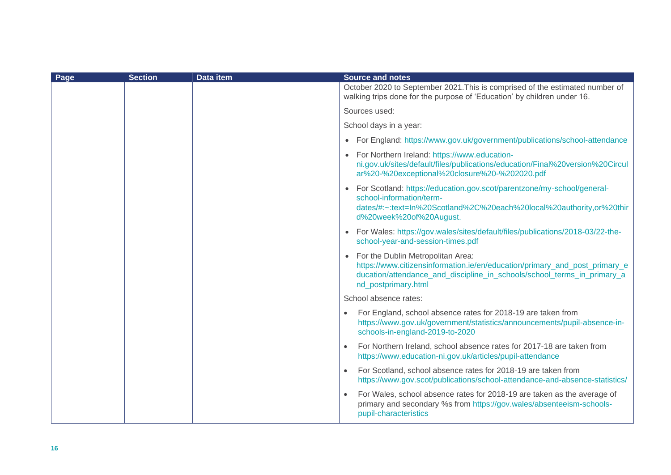| Page | <b>Section</b> | <b>Data item</b> | <b>Source and notes</b>                                                                                                                                                                                             |
|------|----------------|------------------|---------------------------------------------------------------------------------------------------------------------------------------------------------------------------------------------------------------------|
|      |                |                  | October 2020 to September 2021. This is comprised of the estimated number of<br>walking trips done for the purpose of 'Education' by children under 16.                                                             |
|      |                |                  | Sources used:                                                                                                                                                                                                       |
|      |                |                  | School days in a year:                                                                                                                                                                                              |
|      |                |                  | • For England: https://www.gov.uk/government/publications/school-attendance                                                                                                                                         |
|      |                |                  | • For Northern Ireland: https://www.education-<br>ni.gov.uk/sites/default/files/publications/education/Final%20version%20Circul<br>ar%20-%20exceptional%20closure%20-%202020.pdf                                    |
|      |                |                  | • For Scotland: https://education.gov.scot/parentzone/my-school/general-<br>school-information/term-<br>dates/#:~:text=In%20Scotland%2C%20each%20local%20authority,or%20thir<br>d%20week%20of%20August.             |
|      |                |                  | • For Wales: https://gov.wales/sites/default/files/publications/2018-03/22-the-<br>school-year-and-session-times.pdf                                                                                                |
|      |                |                  | • For the Dublin Metropolitan Area:<br>https://www.citizensinformation.ie/en/education/primary_and_post_primary_e<br>ducation/attendance_and_discipline_in_schools/school_terms_in_primary_a<br>nd_postprimary.html |
|      |                |                  | School absence rates:                                                                                                                                                                                               |
|      |                |                  | For England, school absence rates for 2018-19 are taken from<br>https://www.gov.uk/government/statistics/announcements/pupil-absence-in-<br>schools-in-england-2019-to-2020                                         |
|      |                |                  | For Northern Ireland, school absence rates for 2017-18 are taken from<br>$\bullet$<br>https://www.education-ni.gov.uk/articles/pupil-attendance                                                                     |
|      |                |                  | For Scotland, school absence rates for 2018-19 are taken from<br>$\bullet$<br>https://www.gov.scot/publications/school-attendance-and-absence-statistics/                                                           |
|      |                |                  | For Wales, school absence rates for 2018-19 are taken as the average of<br>primary and secondary %s from https://gov.wales/absenteeism-schools-<br>pupil-characteristics                                            |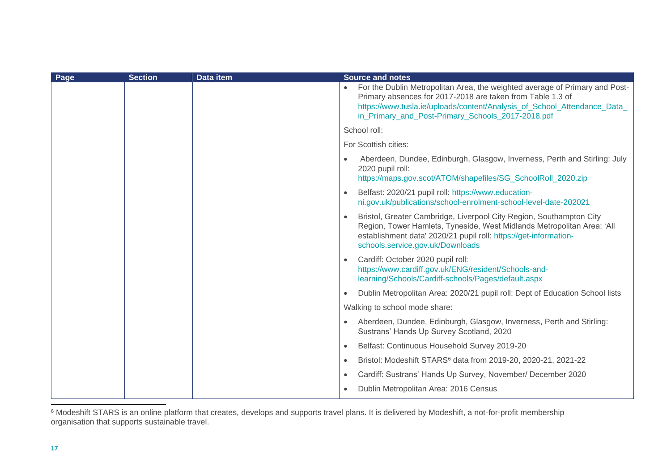| Page | <b>Section</b> | <b>Data item</b> | <b>Source and notes</b>                                                                                                                                                                                                                                                    |
|------|----------------|------------------|----------------------------------------------------------------------------------------------------------------------------------------------------------------------------------------------------------------------------------------------------------------------------|
|      |                |                  | For the Dublin Metropolitan Area, the weighted average of Primary and Post-<br>Primary absences for 2017-2018 are taken from Table 1.3 of<br>https://www.tusla.ie/uploads/content/Analysis_of_School_Attendance_Data_<br>in_Primary_and_Post-Primary_Schools_2017-2018.pdf |
|      |                |                  | School roll:                                                                                                                                                                                                                                                               |
|      |                |                  | For Scottish cities:                                                                                                                                                                                                                                                       |
|      |                |                  | Aberdeen, Dundee, Edinburgh, Glasgow, Inverness, Perth and Stirling: July<br>$\bullet$<br>2020 pupil roll:<br>https://maps.gov.scot/ATOM/shapefiles/SG_SchoolRoll_2020.zip                                                                                                 |
|      |                |                  | Belfast: 2020/21 pupil roll: https://www.education-<br>$\bullet$<br>ni.gov.uk/publications/school-enrolment-school-level-date-202021                                                                                                                                       |
|      |                |                  | Bristol, Greater Cambridge, Liverpool City Region, Southampton City<br>$\bullet$<br>Region, Tower Hamlets, Tyneside, West Midlands Metropolitan Area: 'All<br>establishment data' 2020/21 pupil roll: https://get-information-<br>schools.service.gov.uk/Downloads         |
|      |                |                  | Cardiff: October 2020 pupil roll:<br>$\bullet$<br>https://www.cardiff.gov.uk/ENG/resident/Schools-and-<br>learning/Schools/Cardiff-schools/Pages/default.aspx                                                                                                              |
|      |                |                  | Dublin Metropolitan Area: 2020/21 pupil roll: Dept of Education School lists<br>$\bullet$                                                                                                                                                                                  |
|      |                |                  | Walking to school mode share:                                                                                                                                                                                                                                              |
|      |                |                  | Aberdeen, Dundee, Edinburgh, Glasgow, Inverness, Perth and Stirling:<br>Sustrans' Hands Up Survey Scotland, 2020                                                                                                                                                           |
|      |                |                  | Belfast: Continuous Household Survey 2019-20<br>$\bullet$                                                                                                                                                                                                                  |
|      |                |                  | Bristol: Modeshift STARS <sup>6</sup> data from 2019-20, 2020-21, 2021-22<br>$\bullet$                                                                                                                                                                                     |
|      |                |                  | Cardiff: Sustrans' Hands Up Survey, November/ December 2020<br>$\bullet$                                                                                                                                                                                                   |
|      |                |                  | Dublin Metropolitan Area: 2016 Census<br>$\bullet$                                                                                                                                                                                                                         |

 $6$  Modeshift STARS is an online platform that creates, develops and supports travel plans. It is delivered by Modeshift, a not-for-profit membership organisation that supports sustainable travel.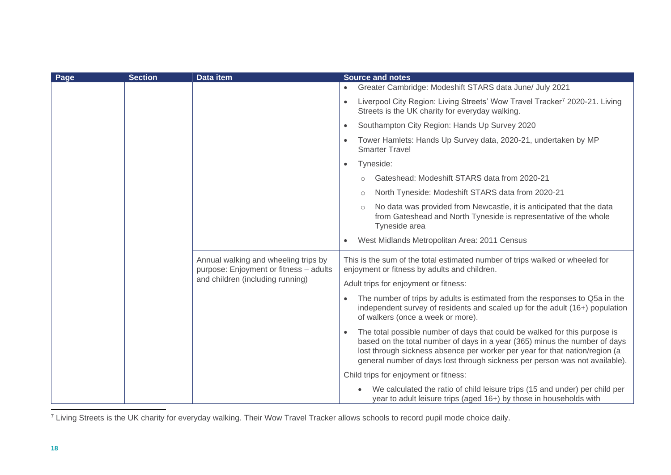| Page | <b>Section</b> | Data item                                                                                                          | <b>Source and notes</b>                                                                                                                                                                                                                                                                                                             |
|------|----------------|--------------------------------------------------------------------------------------------------------------------|-------------------------------------------------------------------------------------------------------------------------------------------------------------------------------------------------------------------------------------------------------------------------------------------------------------------------------------|
|      |                |                                                                                                                    | Greater Cambridge: Modeshift STARS data June/ July 2021                                                                                                                                                                                                                                                                             |
|      |                |                                                                                                                    | Liverpool City Region: Living Streets' Wow Travel Tracker <sup>7</sup> 2020-21. Living<br>$\bullet$<br>Streets is the UK charity for everyday walking.                                                                                                                                                                              |
|      |                |                                                                                                                    | Southampton City Region: Hands Up Survey 2020<br>$\bullet$                                                                                                                                                                                                                                                                          |
|      |                |                                                                                                                    | Tower Hamlets: Hands Up Survey data, 2020-21, undertaken by MP<br><b>Smarter Travel</b>                                                                                                                                                                                                                                             |
|      |                |                                                                                                                    | Tyneside:<br>$\bullet$                                                                                                                                                                                                                                                                                                              |
|      |                |                                                                                                                    | Gateshead: Modeshift STARS data from 2020-21                                                                                                                                                                                                                                                                                        |
|      |                |                                                                                                                    | North Tyneside: Modeshift STARS data from 2020-21<br>$\circ$                                                                                                                                                                                                                                                                        |
|      |                |                                                                                                                    | No data was provided from Newcastle, it is anticipated that the data<br>from Gateshead and North Tyneside is representative of the whole<br>Tyneside area                                                                                                                                                                           |
|      |                |                                                                                                                    | West Midlands Metropolitan Area: 2011 Census<br>$\bullet$                                                                                                                                                                                                                                                                           |
|      |                | Annual walking and wheeling trips by<br>purpose: Enjoyment or fitness - adults<br>and children (including running) | This is the sum of the total estimated number of trips walked or wheeled for<br>enjoyment or fitness by adults and children.                                                                                                                                                                                                        |
|      |                |                                                                                                                    | Adult trips for enjoyment or fitness:                                                                                                                                                                                                                                                                                               |
|      |                |                                                                                                                    | The number of trips by adults is estimated from the responses to Q5a in the<br>independent survey of residents and scaled up for the adult (16+) population<br>of walkers (once a week or more).                                                                                                                                    |
|      |                |                                                                                                                    | The total possible number of days that could be walked for this purpose is<br>$\bullet$<br>based on the total number of days in a year (365) minus the number of days<br>lost through sickness absence per worker per year for that nation/region (a<br>general number of days lost through sickness per person was not available). |
|      |                |                                                                                                                    | Child trips for enjoyment or fitness:                                                                                                                                                                                                                                                                                               |
|      |                |                                                                                                                    | We calculated the ratio of child leisure trips (15 and under) per child per<br>year to adult leisure trips (aged 16+) by those in households with                                                                                                                                                                                   |

<sup>7</sup> Living Streets is the UK charity for everyday walking. Their Wow Travel Tracker allows schools to record pupil mode choice daily.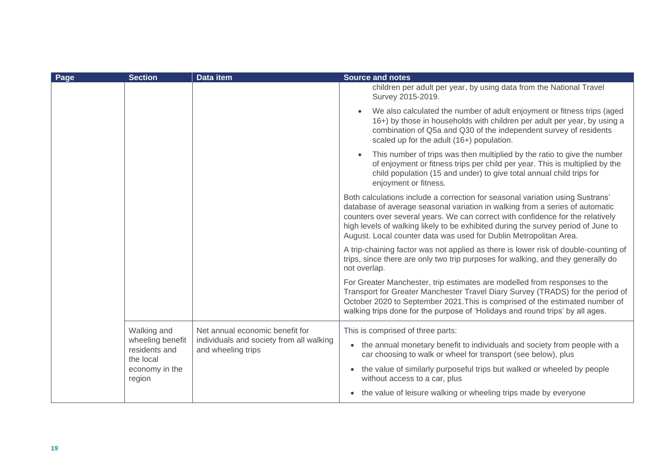| Page | <b>Section</b>                                 | <b>Data item</b>                                               | <b>Source and notes</b>                                                                                                                                                                                                                                                                                                                                                                                   |
|------|------------------------------------------------|----------------------------------------------------------------|-----------------------------------------------------------------------------------------------------------------------------------------------------------------------------------------------------------------------------------------------------------------------------------------------------------------------------------------------------------------------------------------------------------|
|      |                                                |                                                                | children per adult per year, by using data from the National Travel<br>Survey 2015-2019.                                                                                                                                                                                                                                                                                                                  |
|      |                                                |                                                                | We also calculated the number of adult enjoyment or fitness trips (aged<br>16+) by those in households with children per adult per year, by using a<br>combination of Q5a and Q30 of the independent survey of residents<br>scaled up for the adult (16+) population.                                                                                                                                     |
|      |                                                |                                                                | This number of trips was then multiplied by the ratio to give the number<br>of enjoyment or fitness trips per child per year. This is multiplied by the<br>child population (15 and under) to give total annual child trips for<br>enjoyment or fitness.                                                                                                                                                  |
|      |                                                |                                                                | Both calculations include a correction for seasonal variation using Sustrans'<br>database of average seasonal variation in walking from a series of automatic<br>counters over several years. We can correct with confidence for the relatively<br>high levels of walking likely to be exhibited during the survey period of June to<br>August. Local counter data was used for Dublin Metropolitan Area. |
|      |                                                |                                                                | A trip-chaining factor was not applied as there is lower risk of double-counting of<br>trips, since there are only two trip purposes for walking, and they generally do<br>not overlap.                                                                                                                                                                                                                   |
|      |                                                |                                                                | For Greater Manchester, trip estimates are modelled from responses to the<br>Transport for Greater Manchester Travel Diary Survey (TRADS) for the period of<br>October 2020 to September 2021. This is comprised of the estimated number of<br>walking trips done for the purpose of 'Holidays and round trips' by all ages.                                                                              |
|      | Walking and                                    | Net annual economic benefit for                                | This is comprised of three parts:                                                                                                                                                                                                                                                                                                                                                                         |
|      | wheeling benefit<br>residents and<br>the local | individuals and society from all walking<br>and wheeling trips | • the annual monetary benefit to individuals and society from people with a<br>car choosing to walk or wheel for transport (see below), plus                                                                                                                                                                                                                                                              |
|      | economy in the<br>region                       |                                                                | the value of similarly purposeful trips but walked or wheeled by people<br>$\bullet$<br>without access to a car, plus                                                                                                                                                                                                                                                                                     |
|      |                                                |                                                                | • the value of leisure walking or wheeling trips made by everyone                                                                                                                                                                                                                                                                                                                                         |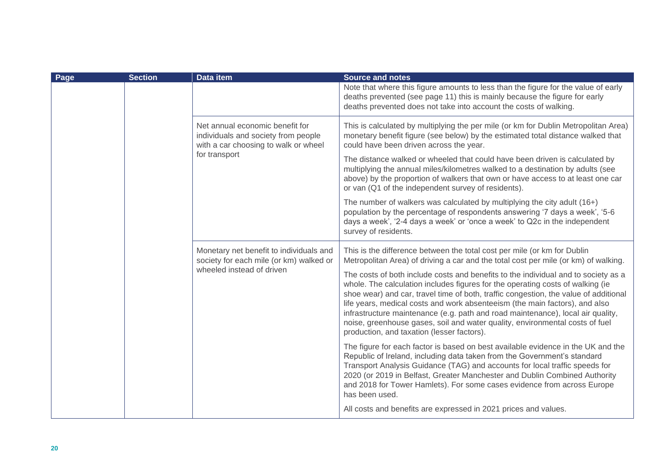| Page | <b>Section</b> | Data item                                                                                                                       | <b>Source and notes</b>                                                                                                                                                                                                                                                                                                                                                                                                                                                                                                                                      |
|------|----------------|---------------------------------------------------------------------------------------------------------------------------------|--------------------------------------------------------------------------------------------------------------------------------------------------------------------------------------------------------------------------------------------------------------------------------------------------------------------------------------------------------------------------------------------------------------------------------------------------------------------------------------------------------------------------------------------------------------|
|      |                |                                                                                                                                 | Note that where this figure amounts to less than the figure for the value of early<br>deaths prevented (see page 11) this is mainly because the figure for early<br>deaths prevented does not take into account the costs of walking.                                                                                                                                                                                                                                                                                                                        |
|      |                | Net annual economic benefit for<br>individuals and society from people<br>with a car choosing to walk or wheel<br>for transport | This is calculated by multiplying the per mile (or km for Dublin Metropolitan Area)<br>monetary benefit figure (see below) by the estimated total distance walked that<br>could have been driven across the year.                                                                                                                                                                                                                                                                                                                                            |
|      |                |                                                                                                                                 | The distance walked or wheeled that could have been driven is calculated by<br>multiplying the annual miles/kilometres walked to a destination by adults (see<br>above) by the proportion of walkers that own or have access to at least one car<br>or van (Q1 of the independent survey of residents).                                                                                                                                                                                                                                                      |
|      |                |                                                                                                                                 | The number of walkers was calculated by multiplying the city adult (16+)<br>population by the percentage of respondents answering '7 days a week', '5-6<br>days a week', '2-4 days a week' or 'once a week' to Q2c in the independent<br>survey of residents.                                                                                                                                                                                                                                                                                                |
|      |                | Monetary net benefit to individuals and<br>society for each mile (or km) walked or<br>wheeled instead of driven                 | This is the difference between the total cost per mile (or km for Dublin<br>Metropolitan Area) of driving a car and the total cost per mile (or km) of walking.                                                                                                                                                                                                                                                                                                                                                                                              |
|      |                |                                                                                                                                 | The costs of both include costs and benefits to the individual and to society as a<br>whole. The calculation includes figures for the operating costs of walking (ie<br>shoe wear) and car, travel time of both, traffic congestion, the value of additional<br>life years, medical costs and work absenteeism (the main factors), and also<br>infrastructure maintenance (e.g. path and road maintenance), local air quality,<br>noise, greenhouse gases, soil and water quality, environmental costs of fuel<br>production, and taxation (lesser factors). |
|      |                |                                                                                                                                 | The figure for each factor is based on best available evidence in the UK and the<br>Republic of Ireland, including data taken from the Government's standard<br>Transport Analysis Guidance (TAG) and accounts for local traffic speeds for<br>2020 (or 2019 in Belfast, Greater Manchester and Dublin Combined Authority<br>and 2018 for Tower Hamlets). For some cases evidence from across Europe<br>has been used.                                                                                                                                       |
|      |                |                                                                                                                                 | All costs and benefits are expressed in 2021 prices and values.                                                                                                                                                                                                                                                                                                                                                                                                                                                                                              |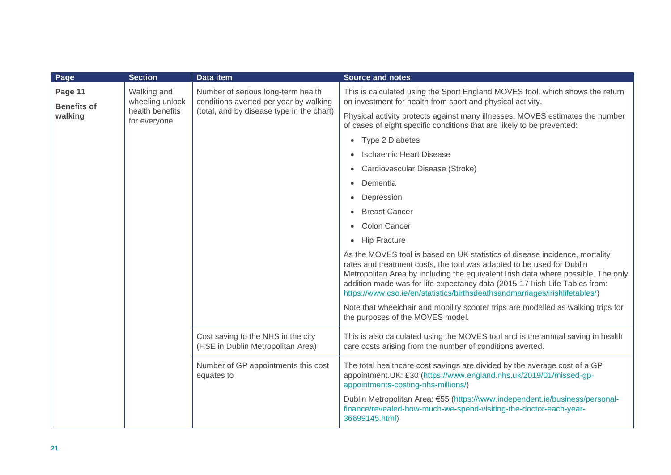| Page                          | <b>Section</b>                  | Data item                                                                                                                    | <b>Source and notes</b>                                                                                                                                                                                                                                                                                                                                                                                 |
|-------------------------------|---------------------------------|------------------------------------------------------------------------------------------------------------------------------|---------------------------------------------------------------------------------------------------------------------------------------------------------------------------------------------------------------------------------------------------------------------------------------------------------------------------------------------------------------------------------------------------------|
| Page 11<br><b>Benefits of</b> | Walking and<br>wheeling unlock  | Number of serious long-term health<br>conditions averted per year by walking<br>(total, and by disease type in the chart)    | This is calculated using the Sport England MOVES tool, which shows the return<br>on investment for health from sport and physical activity.                                                                                                                                                                                                                                                             |
| walking                       | health benefits<br>for everyone |                                                                                                                              | Physical activity protects against many illnesses. MOVES estimates the number<br>of cases of eight specific conditions that are likely to be prevented:                                                                                                                                                                                                                                                 |
|                               |                                 |                                                                                                                              | <b>Type 2 Diabetes</b><br>$\bullet$                                                                                                                                                                                                                                                                                                                                                                     |
|                               |                                 |                                                                                                                              | <b>Ischaemic Heart Disease</b>                                                                                                                                                                                                                                                                                                                                                                          |
|                               |                                 |                                                                                                                              | Cardiovascular Disease (Stroke)<br>$\bullet$                                                                                                                                                                                                                                                                                                                                                            |
|                               |                                 |                                                                                                                              | Dementia<br>$\bullet$                                                                                                                                                                                                                                                                                                                                                                                   |
|                               |                                 |                                                                                                                              | Depression<br>$\bullet$                                                                                                                                                                                                                                                                                                                                                                                 |
|                               |                                 |                                                                                                                              | <b>Breast Cancer</b>                                                                                                                                                                                                                                                                                                                                                                                    |
|                               |                                 |                                                                                                                              | <b>Colon Cancer</b><br>$\bullet$                                                                                                                                                                                                                                                                                                                                                                        |
|                               |                                 |                                                                                                                              | <b>Hip Fracture</b><br>$\bullet$                                                                                                                                                                                                                                                                                                                                                                        |
|                               |                                 |                                                                                                                              | As the MOVES tool is based on UK statistics of disease incidence, mortality<br>rates and treatment costs, the tool was adapted to be used for Dublin<br>Metropolitan Area by including the equivalent Irish data where possible. The only<br>addition made was for life expectancy data (2015-17 Irish Life Tables from:<br>https://www.cso.ie/en/statistics/birthsdeathsandmarriages/irishlifetables/) |
|                               |                                 |                                                                                                                              | Note that wheelchair and mobility scooter trips are modelled as walking trips for<br>the purposes of the MOVES model.                                                                                                                                                                                                                                                                                   |
|                               |                                 | Cost saving to the NHS in the city<br>(HSE in Dublin Metropolitan Area)<br>Number of GP appointments this cost<br>equates to | This is also calculated using the MOVES tool and is the annual saving in health<br>care costs arising from the number of conditions averted.                                                                                                                                                                                                                                                            |
|                               |                                 |                                                                                                                              | The total healthcare cost savings are divided by the average cost of a GP<br>appointment.UK: £30 (https://www.england.nhs.uk/2019/01/missed-gp-<br>appointments-costing-nhs-millions/)                                                                                                                                                                                                                  |
|                               |                                 |                                                                                                                              | Dublin Metropolitan Area: €55 (https://www.independent.ie/business/personal-<br>finance/revealed-how-much-we-spend-visiting-the-doctor-each-year-<br>36699145.html)                                                                                                                                                                                                                                     |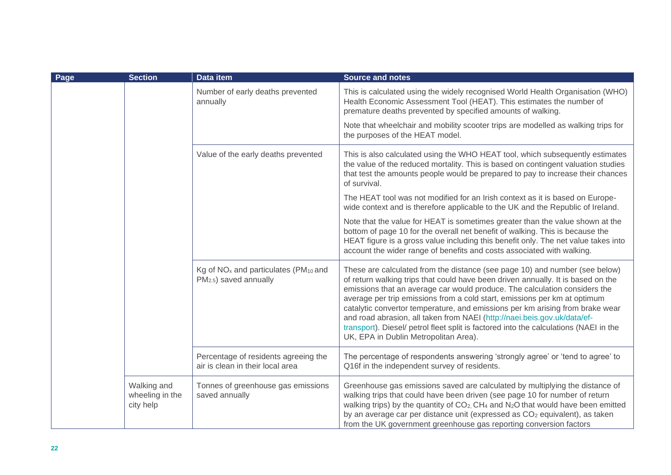| Page | <b>Section</b>                              | Data item                                                                                          | <b>Source and notes</b>                                                                                                                                                                                                                                                                                                                                                                                                                                                                                                                                                                                                   |
|------|---------------------------------------------|----------------------------------------------------------------------------------------------------|---------------------------------------------------------------------------------------------------------------------------------------------------------------------------------------------------------------------------------------------------------------------------------------------------------------------------------------------------------------------------------------------------------------------------------------------------------------------------------------------------------------------------------------------------------------------------------------------------------------------------|
|      |                                             | Number of early deaths prevented<br>annually                                                       | This is calculated using the widely recognised World Health Organisation (WHO)<br>Health Economic Assessment Tool (HEAT). This estimates the number of<br>premature deaths prevented by specified amounts of walking.                                                                                                                                                                                                                                                                                                                                                                                                     |
|      |                                             |                                                                                                    | Note that wheelchair and mobility scooter trips are modelled as walking trips for<br>the purposes of the HEAT model.                                                                                                                                                                                                                                                                                                                                                                                                                                                                                                      |
|      |                                             | Value of the early deaths prevented                                                                | This is also calculated using the WHO HEAT tool, which subsequently estimates<br>the value of the reduced mortality. This is based on contingent valuation studies<br>that test the amounts people would be prepared to pay to increase their chances<br>of survival.                                                                                                                                                                                                                                                                                                                                                     |
|      |                                             |                                                                                                    | The HEAT tool was not modified for an Irish context as it is based on Europe-<br>wide context and is therefore applicable to the UK and the Republic of Ireland.                                                                                                                                                                                                                                                                                                                                                                                                                                                          |
|      |                                             |                                                                                                    | Note that the value for HEAT is sometimes greater than the value shown at the<br>bottom of page 10 for the overall net benefit of walking. This is because the<br>HEAT figure is a gross value including this benefit only. The net value takes into<br>account the wider range of benefits and costs associated with walking.                                                                                                                                                                                                                                                                                            |
|      |                                             | Kg of NO <sub>x</sub> and particulates (PM <sub>10</sub> and<br>PM <sub>2.5</sub> ) saved annually | These are calculated from the distance (see page 10) and number (see below)<br>of return walking trips that could have been driven annually. It is based on the<br>emissions that an average car would produce. The calculation considers the<br>average per trip emissions from a cold start, emissions per km at optimum<br>catalytic convertor temperature, and emissions per km arising from brake wear<br>and road abrasion, all taken from NAEI (http://naei.beis.gov.uk/data/ef-<br>transport). Diesel/ petrol fleet split is factored into the calculations (NAEI in the<br>UK, EPA in Dublin Metropolitan Area). |
|      |                                             | Percentage of residents agreeing the<br>air is clean in their local area                           | The percentage of respondents answering 'strongly agree' or 'tend to agree' to<br>Q16f in the independent survey of residents.                                                                                                                                                                                                                                                                                                                                                                                                                                                                                            |
|      | Walking and<br>wheeling in the<br>city help | Tonnes of greenhouse gas emissions<br>saved annually                                               | Greenhouse gas emissions saved are calculated by multiplying the distance of<br>walking trips that could have been driven (see page 10 for number of return<br>walking trips) by the quantity of CO <sub>2</sub> , CH <sub>4</sub> and N <sub>2</sub> O that would have been emitted<br>by an average car per distance unit (expressed as CO <sub>2</sub> equivalent), as taken<br>from the UK government greenhouse gas reporting conversion factors                                                                                                                                                                     |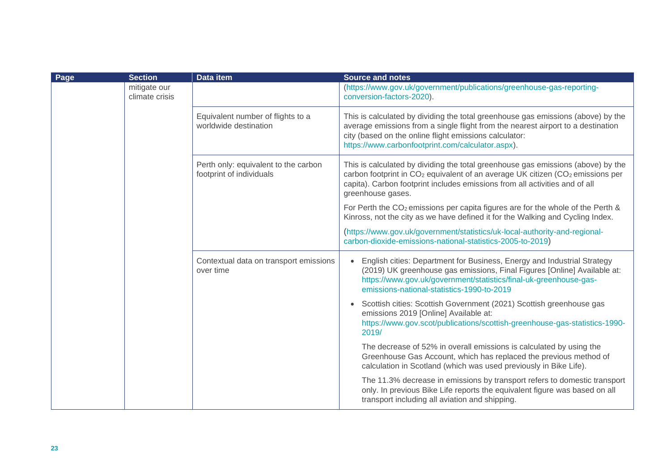| Page | <b>Section</b>                 | <b>Data item</b>                                                 | <b>Source and notes</b>                                                                                                                                                                                                                                                                        |
|------|--------------------------------|------------------------------------------------------------------|------------------------------------------------------------------------------------------------------------------------------------------------------------------------------------------------------------------------------------------------------------------------------------------------|
|      | mitigate our<br>climate crisis |                                                                  | (https://www.gov.uk/government/publications/greenhouse-gas-reporting-<br>conversion-factors-2020).                                                                                                                                                                                             |
|      |                                | Equivalent number of flights to a<br>worldwide destination       | This is calculated by dividing the total greenhouse gas emissions (above) by the<br>average emissions from a single flight from the nearest airport to a destination<br>city (based on the online flight emissions calculator:<br>https://www.carbonfootprint.com/calculator.aspx).            |
|      |                                | Perth only: equivalent to the carbon<br>footprint of individuals | This is calculated by dividing the total greenhouse gas emissions (above) by the<br>carbon footprint in CO <sub>2</sub> equivalent of an average UK citizen (CO <sub>2</sub> emissions per<br>capita). Carbon footprint includes emissions from all activities and of all<br>greenhouse gases. |
|      |                                |                                                                  | For Perth the CO <sub>2</sub> emissions per capita figures are for the whole of the Perth &<br>Kinross, not the city as we have defined it for the Walking and Cycling Index.                                                                                                                  |
|      |                                |                                                                  | (https://www.gov.uk/government/statistics/uk-local-authority-and-regional-<br>carbon-dioxide-emissions-national-statistics-2005-to-2019)                                                                                                                                                       |
|      |                                | Contextual data on transport emissions<br>over time              | English cities: Department for Business, Energy and Industrial Strategy<br>$\bullet$<br>(2019) UK greenhouse gas emissions, Final Figures [Online] Available at:<br>https://www.gov.uk/government/statistics/final-uk-greenhouse-gas-<br>emissions-national-statistics-1990-to-2019            |
|      |                                |                                                                  | Scottish cities: Scottish Government (2021) Scottish greenhouse gas<br>$\bullet$<br>emissions 2019 [Online] Available at:<br>https://www.gov.scot/publications/scottish-greenhouse-gas-statistics-1990-<br>2019/                                                                               |
|      |                                |                                                                  | The decrease of 52% in overall emissions is calculated by using the<br>Greenhouse Gas Account, which has replaced the previous method of<br>calculation in Scotland (which was used previously in Bike Life).                                                                                  |
|      |                                |                                                                  | The 11.3% decrease in emissions by transport refers to domestic transport<br>only. In previous Bike Life reports the equivalent figure was based on all<br>transport including all aviation and shipping.                                                                                      |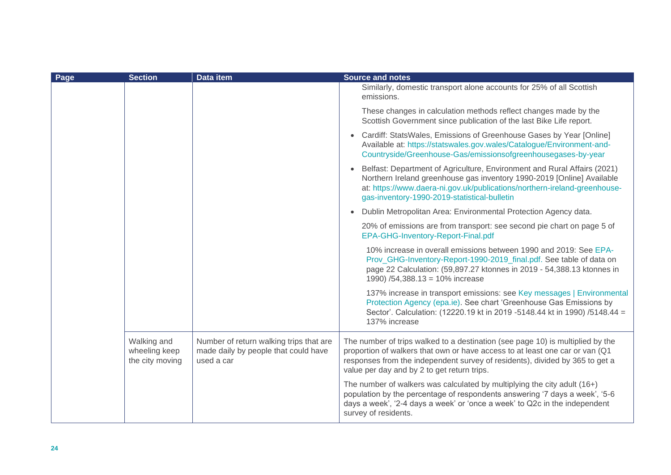| Page | <b>Section</b>                                  | Data item                                                                                     | <b>Source and notes</b>                                                                                                                                                                                                                                                                       |
|------|-------------------------------------------------|-----------------------------------------------------------------------------------------------|-----------------------------------------------------------------------------------------------------------------------------------------------------------------------------------------------------------------------------------------------------------------------------------------------|
|      |                                                 |                                                                                               | Similarly, domestic transport alone accounts for 25% of all Scottish<br>emissions.                                                                                                                                                                                                            |
|      |                                                 |                                                                                               | These changes in calculation methods reflect changes made by the<br>Scottish Government since publication of the last Bike Life report.                                                                                                                                                       |
|      |                                                 |                                                                                               | Cardiff: StatsWales, Emissions of Greenhouse Gases by Year [Online]<br>$\bullet$<br>Available at: https://statswales.gov.wales/Catalogue/Environment-and-<br>Countryside/Greenhouse-Gas/emissionsofgreenhousegases-by-year                                                                    |
|      |                                                 |                                                                                               | Belfast: Department of Agriculture, Environment and Rural Affairs (2021)<br>$\bullet$<br>Northern Ireland greenhouse gas inventory 1990-2019 [Online] Available<br>at: https://www.daera-ni.gov.uk/publications/northern-ireland-greenhouse-<br>gas-inventory-1990-2019-statistical-bulletin  |
|      |                                                 |                                                                                               | Dublin Metropolitan Area: Environmental Protection Agency data.<br>$\bullet$                                                                                                                                                                                                                  |
|      |                                                 |                                                                                               | 20% of emissions are from transport: see second pie chart on page 5 of<br>EPA-GHG-Inventory-Report-Final.pdf                                                                                                                                                                                  |
|      |                                                 |                                                                                               | 10% increase in overall emissions between 1990 and 2019: See EPA-<br>Prov_GHG-Inventory-Report-1990-2019_final.pdf. See table of data on<br>page 22 Calculation: (59,897.27 ktonnes in 2019 - 54,388.13 ktonnes in<br>1990) /54,388.13 = 10% increase                                         |
|      |                                                 |                                                                                               | 137% increase in transport emissions: see Key messages   Environmental<br>Protection Agency (epa.ie). See chart 'Greenhouse Gas Emissions by<br>Sector'. Calculation: (12220.19 kt in 2019 -5148.44 kt in 1990) /5148.44 =<br>137% increase                                                   |
|      | Walking and<br>wheeling keep<br>the city moving | Number of return walking trips that are<br>made daily by people that could have<br>used a car | The number of trips walked to a destination (see page 10) is multiplied by the<br>proportion of walkers that own or have access to at least one car or van (Q1<br>responses from the independent survey of residents), divided by 365 to get a<br>value per day and by 2 to get return trips. |
|      |                                                 |                                                                                               | The number of walkers was calculated by multiplying the city adult (16+)<br>population by the percentage of respondents answering '7 days a week', '5-6<br>days a week', '2-4 days a week' or 'once a week' to Q2c in the independent<br>survey of residents.                                 |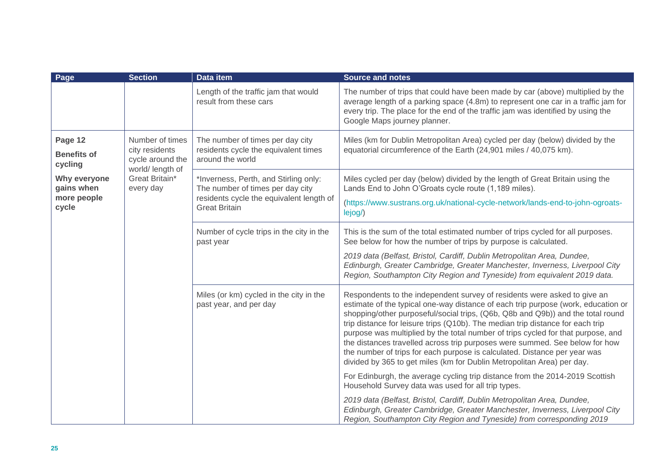| Page                                               | <b>Section</b>                                                                                           | Data item                                                                                                                                     | <b>Source and notes</b>                                                                                                                                                                                                                                                                                                                                                                                                                                                                                                                                                                                                                                      |
|----------------------------------------------------|----------------------------------------------------------------------------------------------------------|-----------------------------------------------------------------------------------------------------------------------------------------------|--------------------------------------------------------------------------------------------------------------------------------------------------------------------------------------------------------------------------------------------------------------------------------------------------------------------------------------------------------------------------------------------------------------------------------------------------------------------------------------------------------------------------------------------------------------------------------------------------------------------------------------------------------------|
|                                                    |                                                                                                          | Length of the traffic jam that would<br>result from these cars                                                                                | The number of trips that could have been made by car (above) multiplied by the<br>average length of a parking space (4.8m) to represent one car in a traffic jam for<br>every trip. The place for the end of the traffic jam was identified by using the<br>Google Maps journey planner.                                                                                                                                                                                                                                                                                                                                                                     |
| Page 12<br><b>Benefits of</b><br>cycling           | Number of times<br>city residents<br>cycle around the<br>world/ length of<br>Great Britain*<br>every day | The number of times per day city<br>residents cycle the equivalent times<br>around the world                                                  | Miles (km for Dublin Metropolitan Area) cycled per day (below) divided by the<br>equatorial circumference of the Earth (24,901 miles / 40,075 km).                                                                                                                                                                                                                                                                                                                                                                                                                                                                                                           |
| Why everyone<br>gains when<br>more people<br>cycle |                                                                                                          | *Inverness, Perth, and Stirling only:<br>The number of times per day city<br>residents cycle the equivalent length of<br><b>Great Britain</b> | Miles cycled per day (below) divided by the length of Great Britain using the<br>Lands End to John O'Groats cycle route (1,189 miles).<br>(https://www.sustrans.org.uk/national-cycle-network/lands-end-to-john-ogroats-<br>lejog/)                                                                                                                                                                                                                                                                                                                                                                                                                          |
|                                                    |                                                                                                          | Number of cycle trips in the city in the<br>past year                                                                                         | This is the sum of the total estimated number of trips cycled for all purposes.<br>See below for how the number of trips by purpose is calculated.<br>2019 data (Belfast, Bristol, Cardiff, Dublin Metropolitan Area, Dundee,<br>Edinburgh, Greater Cambridge, Greater Manchester, Inverness, Liverpool City<br>Region, Southampton City Region and Tyneside) from equivalent 2019 data.                                                                                                                                                                                                                                                                     |
|                                                    |                                                                                                          | Miles (or km) cycled in the city in the<br>past year, and per day                                                                             | Respondents to the independent survey of residents were asked to give an<br>estimate of the typical one-way distance of each trip purpose (work, education or<br>shopping/other purposeful/social trips, (Q6b, Q8b and Q9b)) and the total round<br>trip distance for leisure trips (Q10b). The median trip distance for each trip<br>purpose was multiplied by the total number of trips cycled for that purpose, and<br>the distances travelled across trip purposes were summed. See below for how<br>the number of trips for each purpose is calculated. Distance per year was<br>divided by 365 to get miles (km for Dublin Metropolitan Area) per day. |
|                                                    |                                                                                                          |                                                                                                                                               | For Edinburgh, the average cycling trip distance from the 2014-2019 Scottish<br>Household Survey data was used for all trip types.                                                                                                                                                                                                                                                                                                                                                                                                                                                                                                                           |
|                                                    |                                                                                                          |                                                                                                                                               | 2019 data (Belfast, Bristol, Cardiff, Dublin Metropolitan Area, Dundee,<br>Edinburgh, Greater Cambridge, Greater Manchester, Inverness, Liverpool City<br>Region, Southampton City Region and Tyneside) from corresponding 2019                                                                                                                                                                                                                                                                                                                                                                                                                              |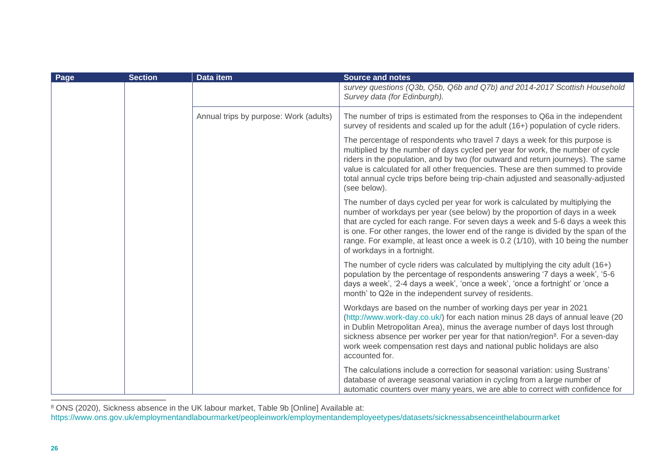| Page | <b>Section</b> | Data item                              | <b>Source and notes</b>                                                                                                                                                                                                                                                                                                                                                                                                                                |
|------|----------------|----------------------------------------|--------------------------------------------------------------------------------------------------------------------------------------------------------------------------------------------------------------------------------------------------------------------------------------------------------------------------------------------------------------------------------------------------------------------------------------------------------|
|      |                |                                        | survey questions (Q3b, Q5b, Q6b and Q7b) and 2014-2017 Scottish Household<br>Survey data (for Edinburgh).                                                                                                                                                                                                                                                                                                                                              |
|      |                | Annual trips by purpose: Work (adults) | The number of trips is estimated from the responses to Q6a in the independent<br>survey of residents and scaled up for the adult (16+) population of cycle riders.                                                                                                                                                                                                                                                                                     |
|      |                |                                        | The percentage of respondents who travel 7 days a week for this purpose is<br>multiplied by the number of days cycled per year for work, the number of cycle<br>riders in the population, and by two (for outward and return journeys). The same<br>value is calculated for all other frequencies. These are then summed to provide<br>total annual cycle trips before being trip-chain adjusted and seasonally-adjusted<br>(see below).               |
|      |                |                                        | The number of days cycled per year for work is calculated by multiplying the<br>number of workdays per year (see below) by the proportion of days in a week<br>that are cycled for each range. For seven days a week and 5-6 days a week this<br>is one. For other ranges, the lower end of the range is divided by the span of the<br>range. For example, at least once a week is 0.2 (1/10), with 10 being the number<br>of workdays in a fortnight. |
|      |                |                                        | The number of cycle riders was calculated by multiplying the city adult (16+)<br>population by the percentage of respondents answering '7 days a week', '5-6<br>days a week', '2-4 days a week', 'once a week', 'once a fortnight' or 'once a<br>month' to Q2e in the independent survey of residents.                                                                                                                                                 |
|      |                |                                        | Workdays are based on the number of working days per year in 2021<br>(http://www.work-day.co.uk/) for each nation minus 28 days of annual leave (20<br>in Dublin Metropolitan Area), minus the average number of days lost through<br>sickness absence per worker per year for that nation/region <sup>8</sup> . For a seven-day<br>work week compensation rest days and national public holidays are also<br>accounted for.                           |
|      |                |                                        | The calculations include a correction for seasonal variation: using Sustrans'<br>database of average seasonal variation in cycling from a large number of<br>automatic counters over many years, we are able to correct with confidence for                                                                                                                                                                                                            |

<sup>8</sup> ONS (2020), Sickness absence in the UK labour market, Table 9b [Online] Available at:

<https://www.ons.gov.uk/employmentandlabourmarket/peopleinwork/employmentandemployeetypes/datasets/sicknessabsenceinthelabourmarket>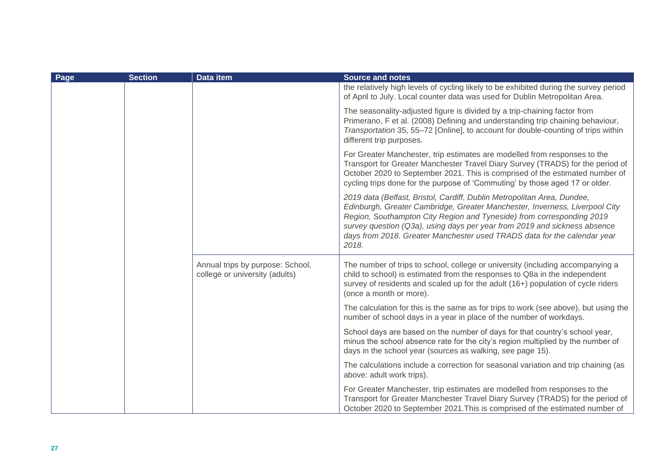| Page | <b>Section</b> | Data item                                                          | <b>Source and notes</b>                                                                                                                                                                                                                                                                                                                                                                           |
|------|----------------|--------------------------------------------------------------------|---------------------------------------------------------------------------------------------------------------------------------------------------------------------------------------------------------------------------------------------------------------------------------------------------------------------------------------------------------------------------------------------------|
|      |                |                                                                    | the relatively high levels of cycling likely to be exhibited during the survey period<br>of April to July. Local counter data was used for Dublin Metropolitan Area.                                                                                                                                                                                                                              |
|      |                |                                                                    | The seasonality-adjusted figure is divided by a trip-chaining factor from<br>Primerano, F et al. (2008) Defining and understanding trip chaining behaviour,<br>Transportation 35, 55-72 [Online], to account for double-counting of trips within<br>different trip purposes.                                                                                                                      |
|      |                |                                                                    | For Greater Manchester, trip estimates are modelled from responses to the<br>Transport for Greater Manchester Travel Diary Survey (TRADS) for the period of<br>October 2020 to September 2021. This is comprised of the estimated number of<br>cycling trips done for the purpose of 'Commuting' by those aged 17 or older.                                                                       |
|      |                |                                                                    | 2019 data (Belfast, Bristol, Cardiff, Dublin Metropolitan Area, Dundee,<br>Edinburgh, Greater Cambridge, Greater Manchester, Inverness, Liverpool City<br>Region, Southampton City Region and Tyneside) from corresponding 2019<br>survey question (Q3a), using days per year from 2019 and sickness absence<br>days from 2018. Greater Manchester used TRADS data for the calendar year<br>2018. |
|      |                | Annual trips by purpose: School,<br>college or university (adults) | The number of trips to school, college or university (including accompanying a<br>child to school) is estimated from the responses to Q8a in the independent<br>survey of residents and scaled up for the adult (16+) population of cycle riders<br>(once a month or more).                                                                                                                       |
|      |                |                                                                    | The calculation for this is the same as for trips to work (see above), but using the<br>number of school days in a year in place of the number of workdays.                                                                                                                                                                                                                                       |
|      |                |                                                                    | School days are based on the number of days for that country's school year,<br>minus the school absence rate for the city's region multiplied by the number of<br>days in the school year (sources as walking, see page 15).                                                                                                                                                                      |
|      |                |                                                                    | The calculations include a correction for seasonal variation and trip chaining (as<br>above: adult work trips).                                                                                                                                                                                                                                                                                   |
|      |                |                                                                    | For Greater Manchester, trip estimates are modelled from responses to the<br>Transport for Greater Manchester Travel Diary Survey (TRADS) for the period of<br>October 2020 to September 2021. This is comprised of the estimated number of                                                                                                                                                       |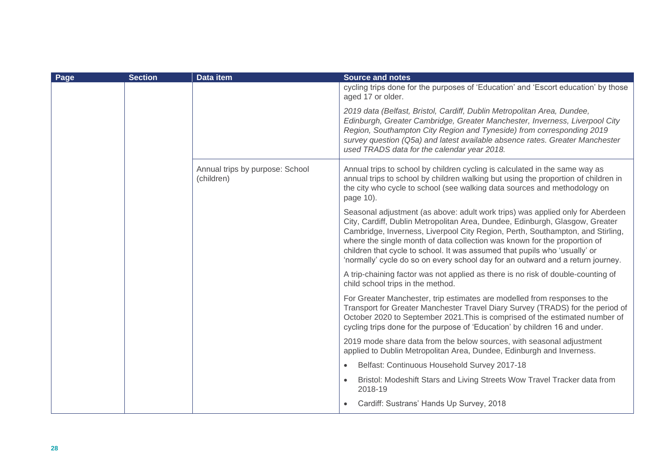| Page | <b>Section</b> | Data item                                     | <b>Source and notes</b>                                                                                                                                                                                                                                                                                                                                                                                                                                                                        |
|------|----------------|-----------------------------------------------|------------------------------------------------------------------------------------------------------------------------------------------------------------------------------------------------------------------------------------------------------------------------------------------------------------------------------------------------------------------------------------------------------------------------------------------------------------------------------------------------|
|      |                |                                               | cycling trips done for the purposes of 'Education' and 'Escort education' by those<br>aged 17 or older.                                                                                                                                                                                                                                                                                                                                                                                        |
|      |                |                                               | 2019 data (Belfast, Bristol, Cardiff, Dublin Metropolitan Area, Dundee,<br>Edinburgh, Greater Cambridge, Greater Manchester, Inverness, Liverpool City<br>Region, Southampton City Region and Tyneside) from corresponding 2019<br>survey question (Q5a) and latest available absence rates. Greater Manchester<br>used TRADS data for the calendar year 2018.                                                                                                                                 |
|      |                | Annual trips by purpose: School<br>(children) | Annual trips to school by children cycling is calculated in the same way as<br>annual trips to school by children walking but using the proportion of children in<br>the city who cycle to school (see walking data sources and methodology on<br>page 10).                                                                                                                                                                                                                                    |
|      |                |                                               | Seasonal adjustment (as above: adult work trips) was applied only for Aberdeen<br>City, Cardiff, Dublin Metropolitan Area, Dundee, Edinburgh, Glasgow, Greater<br>Cambridge, Inverness, Liverpool City Region, Perth, Southampton, and Stirling,<br>where the single month of data collection was known for the proportion of<br>children that cycle to school. It was assumed that pupils who 'usually' or<br>'normally' cycle do so on every school day for an outward and a return journey. |
|      |                |                                               | A trip-chaining factor was not applied as there is no risk of double-counting of<br>child school trips in the method.                                                                                                                                                                                                                                                                                                                                                                          |
|      |                |                                               | For Greater Manchester, trip estimates are modelled from responses to the<br>Transport for Greater Manchester Travel Diary Survey (TRADS) for the period of<br>October 2020 to September 2021. This is comprised of the estimated number of<br>cycling trips done for the purpose of 'Education' by children 16 and under.                                                                                                                                                                     |
|      |                |                                               | 2019 mode share data from the below sources, with seasonal adjustment<br>applied to Dublin Metropolitan Area, Dundee, Edinburgh and Inverness.                                                                                                                                                                                                                                                                                                                                                 |
|      |                |                                               | Belfast: Continuous Household Survey 2017-18<br>$\bullet$                                                                                                                                                                                                                                                                                                                                                                                                                                      |
|      |                |                                               | Bristol: Modeshift Stars and Living Streets Wow Travel Tracker data from<br>$\bullet$<br>2018-19                                                                                                                                                                                                                                                                                                                                                                                               |
|      |                |                                               | Cardiff: Sustrans' Hands Up Survey, 2018                                                                                                                                                                                                                                                                                                                                                                                                                                                       |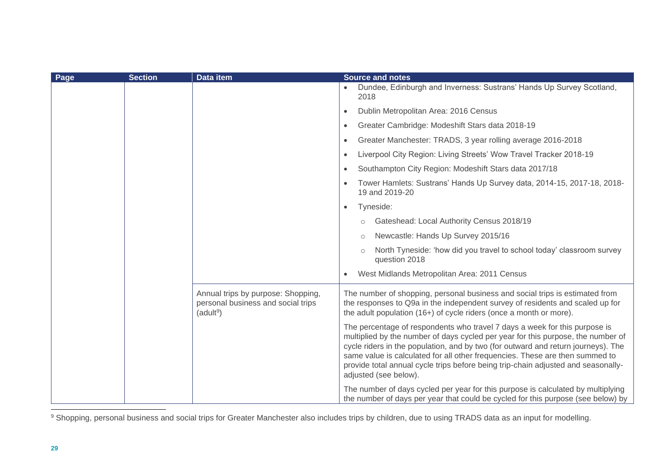| Page | <b>Section</b> | Data item                                                                                         | Source and notes                                                                                                                                                                                                                                                                                                                                                                                                                                  |
|------|----------------|---------------------------------------------------------------------------------------------------|---------------------------------------------------------------------------------------------------------------------------------------------------------------------------------------------------------------------------------------------------------------------------------------------------------------------------------------------------------------------------------------------------------------------------------------------------|
|      |                |                                                                                                   | Dundee, Edinburgh and Inverness: Sustrans' Hands Up Survey Scotland,<br>2018                                                                                                                                                                                                                                                                                                                                                                      |
|      |                |                                                                                                   | Dublin Metropolitan Area: 2016 Census<br>$\bullet$                                                                                                                                                                                                                                                                                                                                                                                                |
|      |                |                                                                                                   | Greater Cambridge: Modeshift Stars data 2018-19<br>$\bullet$                                                                                                                                                                                                                                                                                                                                                                                      |
|      |                |                                                                                                   | Greater Manchester: TRADS, 3 year rolling average 2016-2018<br>$\bullet$                                                                                                                                                                                                                                                                                                                                                                          |
|      |                |                                                                                                   | Liverpool City Region: Living Streets' Wow Travel Tracker 2018-19<br>$\bullet$                                                                                                                                                                                                                                                                                                                                                                    |
|      |                |                                                                                                   | Southampton City Region: Modeshift Stars data 2017/18<br>$\bullet$                                                                                                                                                                                                                                                                                                                                                                                |
|      |                |                                                                                                   | Tower Hamlets: Sustrans' Hands Up Survey data, 2014-15, 2017-18, 2018-<br>19 and 2019-20                                                                                                                                                                                                                                                                                                                                                          |
|      |                |                                                                                                   | Tyneside:<br>$\bullet$                                                                                                                                                                                                                                                                                                                                                                                                                            |
|      |                |                                                                                                   | Gateshead: Local Authority Census 2018/19<br>$\circ$                                                                                                                                                                                                                                                                                                                                                                                              |
|      |                |                                                                                                   | Newcastle: Hands Up Survey 2015/16                                                                                                                                                                                                                                                                                                                                                                                                                |
|      |                |                                                                                                   | North Tyneside: 'how did you travel to school today' classroom survey<br>question 2018                                                                                                                                                                                                                                                                                                                                                            |
|      |                |                                                                                                   | West Midlands Metropolitan Area: 2011 Census<br>$\bullet$                                                                                                                                                                                                                                                                                                                                                                                         |
|      |                | Annual trips by purpose: Shopping,<br>personal business and social trips<br>(adult <sup>9</sup> ) | The number of shopping, personal business and social trips is estimated from<br>the responses to Q9a in the independent survey of residents and scaled up for<br>the adult population (16+) of cycle riders (once a month or more).                                                                                                                                                                                                               |
|      |                |                                                                                                   | The percentage of respondents who travel 7 days a week for this purpose is<br>multiplied by the number of days cycled per year for this purpose, the number of<br>cycle riders in the population, and by two (for outward and return journeys). The<br>same value is calculated for all other frequencies. These are then summed to<br>provide total annual cycle trips before being trip-chain adjusted and seasonally-<br>adjusted (see below). |
|      |                |                                                                                                   | The number of days cycled per year for this purpose is calculated by multiplying<br>the number of days per year that could be cycled for this purpose (see below) by                                                                                                                                                                                                                                                                              |

<sup>9</sup> Shopping, personal business and social trips for Greater Manchester also includes trips by children, due to using TRADS data as an input for modelling.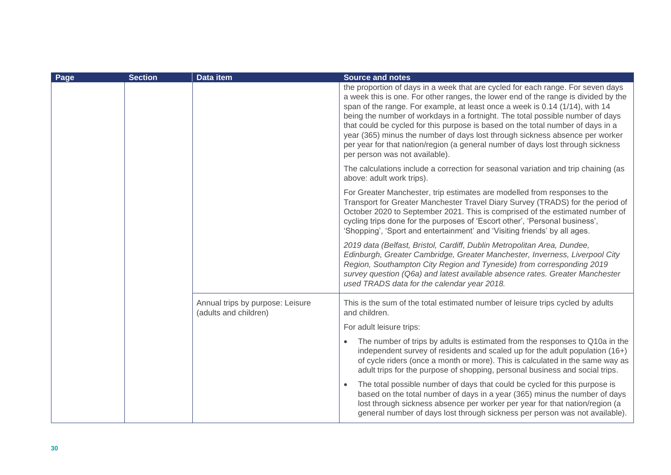| Page | <b>Section</b> | Data item                                                 | <b>Source and notes</b>                                                                                                                                                                                                                                                                                                                                                                                                                                                                                                                                                                                                         |
|------|----------------|-----------------------------------------------------------|---------------------------------------------------------------------------------------------------------------------------------------------------------------------------------------------------------------------------------------------------------------------------------------------------------------------------------------------------------------------------------------------------------------------------------------------------------------------------------------------------------------------------------------------------------------------------------------------------------------------------------|
|      |                |                                                           | the proportion of days in a week that are cycled for each range. For seven days<br>a week this is one. For other ranges, the lower end of the range is divided by the<br>span of the range. For example, at least once a week is 0.14 (1/14), with 14<br>being the number of workdays in a fortnight. The total possible number of days<br>that could be cycled for this purpose is based on the total number of days in a<br>year (365) minus the number of days lost through sickness absence per worker<br>per year for that nation/region (a general number of days lost through sickness<br>per person was not available). |
|      |                |                                                           | The calculations include a correction for seasonal variation and trip chaining (as<br>above: adult work trips).                                                                                                                                                                                                                                                                                                                                                                                                                                                                                                                 |
|      |                |                                                           | For Greater Manchester, trip estimates are modelled from responses to the<br>Transport for Greater Manchester Travel Diary Survey (TRADS) for the period of<br>October 2020 to September 2021. This is comprised of the estimated number of<br>cycling trips done for the purposes of 'Escort other', 'Personal business',<br>'Shopping', 'Sport and entertainment' and 'Visiting friends' by all ages.                                                                                                                                                                                                                         |
|      |                |                                                           | 2019 data (Belfast, Bristol, Cardiff, Dublin Metropolitan Area, Dundee,<br>Edinburgh, Greater Cambridge, Greater Manchester, Inverness, Liverpool City<br>Region, Southampton City Region and Tyneside) from corresponding 2019<br>survey question (Q6a) and latest available absence rates. Greater Manchester<br>used TRADS data for the calendar year 2018.                                                                                                                                                                                                                                                                  |
|      |                | Annual trips by purpose: Leisure<br>(adults and children) | This is the sum of the total estimated number of leisure trips cycled by adults<br>and children.                                                                                                                                                                                                                                                                                                                                                                                                                                                                                                                                |
|      |                |                                                           | For adult leisure trips:                                                                                                                                                                                                                                                                                                                                                                                                                                                                                                                                                                                                        |
|      |                |                                                           | The number of trips by adults is estimated from the responses to Q10a in the<br>independent survey of residents and scaled up for the adult population (16+)<br>of cycle riders (once a month or more). This is calculated in the same way as<br>adult trips for the purpose of shopping, personal business and social trips.                                                                                                                                                                                                                                                                                                   |
|      |                |                                                           | The total possible number of days that could be cycled for this purpose is<br>based on the total number of days in a year (365) minus the number of days<br>lost through sickness absence per worker per year for that nation/region (a<br>general number of days lost through sickness per person was not available).                                                                                                                                                                                                                                                                                                          |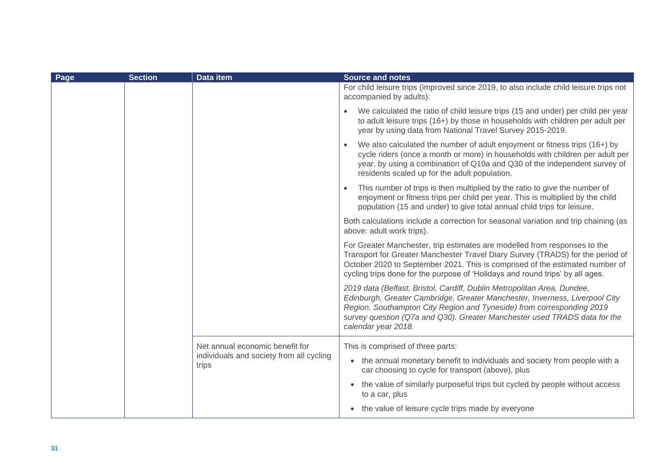| Page | <b>Section</b> | <b>Data item</b>                                  | <b>Source and notes</b>                                                                                                                                                                                                                                                                                                             |
|------|----------------|---------------------------------------------------|-------------------------------------------------------------------------------------------------------------------------------------------------------------------------------------------------------------------------------------------------------------------------------------------------------------------------------------|
|      |                |                                                   | For child leisure trips (improved since 2019, to also include child leisure trips not<br>accompanied by adults):                                                                                                                                                                                                                    |
|      |                |                                                   | We calculated the ratio of child leisure trips (15 and under) per child per year<br>to adult leisure trips (16+) by those in households with children per adult per<br>year by using data from National Travel Survey 2015-2019.                                                                                                    |
|      |                |                                                   | We also calculated the number of adult enjoyment or fitness trips (16+) by<br>cycle riders (once a month or more) in households with children per adult per<br>year, by using a combination of Q10a and Q30 of the independent survey of<br>residents scaled up for the adult population.                                           |
|      |                |                                                   | This number of trips is then multiplied by the ratio to give the number of<br>enjoyment or fitness trips per child per year. This is multiplied by the child<br>population (15 and under) to give total annual child trips for leisure.                                                                                             |
|      |                |                                                   | Both calculations include a correction for seasonal variation and trip chaining (as<br>above: adult work trips).                                                                                                                                                                                                                    |
|      |                |                                                   | For Greater Manchester, trip estimates are modelled from responses to the<br>Transport for Greater Manchester Travel Diary Survey (TRADS) for the period of<br>October 2020 to September 2021. This is comprised of the estimated number of<br>cycling trips done for the purpose of 'Holidays and round trips' by all ages.        |
|      |                |                                                   | 2019 data (Belfast, Bristol, Cardiff, Dublin Metropolitan Area, Dundee,<br>Edinburgh, Greater Cambridge, Greater Manchester, Inverness, Liverpool City<br>Region, Southampton City Region and Tyneside) from corresponding 2019<br>survey question (Q7a and Q30). Greater Manchester used TRADS data for the<br>calendar year 2018. |
|      |                | Net annual economic benefit for                   | This is comprised of three parts:                                                                                                                                                                                                                                                                                                   |
|      |                | individuals and society from all cycling<br>trips | the annual monetary benefit to individuals and society from people with a<br>$\bullet$<br>car choosing to cycle for transport (above), plus                                                                                                                                                                                         |
|      |                |                                                   | the value of similarly purposeful trips but cycled by people without access<br>$\bullet$<br>to a car, plus                                                                                                                                                                                                                          |
|      |                |                                                   | the value of leisure cycle trips made by everyone                                                                                                                                                                                                                                                                                   |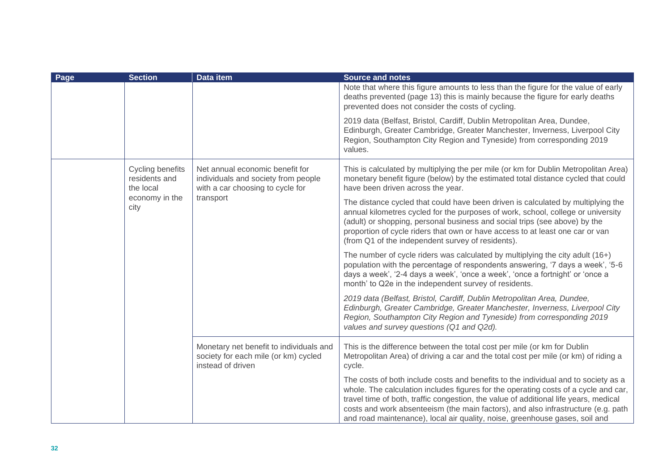| Page | <b>Section</b>                                 | Data item                                                                                                               | <b>Source and notes</b>                                                                                                                                                                                                                                                                                                                                                                                                               |
|------|------------------------------------------------|-------------------------------------------------------------------------------------------------------------------------|---------------------------------------------------------------------------------------------------------------------------------------------------------------------------------------------------------------------------------------------------------------------------------------------------------------------------------------------------------------------------------------------------------------------------------------|
|      |                                                |                                                                                                                         | Note that where this figure amounts to less than the figure for the value of early<br>deaths prevented (page 13) this is mainly because the figure for early deaths<br>prevented does not consider the costs of cycling.                                                                                                                                                                                                              |
|      |                                                |                                                                                                                         | 2019 data (Belfast, Bristol, Cardiff, Dublin Metropolitan Area, Dundee,<br>Edinburgh, Greater Cambridge, Greater Manchester, Inverness, Liverpool City<br>Region, Southampton City Region and Tyneside) from corresponding 2019<br>values.                                                                                                                                                                                            |
|      | Cycling benefits<br>residents and<br>the local | Net annual economic benefit for<br>individuals and society from people<br>with a car choosing to cycle for<br>transport | This is calculated by multiplying the per mile (or km for Dublin Metropolitan Area)<br>monetary benefit figure (below) by the estimated total distance cycled that could<br>have been driven across the year.                                                                                                                                                                                                                         |
|      | economy in the<br>city                         |                                                                                                                         | The distance cycled that could have been driven is calculated by multiplying the<br>annual kilometres cycled for the purposes of work, school, college or university<br>(adult) or shopping, personal business and social trips (see above) by the<br>proportion of cycle riders that own or have access to at least one car or van<br>(from Q1 of the independent survey of residents).                                              |
|      |                                                |                                                                                                                         | The number of cycle riders was calculated by multiplying the city adult (16+)<br>population with the percentage of respondents answering, '7 days a week', '5-6<br>days a week', '2-4 days a week', 'once a week', 'once a fortnight' or 'once a<br>month' to Q2e in the independent survey of residents.                                                                                                                             |
|      |                                                |                                                                                                                         | 2019 data (Belfast, Bristol, Cardiff, Dublin Metropolitan Area, Dundee,<br>Edinburgh, Greater Cambridge, Greater Manchester, Inverness, Liverpool City<br>Region, Southampton City Region and Tyneside) from corresponding 2019<br>values and survey questions (Q1 and Q2d).                                                                                                                                                          |
|      |                                                | Monetary net benefit to individuals and<br>society for each mile (or km) cycled<br>instead of driven                    | This is the difference between the total cost per mile (or km for Dublin<br>Metropolitan Area) of driving a car and the total cost per mile (or km) of riding a<br>cycle.                                                                                                                                                                                                                                                             |
|      |                                                |                                                                                                                         | The costs of both include costs and benefits to the individual and to society as a<br>whole. The calculation includes figures for the operating costs of a cycle and car,<br>travel time of both, traffic congestion, the value of additional life years, medical<br>costs and work absenteeism (the main factors), and also infrastructure (e.g. path<br>and road maintenance), local air quality, noise, greenhouse gases, soil and |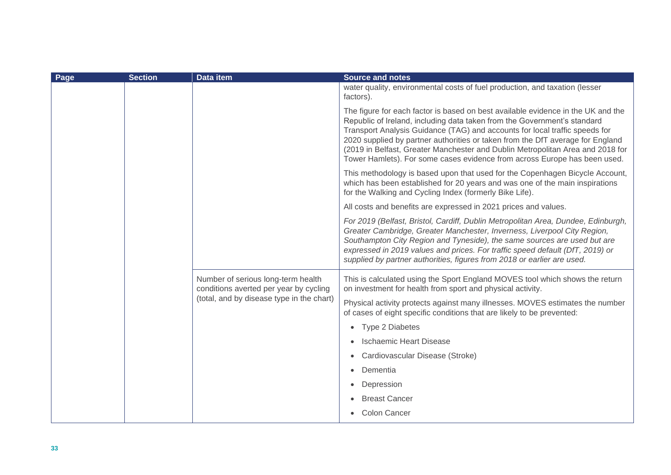| Page | <b>Section</b> | Data item                                                                    | <b>Source and notes</b>                                                                                                                                                                                                                                                                                                                                                                                                                                                                      |
|------|----------------|------------------------------------------------------------------------------|----------------------------------------------------------------------------------------------------------------------------------------------------------------------------------------------------------------------------------------------------------------------------------------------------------------------------------------------------------------------------------------------------------------------------------------------------------------------------------------------|
|      |                |                                                                              | water quality, environmental costs of fuel production, and taxation (lesser<br>factors).                                                                                                                                                                                                                                                                                                                                                                                                     |
|      |                |                                                                              | The figure for each factor is based on best available evidence in the UK and the<br>Republic of Ireland, including data taken from the Government's standard<br>Transport Analysis Guidance (TAG) and accounts for local traffic speeds for<br>2020 supplied by partner authorities or taken from the DfT average for England<br>(2019 in Belfast, Greater Manchester and Dublin Metropolitan Area and 2018 for<br>Tower Hamlets). For some cases evidence from across Europe has been used. |
|      |                |                                                                              | This methodology is based upon that used for the Copenhagen Bicycle Account,<br>which has been established for 20 years and was one of the main inspirations<br>for the Walking and Cycling Index (formerly Bike Life).                                                                                                                                                                                                                                                                      |
|      |                |                                                                              | All costs and benefits are expressed in 2021 prices and values.                                                                                                                                                                                                                                                                                                                                                                                                                              |
|      |                |                                                                              | For 2019 (Belfast, Bristol, Cardiff, Dublin Metropolitan Area, Dundee, Edinburgh,<br>Greater Cambridge, Greater Manchester, Inverness, Liverpool City Region,<br>Southampton City Region and Tyneside), the same sources are used but are<br>expressed in 2019 values and prices. For traffic speed default (DfT, 2019) or<br>supplied by partner authorities, figures from 2018 or earlier are used.                                                                                        |
|      |                | Number of serious long-term health<br>conditions averted per year by cycling | This is calculated using the Sport England MOVES tool which shows the return<br>on investment for health from sport and physical activity.                                                                                                                                                                                                                                                                                                                                                   |
|      |                | (total, and by disease type in the chart)                                    | Physical activity protects against many illnesses. MOVES estimates the number<br>of cases of eight specific conditions that are likely to be prevented:                                                                                                                                                                                                                                                                                                                                      |
|      |                |                                                                              | Type 2 Diabetes<br>$\bullet$                                                                                                                                                                                                                                                                                                                                                                                                                                                                 |
|      |                |                                                                              | Ischaemic Heart Disease                                                                                                                                                                                                                                                                                                                                                                                                                                                                      |
|      |                |                                                                              | Cardiovascular Disease (Stroke)<br>$\bullet$                                                                                                                                                                                                                                                                                                                                                                                                                                                 |
|      |                |                                                                              | Dementia<br>$\bullet$                                                                                                                                                                                                                                                                                                                                                                                                                                                                        |
|      |                |                                                                              | Depression                                                                                                                                                                                                                                                                                                                                                                                                                                                                                   |
|      |                |                                                                              | <b>Breast Cancer</b>                                                                                                                                                                                                                                                                                                                                                                                                                                                                         |
|      |                |                                                                              | • Colon Cancer                                                                                                                                                                                                                                                                                                                                                                                                                                                                               |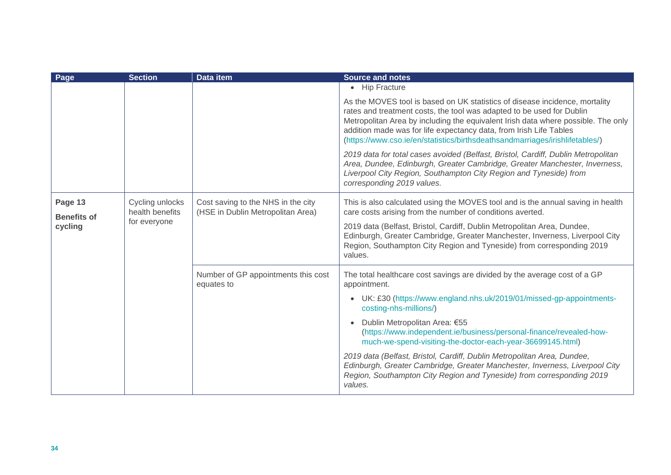| Page                          | <b>Section</b>                     | Data item                                                                                                  | <b>Source and notes</b>                                                                                                                                                                                                                                                                                                                                                                         |
|-------------------------------|------------------------------------|------------------------------------------------------------------------------------------------------------|-------------------------------------------------------------------------------------------------------------------------------------------------------------------------------------------------------------------------------------------------------------------------------------------------------------------------------------------------------------------------------------------------|
|                               |                                    |                                                                                                            | • Hip Fracture                                                                                                                                                                                                                                                                                                                                                                                  |
|                               |                                    |                                                                                                            | As the MOVES tool is based on UK statistics of disease incidence, mortality<br>rates and treatment costs, the tool was adapted to be used for Dublin<br>Metropolitan Area by including the equivalent Irish data where possible. The only<br>addition made was for life expectancy data, from Irish Life Tables<br>(https://www.cso.ie/en/statistics/birthsdeathsandmarriages/irishlifetables/) |
|                               |                                    |                                                                                                            | 2019 data for total cases avoided (Belfast, Bristol, Cardiff, Dublin Metropolitan<br>Area, Dundee, Edinburgh, Greater Cambridge, Greater Manchester, Inverness,<br>Liverpool City Region, Southampton City Region and Tyneside) from<br>corresponding 2019 values.                                                                                                                              |
| Page 13<br><b>Benefits of</b> | Cycling unlocks<br>health benefits | Cost saving to the NHS in the city<br>(HSE in Dublin Metropolitan Area)                                    | This is also calculated using the MOVES tool and is the annual saving in health<br>care costs arising from the number of conditions averted.                                                                                                                                                                                                                                                    |
| cycling                       | for everyone                       |                                                                                                            | 2019 data (Belfast, Bristol, Cardiff, Dublin Metropolitan Area, Dundee,<br>Edinburgh, Greater Cambridge, Greater Manchester, Inverness, Liverpool City<br>Region, Southampton City Region and Tyneside) from corresponding 2019<br>values.                                                                                                                                                      |
|                               |                                    | Number of GP appointments this cost<br>equates to                                                          | The total healthcare cost savings are divided by the average cost of a GP<br>appointment.                                                                                                                                                                                                                                                                                                       |
|                               |                                    | UK: £30 (https://www.england.nhs.uk/2019/01/missed-gp-appointments-<br>$\bullet$<br>costing-nhs-millions/) |                                                                                                                                                                                                                                                                                                                                                                                                 |
|                               |                                    |                                                                                                            | Dublin Metropolitan Area: €55<br>$\bullet$<br>(https://www.independent.ie/business/personal-finance/revealed-how-<br>much-we-spend-visiting-the-doctor-each-year-36699145.html)                                                                                                                                                                                                                 |
|                               |                                    |                                                                                                            | 2019 data (Belfast, Bristol, Cardiff, Dublin Metropolitan Area, Dundee,<br>Edinburgh, Greater Cambridge, Greater Manchester, Inverness, Liverpool City<br>Region, Southampton City Region and Tyneside) from corresponding 2019<br>values.                                                                                                                                                      |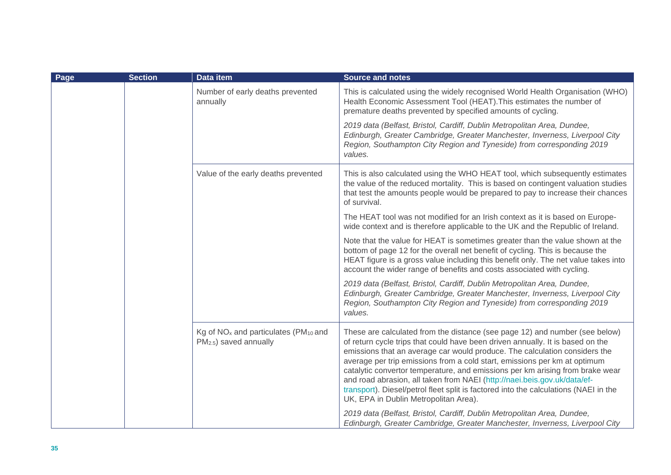| Page | <b>Section</b> | Data item                                                                                                                                                                                                                                  | <b>Source and notes</b>                                                                                                                                                                                                                                                                                                                                                                                                                                                                                                                                                                                                |
|------|----------------|--------------------------------------------------------------------------------------------------------------------------------------------------------------------------------------------------------------------------------------------|------------------------------------------------------------------------------------------------------------------------------------------------------------------------------------------------------------------------------------------------------------------------------------------------------------------------------------------------------------------------------------------------------------------------------------------------------------------------------------------------------------------------------------------------------------------------------------------------------------------------|
|      |                | Number of early deaths prevented<br>annually                                                                                                                                                                                               | This is calculated using the widely recognised World Health Organisation (WHO)<br>Health Economic Assessment Tool (HEAT). This estimates the number of<br>premature deaths prevented by specified amounts of cycling.                                                                                                                                                                                                                                                                                                                                                                                                  |
|      |                | 2019 data (Belfast, Bristol, Cardiff, Dublin Metropolitan Area, Dundee,<br>Edinburgh, Greater Cambridge, Greater Manchester, Inverness, Liverpool City<br>Region, Southampton City Region and Tyneside) from corresponding 2019<br>values. |                                                                                                                                                                                                                                                                                                                                                                                                                                                                                                                                                                                                                        |
|      |                | Value of the early deaths prevented                                                                                                                                                                                                        | This is also calculated using the WHO HEAT tool, which subsequently estimates<br>the value of the reduced mortality. This is based on contingent valuation studies<br>that test the amounts people would be prepared to pay to increase their chances<br>of survival.                                                                                                                                                                                                                                                                                                                                                  |
|      |                |                                                                                                                                                                                                                                            | The HEAT tool was not modified for an Irish context as it is based on Europe-<br>wide context and is therefore applicable to the UK and the Republic of Ireland.                                                                                                                                                                                                                                                                                                                                                                                                                                                       |
|      |                |                                                                                                                                                                                                                                            | Note that the value for HEAT is sometimes greater than the value shown at the<br>bottom of page 12 for the overall net benefit of cycling. This is because the<br>HEAT figure is a gross value including this benefit only. The net value takes into<br>account the wider range of benefits and costs associated with cycling.                                                                                                                                                                                                                                                                                         |
|      |                |                                                                                                                                                                                                                                            | 2019 data (Belfast, Bristol, Cardiff, Dublin Metropolitan Area, Dundee,<br>Edinburgh, Greater Cambridge, Greater Manchester, Inverness, Liverpool City<br>Region, Southampton City Region and Tyneside) from corresponding 2019<br>values.                                                                                                                                                                                                                                                                                                                                                                             |
|      |                | Kg of NO <sub>x</sub> and particulates (PM <sub>10</sub> and<br>PM <sub>2.5</sub> ) saved annually                                                                                                                                         | These are calculated from the distance (see page 12) and number (see below)<br>of return cycle trips that could have been driven annually. It is based on the<br>emissions that an average car would produce. The calculation considers the<br>average per trip emissions from a cold start, emissions per km at optimum<br>catalytic convertor temperature, and emissions per km arising from brake wear<br>and road abrasion, all taken from NAEI (http://naei.beis.gov.uk/data/ef-<br>transport). Diesel/petrol fleet split is factored into the calculations (NAEI in the<br>UK, EPA in Dublin Metropolitan Area). |
|      |                | 2019 data (Belfast, Bristol, Cardiff, Dublin Metropolitan Area, Dundee,<br>Edinburgh, Greater Cambridge, Greater Manchester, Inverness, Liverpool City                                                                                     |                                                                                                                                                                                                                                                                                                                                                                                                                                                                                                                                                                                                                        |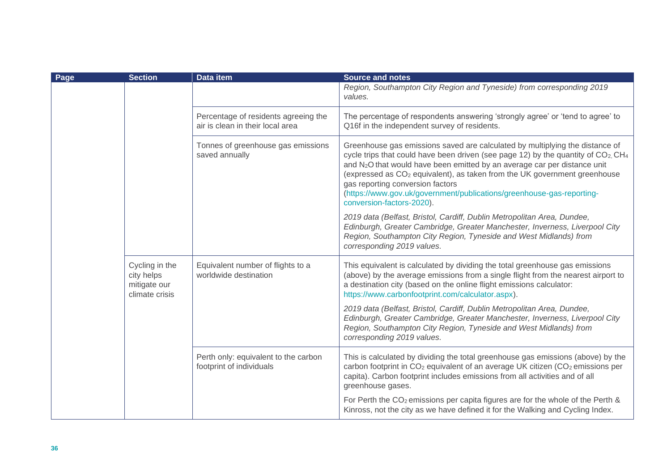| Page | <b>Section</b>                                                 | <b>Data item</b>                                                         | <b>Source and notes</b>                                                                                                                                                                                                                                                                                                                                                                                                                                                                                      |
|------|----------------------------------------------------------------|--------------------------------------------------------------------------|--------------------------------------------------------------------------------------------------------------------------------------------------------------------------------------------------------------------------------------------------------------------------------------------------------------------------------------------------------------------------------------------------------------------------------------------------------------------------------------------------------------|
|      |                                                                |                                                                          | Region, Southampton City Region and Tyneside) from corresponding 2019<br>values.                                                                                                                                                                                                                                                                                                                                                                                                                             |
|      |                                                                | Percentage of residents agreeing the<br>air is clean in their local area | The percentage of respondents answering 'strongly agree' or 'tend to agree' to<br>Q16f in the independent survey of residents.                                                                                                                                                                                                                                                                                                                                                                               |
|      |                                                                | Tonnes of greenhouse gas emissions<br>saved annually                     | Greenhouse gas emissions saved are calculated by multiplying the distance of<br>cycle trips that could have been driven (see page 12) by the quantity of $CO2$ , CH <sub>4</sub><br>and N <sub>2</sub> O that would have been emitted by an average car per distance unit<br>(expressed as CO <sub>2</sub> equivalent), as taken from the UK government greenhouse<br>gas reporting conversion factors<br>(https://www.gov.uk/government/publications/greenhouse-gas-reporting-<br>conversion-factors-2020). |
|      |                                                                |                                                                          | 2019 data (Belfast, Bristol, Cardiff, Dublin Metropolitan Area, Dundee,<br>Edinburgh, Greater Cambridge, Greater Manchester, Inverness, Liverpool City<br>Region, Southampton City Region, Tyneside and West Midlands) from<br>corresponding 2019 values.                                                                                                                                                                                                                                                    |
|      | Cycling in the<br>city helps<br>mitigate our<br>climate crisis | Equivalent number of flights to a<br>worldwide destination               | This equivalent is calculated by dividing the total greenhouse gas emissions<br>(above) by the average emissions from a single flight from the nearest airport to<br>a destination city (based on the online flight emissions calculator:<br>https://www.carbonfootprint.com/calculator.aspx).                                                                                                                                                                                                               |
|      |                                                                |                                                                          | 2019 data (Belfast, Bristol, Cardiff, Dublin Metropolitan Area, Dundee,<br>Edinburgh, Greater Cambridge, Greater Manchester, Inverness, Liverpool City<br>Region, Southampton City Region, Tyneside and West Midlands) from<br>corresponding 2019 values.                                                                                                                                                                                                                                                    |
|      |                                                                | Perth only: equivalent to the carbon<br>footprint of individuals         | This is calculated by dividing the total greenhouse gas emissions (above) by the<br>carbon footprint in CO <sub>2</sub> equivalent of an average UK citizen (CO <sub>2</sub> emissions per<br>capita). Carbon footprint includes emissions from all activities and of all<br>greenhouse gases.                                                                                                                                                                                                               |
|      |                                                                |                                                                          | For Perth the CO <sub>2</sub> emissions per capita figures are for the whole of the Perth &<br>Kinross, not the city as we have defined it for the Walking and Cycling Index.                                                                                                                                                                                                                                                                                                                                |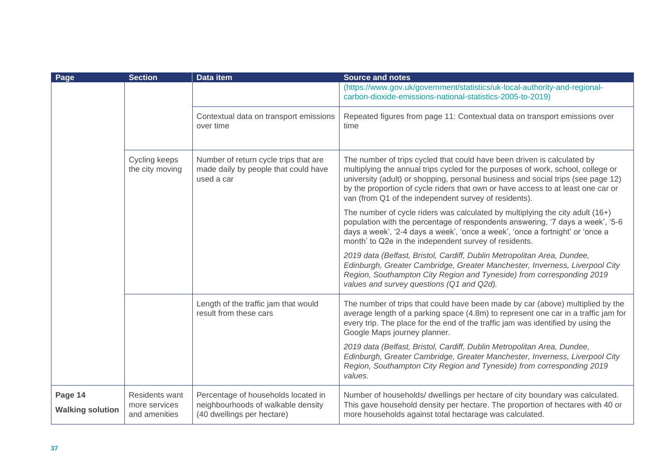| Page                               | <b>Section</b>                                          | Data item                                                                                               | <b>Source and notes</b>                                                                                                                                                                                                                                                                                                                                                                      |
|------------------------------------|---------------------------------------------------------|---------------------------------------------------------------------------------------------------------|----------------------------------------------------------------------------------------------------------------------------------------------------------------------------------------------------------------------------------------------------------------------------------------------------------------------------------------------------------------------------------------------|
|                                    |                                                         |                                                                                                         | (https://www.gov.uk/government/statistics/uk-local-authority-and-regional-<br>carbon-dioxide-emissions-national-statistics-2005-to-2019)                                                                                                                                                                                                                                                     |
|                                    |                                                         | Contextual data on transport emissions<br>over time                                                     | Repeated figures from page 11: Contextual data on transport emissions over<br>time                                                                                                                                                                                                                                                                                                           |
|                                    | Cycling keeps<br>the city moving                        | Number of return cycle trips that are<br>made daily by people that could have<br>used a car             | The number of trips cycled that could have been driven is calculated by<br>multiplying the annual trips cycled for the purposes of work, school, college or<br>university (adult) or shopping, personal business and social trips (see page 12)<br>by the proportion of cycle riders that own or have access to at least one car or<br>van (from Q1 of the independent survey of residents). |
|                                    |                                                         |                                                                                                         | The number of cycle riders was calculated by multiplying the city adult (16+)<br>population with the percentage of respondents answering, '7 days a week', '5-6<br>days a week', '2-4 days a week', 'once a week', 'once a fortnight' or 'once a<br>month' to Q2e in the independent survey of residents.                                                                                    |
|                                    |                                                         |                                                                                                         | 2019 data (Belfast, Bristol, Cardiff, Dublin Metropolitan Area, Dundee,<br>Edinburgh, Greater Cambridge, Greater Manchester, Inverness, Liverpool City<br>Region, Southampton City Region and Tyneside) from corresponding 2019<br>values and survey questions (Q1 and Q2d).                                                                                                                 |
|                                    |                                                         | Length of the traffic jam that would<br>result from these cars                                          | The number of trips that could have been made by car (above) multiplied by the<br>average length of a parking space (4.8m) to represent one car in a traffic jam for<br>every trip. The place for the end of the traffic jam was identified by using the<br>Google Maps journey planner.                                                                                                     |
|                                    |                                                         |                                                                                                         | 2019 data (Belfast, Bristol, Cardiff, Dublin Metropolitan Area, Dundee,<br>Edinburgh, Greater Cambridge, Greater Manchester, Inverness, Liverpool City<br>Region, Southampton City Region and Tyneside) from corresponding 2019<br>values.                                                                                                                                                   |
| Page 14<br><b>Walking solution</b> | <b>Residents want</b><br>more services<br>and amenities | Percentage of households located in<br>neighbourhoods of walkable density<br>(40 dwellings per hectare) | Number of households/ dwellings per hectare of city boundary was calculated.<br>This gave household density per hectare. The proportion of hectares with 40 or<br>more households against total hectarage was calculated.                                                                                                                                                                    |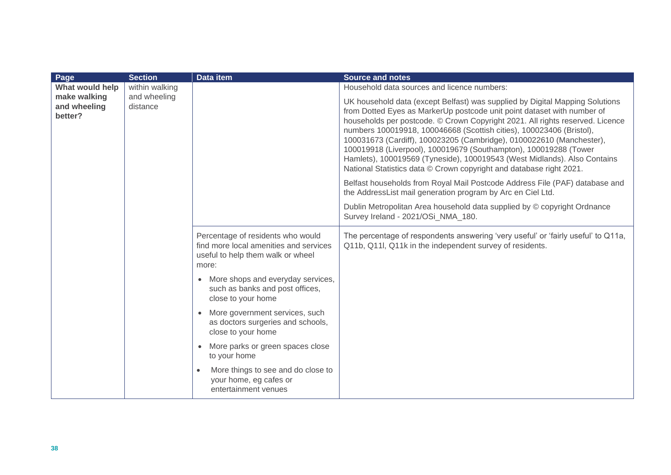| Page                                    | <b>Section</b>           | <b>Data item</b>                                                                                                          | <b>Source and notes</b>                                                                                                                                                                                                                                                                                                                                                                                                                                                                                                                                                                                         |
|-----------------------------------------|--------------------------|---------------------------------------------------------------------------------------------------------------------------|-----------------------------------------------------------------------------------------------------------------------------------------------------------------------------------------------------------------------------------------------------------------------------------------------------------------------------------------------------------------------------------------------------------------------------------------------------------------------------------------------------------------------------------------------------------------------------------------------------------------|
| What would help                         | within walking           |                                                                                                                           | Household data sources and licence numbers:                                                                                                                                                                                                                                                                                                                                                                                                                                                                                                                                                                     |
| make walking<br>and wheeling<br>better? | and wheeling<br>distance |                                                                                                                           | UK household data (except Belfast) was supplied by Digital Mapping Solutions<br>from Dotted Eyes as MarkerUp postcode unit point dataset with number of<br>households per postcode. © Crown Copyright 2021. All rights reserved. Licence<br>numbers 100019918, 100046668 (Scottish cities), 100023406 (Bristol),<br>100031673 (Cardiff), 100023205 (Cambridge), 0100022610 (Manchester),<br>100019918 (Liverpool), 100019679 (Southampton), 100019288 (Tower<br>Hamlets), 100019569 (Tyneside), 100019543 (West Midlands). Also Contains<br>National Statistics data © Crown copyright and database right 2021. |
|                                         |                          |                                                                                                                           | Belfast households from Royal Mail Postcode Address File (PAF) database and<br>the AddressList mail generation program by Arc en Ciel Ltd.                                                                                                                                                                                                                                                                                                                                                                                                                                                                      |
|                                         |                          |                                                                                                                           | Dublin Metropolitan Area household data supplied by © copyright Ordnance<br>Survey Ireland - 2021/OSi NMA 180.                                                                                                                                                                                                                                                                                                                                                                                                                                                                                                  |
|                                         |                          | Percentage of residents who would<br>find more local amenities and services<br>useful to help them walk or wheel<br>more: | The percentage of respondents answering 'very useful' or 'fairly useful' to Q11a,<br>Q11b, Q11l, Q11k in the independent survey of residents.                                                                                                                                                                                                                                                                                                                                                                                                                                                                   |
|                                         |                          | More shops and everyday services,<br>such as banks and post offices,<br>close to your home                                |                                                                                                                                                                                                                                                                                                                                                                                                                                                                                                                                                                                                                 |
|                                         |                          | More government services, such<br>as doctors surgeries and schools,<br>close to your home                                 |                                                                                                                                                                                                                                                                                                                                                                                                                                                                                                                                                                                                                 |
|                                         |                          | More parks or green spaces close<br>to your home                                                                          |                                                                                                                                                                                                                                                                                                                                                                                                                                                                                                                                                                                                                 |
|                                         |                          | More things to see and do close to<br>$\bullet$<br>your home, eg cafes or<br>entertainment venues                         |                                                                                                                                                                                                                                                                                                                                                                                                                                                                                                                                                                                                                 |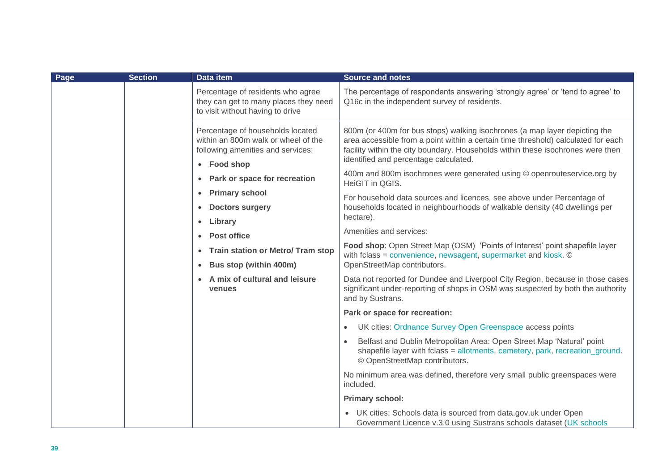| Page | <b>Section</b> | Data item                                                                                                                   | <b>Source and notes</b>                                                                                                                                                                                                                                                                     |
|------|----------------|-----------------------------------------------------------------------------------------------------------------------------|---------------------------------------------------------------------------------------------------------------------------------------------------------------------------------------------------------------------------------------------------------------------------------------------|
|      |                | Percentage of residents who agree<br>they can get to many places they need<br>to visit without having to drive              | The percentage of respondents answering 'strongly agree' or 'tend to agree' to<br>Q16c in the independent survey of residents.                                                                                                                                                              |
|      |                | Percentage of households located<br>within an 800m walk or wheel of the<br>following amenities and services:<br>• Food shop | 800m (or 400m for bus stops) walking isochrones (a map layer depicting the<br>area accessible from a point within a certain time threshold) calculated for each<br>facility within the city boundary. Households within these isochrones were then<br>identified and percentage calculated. |
|      |                | • Park or space for recreation                                                                                              | 400m and 800m isochrones were generated using © openrouteservice.org by<br>HeiGIT in QGIS.                                                                                                                                                                                                  |
|      |                | • Primary school<br>• Doctors surgery<br>• Library                                                                          | For household data sources and licences, see above under Percentage of<br>households located in neighbourhoods of walkable density (40 dwellings per<br>hectare).                                                                                                                           |
|      |                | • Post office                                                                                                               | Amenities and services:                                                                                                                                                                                                                                                                     |
|      |                | • Train station or Metro/ Tram stop                                                                                         | Food shop: Open Street Map (OSM) 'Points of Interest' point shapefile layer<br>with fclass = convenience, newsagent, supermarket and kiosk. ©                                                                                                                                               |
|      |                | • Bus stop (within 400m)                                                                                                    | OpenStreetMap contributors.                                                                                                                                                                                                                                                                 |
|      |                | • A mix of cultural and leisure<br>venues                                                                                   | Data not reported for Dundee and Liverpool City Region, because in those cases<br>significant under-reporting of shops in OSM was suspected by both the authority<br>and by Sustrans.                                                                                                       |
|      |                |                                                                                                                             | Park or space for recreation:                                                                                                                                                                                                                                                               |
|      |                |                                                                                                                             | UK cities: Ordnance Survey Open Greenspace access points<br>$\bullet$                                                                                                                                                                                                                       |
|      |                |                                                                                                                             | Belfast and Dublin Metropolitan Area: Open Street Map 'Natural' point<br>shapefile layer with fclass = allotments, cemetery, park, recreation_ground.<br>© OpenStreetMap contributors.                                                                                                      |
|      |                |                                                                                                                             | No minimum area was defined, therefore very small public greenspaces were<br>included.                                                                                                                                                                                                      |
|      |                |                                                                                                                             | <b>Primary school:</b>                                                                                                                                                                                                                                                                      |
|      |                |                                                                                                                             | • UK cities: Schools data is sourced from data.gov.uk under Open<br>Government Licence v.3.0 using Sustrans schools dataset (UK schools                                                                                                                                                     |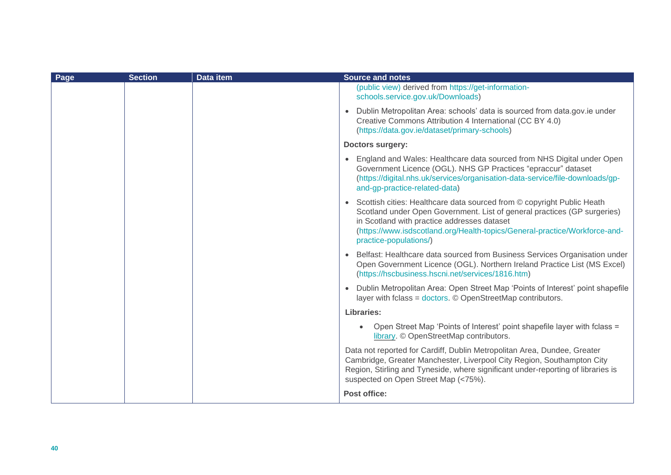| Page | <b>Section</b> | <b>Data item</b> | <b>Source and notes</b>                                                                                                                                                                                                                                                                                     |
|------|----------------|------------------|-------------------------------------------------------------------------------------------------------------------------------------------------------------------------------------------------------------------------------------------------------------------------------------------------------------|
|      |                |                  | (public view) derived from https://get-information-<br>schools.service.gov.uk/Downloads)                                                                                                                                                                                                                    |
|      |                |                  | • Dublin Metropolitan Area: schools' data is sourced from data.gov.ie under<br>Creative Commons Attribution 4 International (CC BY 4.0)<br>(https://data.gov.ie/dataset/primary-schools)                                                                                                                    |
|      |                |                  | <b>Doctors surgery:</b>                                                                                                                                                                                                                                                                                     |
|      |                |                  | • England and Wales: Healthcare data sourced from NHS Digital under Open<br>Government Licence (OGL). NHS GP Practices "epraccur" dataset<br>(https://digital.nhs.uk/services/organisation-data-service/file-downloads/gp-<br>and-gp-practice-related-data)                                                 |
|      |                |                  | • Scottish cities: Healthcare data sourced from © copyright Public Heath<br>Scotland under Open Government. List of general practices (GP surgeries)<br>in Scotland with practice addresses dataset<br>(https://www.isdscotland.org/Health-topics/General-practice/Workforce-and-<br>practice-populations/) |
|      |                |                  | Belfast: Healthcare data sourced from Business Services Organisation under<br>Open Government Licence (OGL). Northern Ireland Practice List (MS Excel)<br>(https://hscbusiness.hscni.net/services/1816.htm)                                                                                                 |
|      |                |                  | • Dublin Metropolitan Area: Open Street Map 'Points of Interest' point shapefile<br>layer with fclass = doctors. © OpenStreetMap contributors.                                                                                                                                                              |
|      |                |                  | Libraries:                                                                                                                                                                                                                                                                                                  |
|      |                |                  | Open Street Map 'Points of Interest' point shapefile layer with fclass =<br>$\bullet$<br>library. © OpenStreetMap contributors.                                                                                                                                                                             |
|      |                |                  | Data not reported for Cardiff, Dublin Metropolitan Area, Dundee, Greater<br>Cambridge, Greater Manchester, Liverpool City Region, Southampton City<br>Region, Stirling and Tyneside, where significant under-reporting of libraries is<br>suspected on Open Street Map (<75%).                              |
|      |                |                  | Post office:                                                                                                                                                                                                                                                                                                |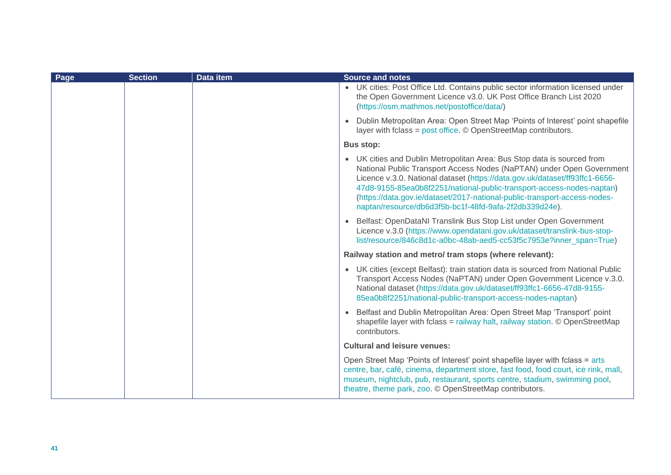| Page | <b>Section</b> | Data item | <b>Source and notes</b>                                                                                                                                                                                                                                                                                                                                                                                                                         |
|------|----------------|-----------|-------------------------------------------------------------------------------------------------------------------------------------------------------------------------------------------------------------------------------------------------------------------------------------------------------------------------------------------------------------------------------------------------------------------------------------------------|
|      |                |           | • UK cities: Post Office Ltd. Contains public sector information licensed under<br>the Open Government Licence v3.0. UK Post Office Branch List 2020<br>(https://osm.mathmos.net/postoffice/data/)                                                                                                                                                                                                                                              |
|      |                |           | • Dublin Metropolitan Area: Open Street Map 'Points of Interest' point shapefile<br>layer with fclass = post office. © OpenStreetMap contributors.                                                                                                                                                                                                                                                                                              |
|      |                |           | <b>Bus stop:</b>                                                                                                                                                                                                                                                                                                                                                                                                                                |
|      |                |           | • UK cities and Dublin Metropolitan Area: Bus Stop data is sourced from<br>National Public Transport Access Nodes (NaPTAN) under Open Government<br>Licence v.3.0. National dataset (https://data.gov.uk/dataset/ff93ffc1-6656-<br>47d8-9155-85ea0b8f2251/national-public-transport-access-nodes-naptan)<br>(https://data.gov.ie/dataset/2017-national-public-transport-access-nodes-<br>naptan/resource/db6d3f5b-bc1f-48fd-9afa-2f2db339d24e). |
|      |                |           | • Belfast: OpenDataNI Translink Bus Stop List under Open Government<br>Licence v.3.0 (https://www.opendatani.gov.uk/dataset/translink-bus-stop-<br>list/resource/846c8d1c-a0bc-48ab-aed5-cc53f5c7953e?inner span=True)                                                                                                                                                                                                                          |
|      |                |           | Railway station and metro/ tram stops (where relevant):                                                                                                                                                                                                                                                                                                                                                                                         |
|      |                |           | • UK cities (except Belfast): train station data is sourced from National Public<br>Transport Access Nodes (NaPTAN) under Open Government Licence v.3.0.<br>National dataset (https://data.gov.uk/dataset/ff93ffc1-6656-47d8-9155-<br>85ea0b8f2251/national-public-transport-access-nodes-naptan)                                                                                                                                               |
|      |                |           | • Belfast and Dublin Metropolitan Area: Open Street Map 'Transport' point<br>shapefile layer with fclass = railway halt, railway station. © OpenStreetMap<br>contributors.                                                                                                                                                                                                                                                                      |
|      |                |           | <b>Cultural and leisure venues:</b>                                                                                                                                                                                                                                                                                                                                                                                                             |
|      |                |           | Open Street Map 'Points of Interest' point shapefile layer with fclass = arts<br>centre, bar, café, cinema, department store, fast food, food court, ice rink, mall,<br>museum, nightclub, pub, restaurant, sports centre, stadium, swimming pool,<br>theatre, theme park, zoo. © OpenStreetMap contributors.                                                                                                                                   |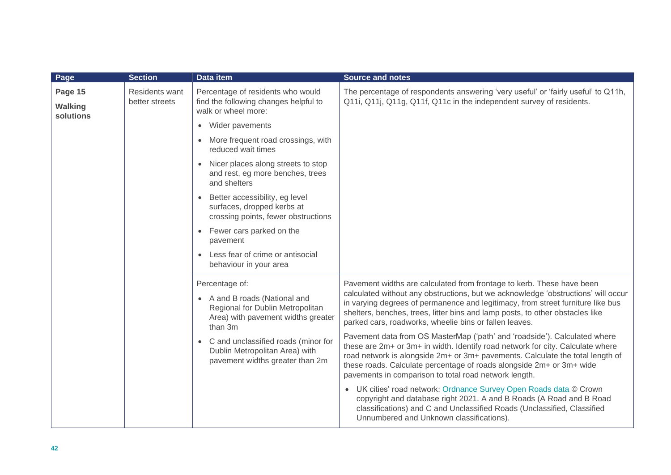| Page                                   | <b>Section</b>                          | Data item                                                                                                                                                                                                                                                     | <b>Source and notes</b>                                                                                                                                                                                                                                                                                                                                                                  |
|----------------------------------------|-----------------------------------------|---------------------------------------------------------------------------------------------------------------------------------------------------------------------------------------------------------------------------------------------------------------|------------------------------------------------------------------------------------------------------------------------------------------------------------------------------------------------------------------------------------------------------------------------------------------------------------------------------------------------------------------------------------------|
| Page 15<br><b>Walking</b><br>solutions | <b>Residents want</b><br>better streets | Percentage of residents who would<br>find the following changes helpful to<br>walk or wheel more:                                                                                                                                                             | The percentage of respondents answering 'very useful' or 'fairly useful' to Q11h,<br>Q11i, Q11j, Q11g, Q11f, Q11c in the independent survey of residents.                                                                                                                                                                                                                                |
|                                        |                                         | Wider pavements<br>$\bullet$                                                                                                                                                                                                                                  |                                                                                                                                                                                                                                                                                                                                                                                          |
|                                        |                                         | • More frequent road crossings, with<br>reduced wait times                                                                                                                                                                                                    |                                                                                                                                                                                                                                                                                                                                                                                          |
|                                        |                                         | • Nicer places along streets to stop<br>and rest, eg more benches, trees<br>and shelters                                                                                                                                                                      |                                                                                                                                                                                                                                                                                                                                                                                          |
|                                        |                                         | Better accessibility, eg level<br>$\bullet$<br>surfaces, dropped kerbs at<br>crossing points, fewer obstructions                                                                                                                                              |                                                                                                                                                                                                                                                                                                                                                                                          |
|                                        |                                         | Fewer cars parked on the<br>$\bullet$<br>pavement                                                                                                                                                                                                             |                                                                                                                                                                                                                                                                                                                                                                                          |
|                                        |                                         | Less fear of crime or antisocial<br>behaviour in your area                                                                                                                                                                                                    |                                                                                                                                                                                                                                                                                                                                                                                          |
|                                        |                                         | Percentage of:<br>• A and B roads (National and<br>Regional for Dublin Metropolitan<br>Area) with pavement widths greater<br>than 3m<br>C and unclassified roads (minor for<br>$\bullet$<br>Dublin Metropolitan Area) with<br>pavement widths greater than 2m | Pavement widths are calculated from frontage to kerb. These have been<br>calculated without any obstructions, but we acknowledge 'obstructions' will occur<br>in varying degrees of permanence and legitimacy, from street furniture like bus<br>shelters, benches, trees, litter bins and lamp posts, to other obstacles like<br>parked cars, roadworks, wheelie bins or fallen leaves. |
|                                        |                                         |                                                                                                                                                                                                                                                               | Pavement data from OS MasterMap ('path' and 'roadside'). Calculated where<br>these are 2m+ or 3m+ in width. Identify road network for city. Calculate where<br>road network is alongside 2m+ or 3m+ pavements. Calculate the total length of<br>these roads. Calculate percentage of roads alongside 2m+ or 3m+ wide<br>pavements in comparison to total road network length.            |
|                                        |                                         |                                                                                                                                                                                                                                                               | • UK cities' road network: Ordnance Survey Open Roads data © Crown<br>copyright and database right 2021. A and B Roads (A Road and B Road<br>classifications) and C and Unclassified Roads (Unclassified, Classified<br>Unnumbered and Unknown classifications).                                                                                                                         |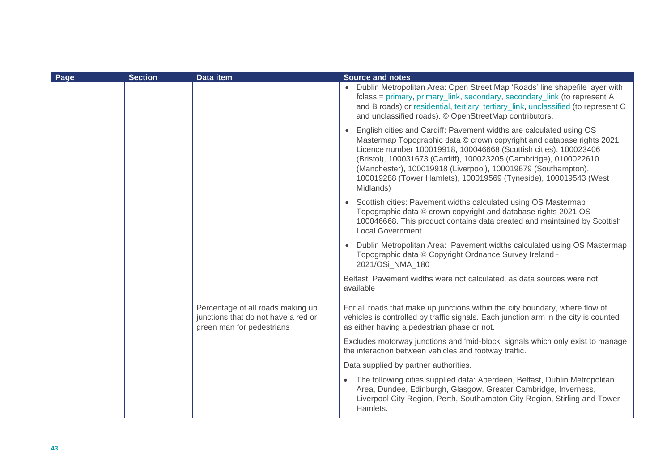| Page | <b>Section</b> | <b>Data item</b>                                                                                      | <b>Source and notes</b>                                                                                                                                                                                                                                                                                                                                                                                                                    |
|------|----------------|-------------------------------------------------------------------------------------------------------|--------------------------------------------------------------------------------------------------------------------------------------------------------------------------------------------------------------------------------------------------------------------------------------------------------------------------------------------------------------------------------------------------------------------------------------------|
|      |                |                                                                                                       | • Dublin Metropolitan Area: Open Street Map 'Roads' line shapefile layer with<br>fclass = primary, primary_link, secondary, secondary_link (to represent A<br>and B roads) or residential, tertiary, tertiary_link, unclassified (to represent C<br>and unclassified roads). © OpenStreetMap contributors.                                                                                                                                 |
|      |                |                                                                                                       | • English cities and Cardiff: Pavement widths are calculated using OS<br>Mastermap Topographic data © crown copyright and database rights 2021.<br>Licence number 100019918, 100046668 (Scottish cities), 100023406<br>(Bristol), 100031673 (Cardiff), 100023205 (Cambridge), 0100022610<br>(Manchester), 100019918 (Liverpool), 100019679 (Southampton),<br>100019288 (Tower Hamlets), 100019569 (Tyneside), 100019543 (West<br>Midlands) |
|      |                |                                                                                                       | • Scottish cities: Pavement widths calculated using OS Mastermap<br>Topographic data © crown copyright and database rights 2021 OS<br>100046668. This product contains data created and maintained by Scottish<br><b>Local Government</b>                                                                                                                                                                                                  |
|      |                |                                                                                                       | • Dublin Metropolitan Area: Pavement widths calculated using OS Mastermap<br>Topographic data © Copyright Ordnance Survey Ireland -<br>2021/OSi NMA 180                                                                                                                                                                                                                                                                                    |
|      |                |                                                                                                       | Belfast: Pavement widths were not calculated, as data sources were not<br>available                                                                                                                                                                                                                                                                                                                                                        |
|      |                | Percentage of all roads making up<br>junctions that do not have a red or<br>green man for pedestrians | For all roads that make up junctions within the city boundary, where flow of<br>vehicles is controlled by traffic signals. Each junction arm in the city is counted<br>as either having a pedestrian phase or not.                                                                                                                                                                                                                         |
|      |                |                                                                                                       | Excludes motorway junctions and 'mid-block' signals which only exist to manage<br>the interaction between vehicles and footway traffic.                                                                                                                                                                                                                                                                                                    |
|      |                |                                                                                                       | Data supplied by partner authorities.                                                                                                                                                                                                                                                                                                                                                                                                      |
|      |                |                                                                                                       | • The following cities supplied data: Aberdeen, Belfast, Dublin Metropolitan<br>Area, Dundee, Edinburgh, Glasgow, Greater Cambridge, Inverness,<br>Liverpool City Region, Perth, Southampton City Region, Stirling and Tower<br>Hamlets.                                                                                                                                                                                                   |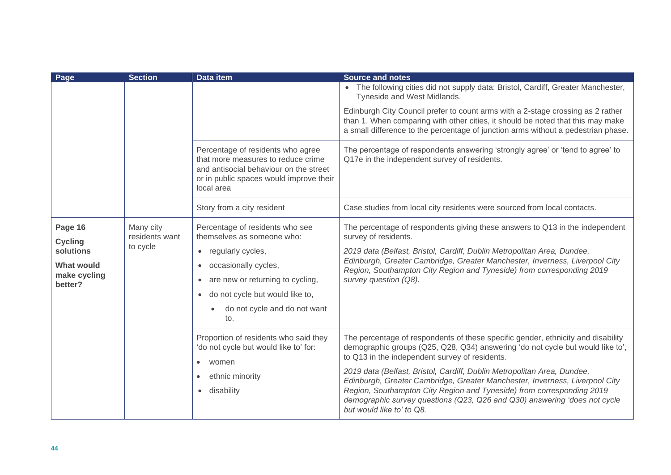| Page                              | <b>Section</b>              | Data item                                                                                                                                                                  | <b>Source and notes</b>                                                                                                                                                                                                                                                                                                                   |
|-----------------------------------|-----------------------------|----------------------------------------------------------------------------------------------------------------------------------------------------------------------------|-------------------------------------------------------------------------------------------------------------------------------------------------------------------------------------------------------------------------------------------------------------------------------------------------------------------------------------------|
|                                   |                             |                                                                                                                                                                            | • The following cities did not supply data: Bristol, Cardiff, Greater Manchester,<br>Tyneside and West Midlands.                                                                                                                                                                                                                          |
|                                   |                             |                                                                                                                                                                            | Edinburgh City Council prefer to count arms with a 2-stage crossing as 2 rather<br>than 1. When comparing with other cities, it should be noted that this may make<br>a small difference to the percentage of junction arms without a pedestrian phase.                                                                                   |
|                                   |                             | Percentage of residents who agree<br>that more measures to reduce crime<br>and antisocial behaviour on the street<br>or in public spaces would improve their<br>local area | The percentage of respondents answering 'strongly agree' or 'tend to agree' to<br>Q17e in the independent survey of residents.                                                                                                                                                                                                            |
|                                   |                             | Story from a city resident                                                                                                                                                 | Case studies from local city residents were sourced from local contacts.                                                                                                                                                                                                                                                                  |
| Page 16<br><b>Cycling</b>         | Many city<br>residents want | Percentage of residents who see<br>themselves as someone who:                                                                                                              | The percentage of respondents giving these answers to Q13 in the independent<br>survey of residents.                                                                                                                                                                                                                                      |
| solutions                         | to cycle                    | regularly cycles,<br>$\bullet$                                                                                                                                             | 2019 data (Belfast, Bristol, Cardiff, Dublin Metropolitan Area, Dundee,<br>Edinburgh, Greater Cambridge, Greater Manchester, Inverness, Liverpool City                                                                                                                                                                                    |
| <b>What would</b><br>make cycling |                             | occasionally cycles,<br>$\bullet$                                                                                                                                          | Region, Southampton City Region and Tyneside) from corresponding 2019                                                                                                                                                                                                                                                                     |
| better?                           |                             | are new or returning to cycling,<br>٠<br>do not cycle but would like to,                                                                                                   | survey question (Q8).                                                                                                                                                                                                                                                                                                                     |
|                                   |                             | do not cycle and do not want<br>to.                                                                                                                                        |                                                                                                                                                                                                                                                                                                                                           |
|                                   |                             | Proportion of residents who said they<br>'do not cycle but would like to' for:<br>women<br>$\bullet$                                                                       | The percentage of respondents of these specific gender, ethnicity and disability<br>demographic groups (Q25, Q28, Q34) answering 'do not cycle but would like to',<br>to Q13 in the independent survey of residents.                                                                                                                      |
|                                   |                             | ethnic minority<br>$\bullet$<br>disability<br>$\bullet$                                                                                                                    | 2019 data (Belfast, Bristol, Cardiff, Dublin Metropolitan Area, Dundee,<br>Edinburgh, Greater Cambridge, Greater Manchester, Inverness, Liverpool City<br>Region, Southampton City Region and Tyneside) from corresponding 2019<br>demographic survey questions (Q23, Q26 and Q30) answering 'does not cycle<br>but would like to' to Q8. |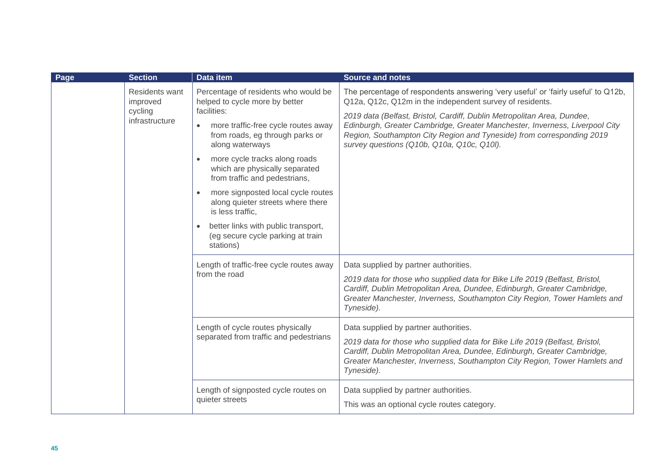| Page | <b>Section</b>                    | <b>Data item</b>                                                                                              | <b>Source and notes</b>                                                                                                                                                                                                                                                                     |
|------|-----------------------------------|---------------------------------------------------------------------------------------------------------------|---------------------------------------------------------------------------------------------------------------------------------------------------------------------------------------------------------------------------------------------------------------------------------------------|
|      | <b>Residents want</b><br>improved | Percentage of residents who would be<br>helped to cycle more by better                                        | The percentage of respondents answering 'very useful' or 'fairly useful' to Q12b,<br>Q12a, Q12c, Q12m in the independent survey of residents.                                                                                                                                               |
|      | cycling<br>infrastructure         | facilities:<br>more traffic-free cycle routes away<br>from roads, eg through parks or<br>along waterways      | 2019 data (Belfast, Bristol, Cardiff, Dublin Metropolitan Area, Dundee,<br>Edinburgh, Greater Cambridge, Greater Manchester, Inverness, Liverpool City<br>Region, Southampton City Region and Tyneside) from corresponding 2019<br>survey questions (Q10b, Q10a, Q10c, Q10l).               |
|      |                                   | more cycle tracks along roads<br>$\bullet$<br>which are physically separated<br>from traffic and pedestrians, |                                                                                                                                                                                                                                                                                             |
|      |                                   | more signposted local cycle routes<br>$\bullet$<br>along quieter streets where there<br>is less traffic,      |                                                                                                                                                                                                                                                                                             |
|      |                                   | better links with public transport,<br>(eg secure cycle parking at train<br>stations)                         |                                                                                                                                                                                                                                                                                             |
|      |                                   | Length of traffic-free cycle routes away<br>from the road                                                     | Data supplied by partner authorities.<br>2019 data for those who supplied data for Bike Life 2019 (Belfast, Bristol,<br>Cardiff, Dublin Metropolitan Area, Dundee, Edinburgh, Greater Cambridge,<br>Greater Manchester, Inverness, Southampton City Region, Tower Hamlets and<br>Tyneside). |
|      |                                   | Length of cycle routes physically<br>separated from traffic and pedestrians                                   | Data supplied by partner authorities.<br>2019 data for those who supplied data for Bike Life 2019 (Belfast, Bristol,<br>Cardiff, Dublin Metropolitan Area, Dundee, Edinburgh, Greater Cambridge,<br>Greater Manchester, Inverness, Southampton City Region, Tower Hamlets and<br>Tyneside). |
|      |                                   | Length of signposted cycle routes on<br>quieter streets                                                       | Data supplied by partner authorities.<br>This was an optional cycle routes category.                                                                                                                                                                                                        |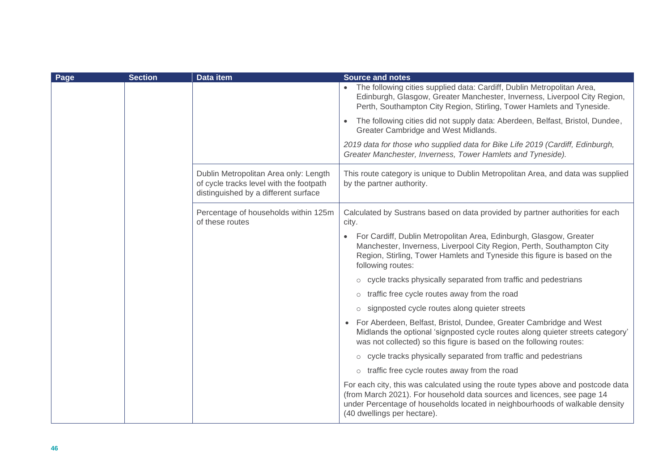| Page | <b>Section</b> | Data item                                                                                                                | <b>Source and notes</b>                                                                                                                                                                                                                                                    |
|------|----------------|--------------------------------------------------------------------------------------------------------------------------|----------------------------------------------------------------------------------------------------------------------------------------------------------------------------------------------------------------------------------------------------------------------------|
|      |                |                                                                                                                          | The following cities supplied data: Cardiff, Dublin Metropolitan Area,<br>Edinburgh, Glasgow, Greater Manchester, Inverness, Liverpool City Region,<br>Perth, Southampton City Region, Stirling, Tower Hamlets and Tyneside.                                               |
|      |                |                                                                                                                          | The following cities did not supply data: Aberdeen, Belfast, Bristol, Dundee,<br>$\bullet$<br>Greater Cambridge and West Midlands.                                                                                                                                         |
|      |                |                                                                                                                          | 2019 data for those who supplied data for Bike Life 2019 (Cardiff, Edinburgh,<br>Greater Manchester, Inverness, Tower Hamlets and Tyneside).                                                                                                                               |
|      |                | Dublin Metropolitan Area only: Length<br>of cycle tracks level with the footpath<br>distinguished by a different surface | This route category is unique to Dublin Metropolitan Area, and data was supplied<br>by the partner authority.                                                                                                                                                              |
|      |                | Percentage of households within 125m<br>of these routes                                                                  | Calculated by Sustrans based on data provided by partner authorities for each<br>city.                                                                                                                                                                                     |
|      |                |                                                                                                                          | For Cardiff, Dublin Metropolitan Area, Edinburgh, Glasgow, Greater<br>Manchester, Inverness, Liverpool City Region, Perth, Southampton City<br>Region, Stirling, Tower Hamlets and Tyneside this figure is based on the<br>following routes:                               |
|      |                |                                                                                                                          | o cycle tracks physically separated from traffic and pedestrians                                                                                                                                                                                                           |
|      |                |                                                                                                                          | traffic free cycle routes away from the road<br>$\circ$                                                                                                                                                                                                                    |
|      |                |                                                                                                                          | signposted cycle routes along quieter streets<br>$\circ$                                                                                                                                                                                                                   |
|      |                |                                                                                                                          | • For Aberdeen, Belfast, Bristol, Dundee, Greater Cambridge and West<br>Midlands the optional 'signposted cycle routes along quieter streets category'<br>was not collected) so this figure is based on the following routes:                                              |
|      |                |                                                                                                                          | o cycle tracks physically separated from traffic and pedestrians                                                                                                                                                                                                           |
|      |                |                                                                                                                          | $\circ$ traffic free cycle routes away from the road                                                                                                                                                                                                                       |
|      |                |                                                                                                                          | For each city, this was calculated using the route types above and postcode data<br>(from March 2021). For household data sources and licences, see page 14<br>under Percentage of households located in neighbourhoods of walkable density<br>(40 dwellings per hectare). |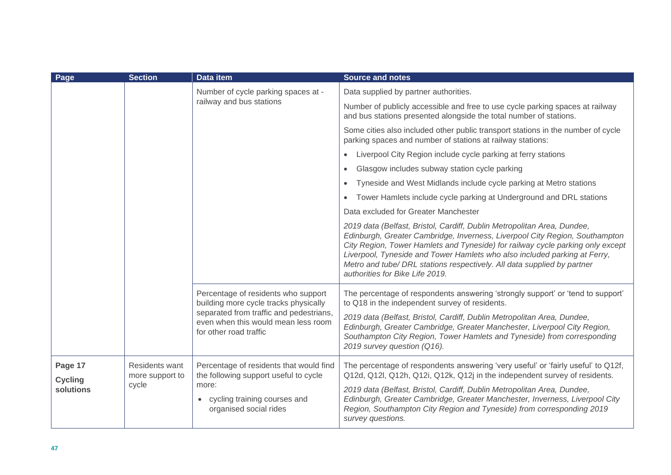| Page                                   | <b>Section</b>                             | <b>Data item</b>                                                                                                                                               | <b>Source and notes</b>                                                                                                                                                                                                                                                                                                                                                                                                             |
|----------------------------------------|--------------------------------------------|----------------------------------------------------------------------------------------------------------------------------------------------------------------|-------------------------------------------------------------------------------------------------------------------------------------------------------------------------------------------------------------------------------------------------------------------------------------------------------------------------------------------------------------------------------------------------------------------------------------|
|                                        |                                            | Number of cycle parking spaces at -<br>railway and bus stations                                                                                                | Data supplied by partner authorities.                                                                                                                                                                                                                                                                                                                                                                                               |
|                                        |                                            |                                                                                                                                                                | Number of publicly accessible and free to use cycle parking spaces at railway<br>and bus stations presented alongside the total number of stations.                                                                                                                                                                                                                                                                                 |
|                                        |                                            |                                                                                                                                                                | Some cities also included other public transport stations in the number of cycle<br>parking spaces and number of stations at railway stations:                                                                                                                                                                                                                                                                                      |
|                                        |                                            |                                                                                                                                                                | Liverpool City Region include cycle parking at ferry stations<br>$\bullet$                                                                                                                                                                                                                                                                                                                                                          |
|                                        |                                            |                                                                                                                                                                | Glasgow includes subway station cycle parking<br>$\bullet$                                                                                                                                                                                                                                                                                                                                                                          |
|                                        |                                            |                                                                                                                                                                | Tyneside and West Midlands include cycle parking at Metro stations<br>$\bullet$                                                                                                                                                                                                                                                                                                                                                     |
|                                        |                                            |                                                                                                                                                                | Tower Hamlets include cycle parking at Underground and DRL stations<br>$\bullet$                                                                                                                                                                                                                                                                                                                                                    |
|                                        |                                            |                                                                                                                                                                | Data excluded for Greater Manchester                                                                                                                                                                                                                                                                                                                                                                                                |
|                                        |                                            |                                                                                                                                                                | 2019 data (Belfast, Bristol, Cardiff, Dublin Metropolitan Area, Dundee,<br>Edinburgh, Greater Cambridge, Inverness, Liverpool City Region, Southampton<br>City Region, Tower Hamlets and Tyneside) for railway cycle parking only except<br>Liverpool, Tyneside and Tower Hamlets who also included parking at Ferry,<br>Metro and tube/ DRL stations respectively. All data supplied by partner<br>authorities for Bike Life 2019. |
|                                        | for other road traffic                     | Percentage of residents who support<br>building more cycle tracks physically<br>separated from traffic and pedestrians,<br>even when this would mean less room | The percentage of respondents answering 'strongly support' or 'tend to support'<br>to Q18 in the independent survey of residents.<br>2019 data (Belfast, Bristol, Cardiff, Dublin Metropolitan Area, Dundee,<br>Edinburgh, Greater Cambridge, Greater Manchester, Liverpool City Region,<br>Southampton City Region, Tower Hamlets and Tyneside) from corresponding<br>2019 survey question (Q16).                                  |
| Page 17<br><b>Cycling</b><br>solutions | Residents want<br>more support to<br>cycle | Percentage of residents that would find<br>the following support useful to cycle<br>more:                                                                      | The percentage of respondents answering 'very useful' or 'fairly useful' to Q12f,<br>Q12d, Q12l, Q12h, Q12i, Q12k, Q12j in the independent survey of residents.                                                                                                                                                                                                                                                                     |
|                                        |                                            | cycling training courses and<br>organised social rides                                                                                                         | 2019 data (Belfast, Bristol, Cardiff, Dublin Metropolitan Area, Dundee,<br>Edinburgh, Greater Cambridge, Greater Manchester, Inverness, Liverpool City<br>Region, Southampton City Region and Tyneside) from corresponding 2019<br>survey questions.                                                                                                                                                                                |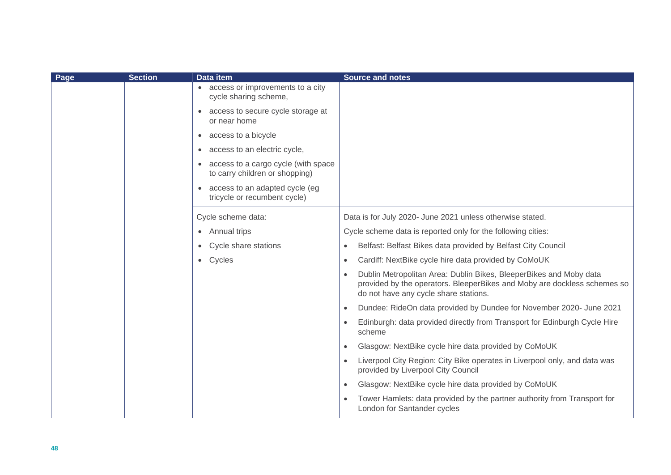| Page | <b>Section</b> | <b>Data item</b>                                                        | <b>Source and notes</b>                                                                                                                                                                              |
|------|----------------|-------------------------------------------------------------------------|------------------------------------------------------------------------------------------------------------------------------------------------------------------------------------------------------|
|      |                | access or improvements to a city<br>$\bullet$<br>cycle sharing scheme,  |                                                                                                                                                                                                      |
|      |                | access to secure cycle storage at<br>$\bullet$<br>or near home          |                                                                                                                                                                                                      |
|      |                | access to a bicycle<br>$\bullet$                                        |                                                                                                                                                                                                      |
|      |                | access to an electric cycle,<br>$\bullet$                               |                                                                                                                                                                                                      |
|      |                | • access to a cargo cycle (with space<br>to carry children or shopping) |                                                                                                                                                                                                      |
|      |                | • access to an adapted cycle (eg<br>tricycle or recumbent cycle)        |                                                                                                                                                                                                      |
|      |                | Cycle scheme data:                                                      | Data is for July 2020- June 2021 unless otherwise stated.                                                                                                                                            |
|      |                | • Annual trips                                                          | Cycle scheme data is reported only for the following cities:                                                                                                                                         |
|      |                | Cycle share stations<br>$\bullet$                                       | Belfast: Belfast Bikes data provided by Belfast City Council<br>$\bullet$                                                                                                                            |
|      |                | • Cycles                                                                | Cardiff: NextBike cycle hire data provided by CoMoUK<br>$\bullet$                                                                                                                                    |
|      |                |                                                                         | Dublin Metropolitan Area: Dublin Bikes, BleeperBikes and Moby data<br>$\bullet$<br>provided by the operators. BleeperBikes and Moby are dockless schemes so<br>do not have any cycle share stations. |
|      |                |                                                                         | Dundee: RideOn data provided by Dundee for November 2020- June 2021<br>$\bullet$                                                                                                                     |
|      |                |                                                                         | Edinburgh: data provided directly from Transport for Edinburgh Cycle Hire<br>scheme                                                                                                                  |
|      |                |                                                                         | Glasgow: NextBike cycle hire data provided by CoMoUK<br>$\bullet$                                                                                                                                    |
|      |                |                                                                         | Liverpool City Region: City Bike operates in Liverpool only, and data was<br>provided by Liverpool City Council                                                                                      |
|      |                |                                                                         | Glasgow: NextBike cycle hire data provided by CoMoUK<br>$\bullet$                                                                                                                                    |
|      |                |                                                                         | Tower Hamlets: data provided by the partner authority from Transport for<br>$\bullet$<br>London for Santander cycles                                                                                 |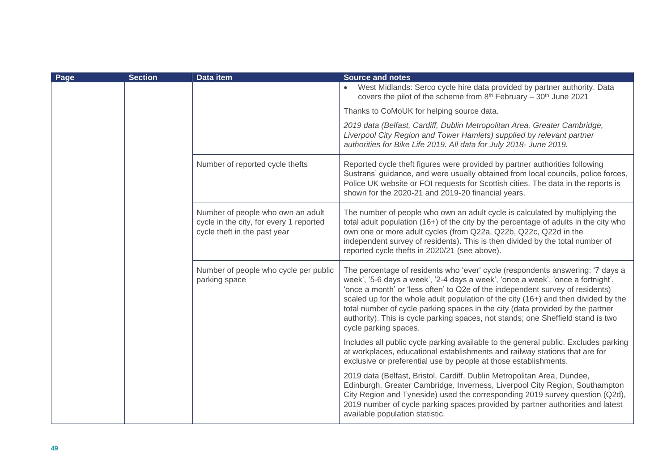| Page | <b>Section</b> | Data item                                                                                                    | <b>Source and notes</b>                                                                                                                                                                                                                                                                                                                                                                                                                                                                                                                 |
|------|----------------|--------------------------------------------------------------------------------------------------------------|-----------------------------------------------------------------------------------------------------------------------------------------------------------------------------------------------------------------------------------------------------------------------------------------------------------------------------------------------------------------------------------------------------------------------------------------------------------------------------------------------------------------------------------------|
|      |                |                                                                                                              | West Midlands: Serco cycle hire data provided by partner authority. Data<br>covers the pilot of the scheme from $8th$ February - $30th$ June 2021                                                                                                                                                                                                                                                                                                                                                                                       |
|      |                |                                                                                                              | Thanks to CoMoUK for helping source data.                                                                                                                                                                                                                                                                                                                                                                                                                                                                                               |
|      |                |                                                                                                              | 2019 data (Belfast, Cardiff, Dublin Metropolitan Area, Greater Cambridge,<br>Liverpool City Region and Tower Hamlets) supplied by relevant partner<br>authorities for Bike Life 2019. All data for July 2018- June 2019.                                                                                                                                                                                                                                                                                                                |
|      |                | Number of reported cycle thefts                                                                              | Reported cycle theft figures were provided by partner authorities following<br>Sustrans' guidance, and were usually obtained from local councils, police forces,<br>Police UK website or FOI requests for Scottish cities. The data in the reports is<br>shown for the 2020-21 and 2019-20 financial years.                                                                                                                                                                                                                             |
|      |                | Number of people who own an adult<br>cycle in the city, for every 1 reported<br>cycle theft in the past year | The number of people who own an adult cycle is calculated by multiplying the<br>total adult population (16+) of the city by the percentage of adults in the city who<br>own one or more adult cycles (from Q22a, Q22b, Q22c, Q22d in the<br>independent survey of residents). This is then divided by the total number of<br>reported cycle thefts in 2020/21 (see above).                                                                                                                                                              |
|      |                | Number of people who cycle per public<br>parking space                                                       | The percentage of residents who 'ever' cycle (respondents answering: '7 days a<br>week', '5-6 days a week', '2-4 days a week', 'once a week', 'once a fortnight',<br>'once a month' or 'less often' to Q2e of the independent survey of residents)<br>scaled up for the whole adult population of the city (16+) and then divided by the<br>total number of cycle parking spaces in the city (data provided by the partner<br>authority). This is cycle parking spaces, not stands; one Sheffield stand is two<br>cycle parking spaces. |
|      |                |                                                                                                              | Includes all public cycle parking available to the general public. Excludes parking<br>at workplaces, educational establishments and railway stations that are for<br>exclusive or preferential use by people at those establishments.                                                                                                                                                                                                                                                                                                  |
|      |                |                                                                                                              | 2019 data (Belfast, Bristol, Cardiff, Dublin Metropolitan Area, Dundee,<br>Edinburgh, Greater Cambridge, Inverness, Liverpool City Region, Southampton<br>City Region and Tyneside) used the corresponding 2019 survey question (Q2d),<br>2019 number of cycle parking spaces provided by partner authorities and latest<br>available population statistic.                                                                                                                                                                             |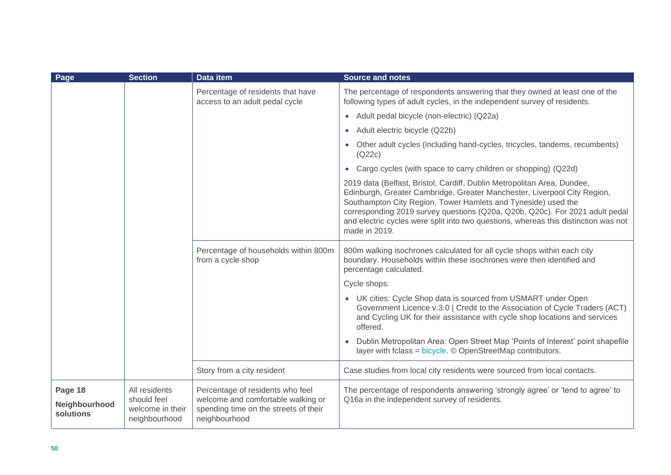| Page                                  | <b>Section</b>                                                    | Data item                                                                                                                        | <b>Source and notes</b>                                                                                                                                                                                                                                                                                                                                                                                      |
|---------------------------------------|-------------------------------------------------------------------|----------------------------------------------------------------------------------------------------------------------------------|--------------------------------------------------------------------------------------------------------------------------------------------------------------------------------------------------------------------------------------------------------------------------------------------------------------------------------------------------------------------------------------------------------------|
|                                       |                                                                   | Percentage of residents that have<br>access to an adult pedal cycle                                                              | The percentage of respondents answering that they owned at least one of the<br>following types of adult cycles, in the independent survey of residents.                                                                                                                                                                                                                                                      |
|                                       |                                                                   |                                                                                                                                  | • Adult pedal bicycle (non-electric) (Q22a)                                                                                                                                                                                                                                                                                                                                                                  |
|                                       |                                                                   |                                                                                                                                  | Adult electric bicycle (Q22b)<br>$\bullet$                                                                                                                                                                                                                                                                                                                                                                   |
|                                       |                                                                   |                                                                                                                                  | Other adult cycles (including hand-cycles, tricycles, tandems, recumbents)<br>(Q22c)                                                                                                                                                                                                                                                                                                                         |
|                                       |                                                                   |                                                                                                                                  | • Cargo cycles (with space to carry children or shopping) (Q22d)                                                                                                                                                                                                                                                                                                                                             |
|                                       |                                                                   |                                                                                                                                  | 2019 data (Belfast, Bristol, Cardiff, Dublin Metropolitan Area, Dundee,<br>Edinburgh, Greater Cambridge, Greater Manchester, Liverpool City Region,<br>Southampton City Region, Tower Hamlets and Tyneside) used the<br>corresponding 2019 survey questions (Q20a, Q20b, Q20c). For 2021 adult pedal<br>and electric cycles were split into two questions, whereas this distinction was not<br>made in 2019. |
|                                       |                                                                   | Percentage of households within 800m<br>from a cycle shop                                                                        | 800m walking isochrones calculated for all cycle shops within each city<br>boundary. Households within these isochrones were then identified and<br>percentage calculated.                                                                                                                                                                                                                                   |
|                                       |                                                                   |                                                                                                                                  | Cycle shops:                                                                                                                                                                                                                                                                                                                                                                                                 |
|                                       |                                                                   |                                                                                                                                  | • UK cities: Cycle Shop data is sourced from USMART under Open<br>Government Licence v.3.0   Credit to the Association of Cycle Traders (ACT)<br>and Cycling UK for their assistance with cycle shop locations and services<br>offered.                                                                                                                                                                      |
|                                       |                                                                   |                                                                                                                                  | Dublin Metropolitan Area: Open Street Map 'Points of Interest' point shapefile<br>layer with fclass = bicycle. © OpenStreetMap contributors.                                                                                                                                                                                                                                                                 |
|                                       |                                                                   | Story from a city resident                                                                                                       | Case studies from local city residents were sourced from local contacts.                                                                                                                                                                                                                                                                                                                                     |
| Page 18<br>Neighbourhood<br>solutions | All residents<br>should feel<br>welcome in their<br>neighbourhood | Percentage of residents who feel<br>welcome and comfortable walking or<br>spending time on the streets of their<br>neighbourhood | The percentage of respondents answering 'strongly agree' or 'tend to agree' to<br>Q16a in the independent survey of residents.                                                                                                                                                                                                                                                                               |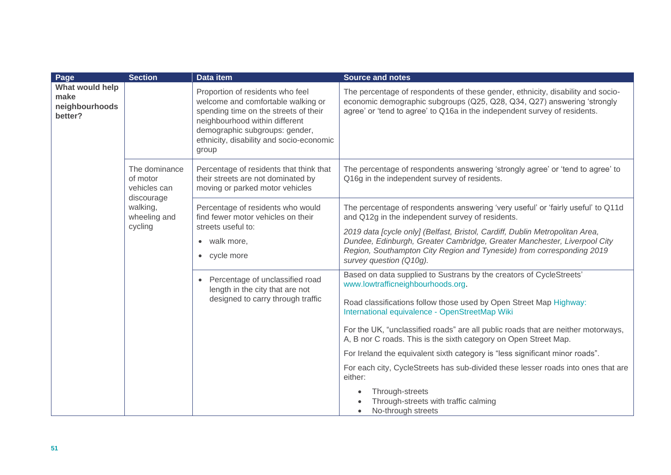| Page                                                                                                                                                   | <b>Section</b> | <b>Data item</b>                                                                                                                                                                                                                           | <b>Source and notes</b>                                                                                                                                                                                                                                      |
|--------------------------------------------------------------------------------------------------------------------------------------------------------|----------------|--------------------------------------------------------------------------------------------------------------------------------------------------------------------------------------------------------------------------------------------|--------------------------------------------------------------------------------------------------------------------------------------------------------------------------------------------------------------------------------------------------------------|
| What would help<br>make<br>neighbourhoods<br>better?<br>The dominance<br>of motor<br>vehicles can<br>discourage<br>walking,<br>wheeling and<br>cycling |                | Proportion of residents who feel<br>welcome and comfortable walking or<br>spending time on the streets of their<br>neighbourhood within different<br>demographic subgroups: gender,<br>ethnicity, disability and socio-economic<br>group   | The percentage of respondents of these gender, ethnicity, disability and socio-<br>economic demographic subgroups (Q25, Q28, Q34, Q27) answering 'strongly<br>agree' or 'tend to agree' to Q16a in the independent survey of residents.                      |
|                                                                                                                                                        |                | Percentage of residents that think that<br>their streets are not dominated by<br>moving or parked motor vehicles                                                                                                                           | The percentage of respondents answering 'strongly agree' or 'tend to agree' to<br>Q16g in the independent survey of residents.                                                                                                                               |
|                                                                                                                                                        |                | Percentage of residents who would<br>find fewer motor vehicles on their<br>streets useful to:<br>• walk more,<br>• cycle more<br>• Percentage of unclassified road<br>length in the city that are not<br>designed to carry through traffic | The percentage of respondents answering 'very useful' or 'fairly useful' to Q11d<br>and Q12g in the independent survey of residents.                                                                                                                         |
|                                                                                                                                                        |                |                                                                                                                                                                                                                                            | 2019 data [cycle only] (Belfast, Bristol, Cardiff, Dublin Metropolitan Area,<br>Dundee, Edinburgh, Greater Cambridge, Greater Manchester, Liverpool City<br>Region, Southampton City Region and Tyneside) from corresponding 2019<br>survey question (Q10g). |
|                                                                                                                                                        |                |                                                                                                                                                                                                                                            | Based on data supplied to Sustrans by the creators of CycleStreets'<br>www.lowtrafficneighbourhoods.org.<br>Road classifications follow those used by Open Street Map Highway:<br>International equivalence - OpenStreetMap Wiki                             |
|                                                                                                                                                        |                |                                                                                                                                                                                                                                            | For the UK, "unclassified roads" are all public roads that are neither motorways,<br>A, B nor C roads. This is the sixth category on Open Street Map.                                                                                                        |
|                                                                                                                                                        |                |                                                                                                                                                                                                                                            | For Ireland the equivalent sixth category is "less significant minor roads".                                                                                                                                                                                 |
|                                                                                                                                                        |                |                                                                                                                                                                                                                                            | For each city, CycleStreets has sub-divided these lesser roads into ones that are<br>either:                                                                                                                                                                 |
|                                                                                                                                                        |                |                                                                                                                                                                                                                                            | Through-streets<br>Through-streets with traffic calming<br>No-through streets<br>$\bullet$                                                                                                                                                                   |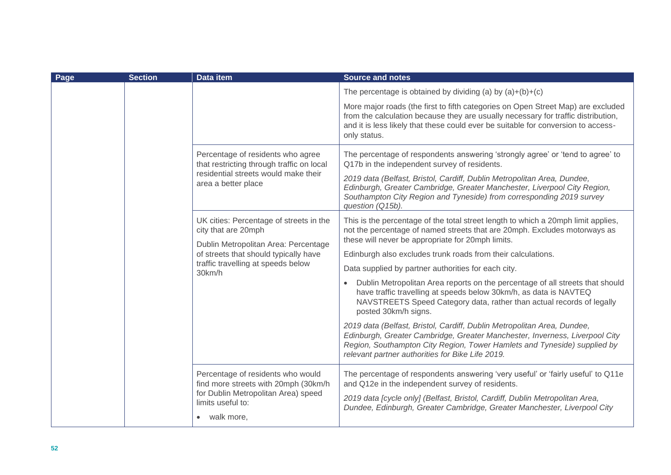| Page | <b>Section</b> | <b>Data item</b>                                                                                                                              | <b>Source and notes</b>                                                                                                                                                                                                                                                                |
|------|----------------|-----------------------------------------------------------------------------------------------------------------------------------------------|----------------------------------------------------------------------------------------------------------------------------------------------------------------------------------------------------------------------------------------------------------------------------------------|
|      |                |                                                                                                                                               | The percentage is obtained by dividing (a) by $(a)+(b)+(c)$                                                                                                                                                                                                                            |
|      |                |                                                                                                                                               | More major roads (the first to fifth categories on Open Street Map) are excluded<br>from the calculation because they are usually necessary for traffic distribution,<br>and it is less likely that these could ever be suitable for conversion to access-<br>only status.             |
|      |                | Percentage of residents who agree<br>that restricting through traffic on local<br>residential streets would make their<br>area a better place | The percentage of respondents answering 'strongly agree' or 'tend to agree' to<br>Q17b in the independent survey of residents.                                                                                                                                                         |
|      |                |                                                                                                                                               | 2019 data (Belfast, Bristol, Cardiff, Dublin Metropolitan Area, Dundee,<br>Edinburgh, Greater Cambridge, Greater Manchester, Liverpool City Region,<br>Southampton City Region and Tyneside) from corresponding 2019 survey<br>question (Q15b).                                        |
|      |                | UK cities: Percentage of streets in the<br>city that are 20mph                                                                                | This is the percentage of the total street length to which a 20mph limit applies,<br>not the percentage of named streets that are 20mph. Excludes motorways as<br>these will never be appropriate for 20mph limits.                                                                    |
|      |                | Dublin Metropolitan Area: Percentage<br>of streets that should typically have<br>traffic travelling at speeds below<br>30km/h                 | Edinburgh also excludes trunk roads from their calculations.                                                                                                                                                                                                                           |
|      |                |                                                                                                                                               | Data supplied by partner authorities for each city.                                                                                                                                                                                                                                    |
|      |                |                                                                                                                                               | Dublin Metropolitan Area reports on the percentage of all streets that should<br>have traffic travelling at speeds below 30km/h, as data is NAVTEQ<br>NAVSTREETS Speed Category data, rather than actual records of legally<br>posted 30km/h signs.                                    |
|      |                |                                                                                                                                               | 2019 data (Belfast, Bristol, Cardiff, Dublin Metropolitan Area, Dundee,<br>Edinburgh, Greater Cambridge, Greater Manchester, Inverness, Liverpool City<br>Region, Southampton City Region, Tower Hamlets and Tyneside) supplied by<br>relevant partner authorities for Bike Life 2019. |
|      |                | Percentage of residents who would<br>find more streets with 20mph (30km/h                                                                     | The percentage of respondents answering 'very useful' or 'fairly useful' to Q11e<br>and Q12e in the independent survey of residents.                                                                                                                                                   |
|      |                | for Dublin Metropolitan Area) speed<br>limits useful to:<br>• walk more,                                                                      | 2019 data [cycle only] (Belfast, Bristol, Cardiff, Dublin Metropolitan Area,<br>Dundee, Edinburgh, Greater Cambridge, Greater Manchester, Liverpool City                                                                                                                               |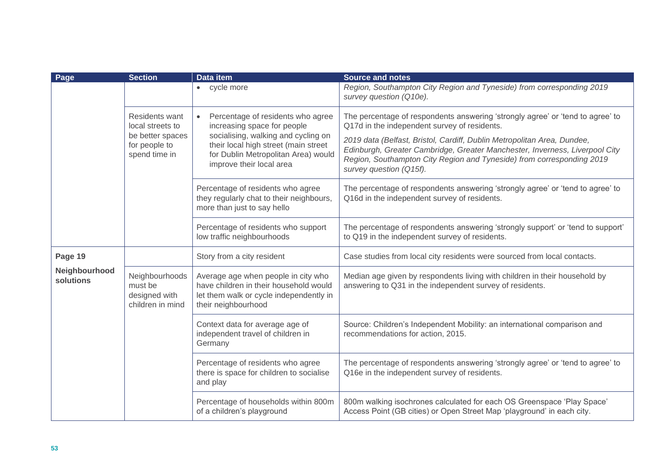| Page                       | <b>Section</b>                                                                           | Data item                                                                                                                                                                                                          | <b>Source and notes</b>                                                                                                                                                                                                                                    |
|----------------------------|------------------------------------------------------------------------------------------|--------------------------------------------------------------------------------------------------------------------------------------------------------------------------------------------------------------------|------------------------------------------------------------------------------------------------------------------------------------------------------------------------------------------------------------------------------------------------------------|
|                            |                                                                                          | • cycle more                                                                                                                                                                                                       | Region, Southampton City Region and Tyneside) from corresponding 2019<br>survey question (Q10e).                                                                                                                                                           |
|                            | Residents want<br>local streets to<br>be better spaces<br>for people to<br>spend time in | Percentage of residents who agree<br>increasing space for people<br>socialising, walking and cycling on<br>their local high street (main street<br>for Dublin Metropolitan Area) would<br>improve their local area | The percentage of respondents answering 'strongly agree' or 'tend to agree' to<br>Q17d in the independent survey of residents.                                                                                                                             |
|                            |                                                                                          |                                                                                                                                                                                                                    | 2019 data (Belfast, Bristol, Cardiff, Dublin Metropolitan Area, Dundee,<br>Edinburgh, Greater Cambridge, Greater Manchester, Inverness, Liverpool City<br>Region, Southampton City Region and Tyneside) from corresponding 2019<br>survey question (Q15f). |
|                            |                                                                                          | Percentage of residents who agree<br>they regularly chat to their neighbours,<br>more than just to say hello                                                                                                       | The percentage of respondents answering 'strongly agree' or 'tend to agree' to<br>Q16d in the independent survey of residents.                                                                                                                             |
|                            |                                                                                          | Percentage of residents who support<br>low traffic neighbourhoods                                                                                                                                                  | The percentage of respondents answering 'strongly support' or 'tend to support'<br>to Q19 in the independent survey of residents.                                                                                                                          |
| Page 19                    |                                                                                          | Story from a city resident                                                                                                                                                                                         | Case studies from local city residents were sourced from local contacts.                                                                                                                                                                                   |
| Neighbourhood<br>solutions | Neighbourhoods<br>must be<br>designed with<br>children in mind                           | Average age when people in city who<br>have children in their household would<br>let them walk or cycle independently in<br>their neighbourhood                                                                    | Median age given by respondents living with children in their household by<br>answering to Q31 in the independent survey of residents.                                                                                                                     |
|                            |                                                                                          | Context data for average age of<br>independent travel of children in<br>Germany                                                                                                                                    | Source: Children's Independent Mobility: an international comparison and<br>recommendations for action, 2015.                                                                                                                                              |
|                            |                                                                                          | Percentage of residents who agree<br>there is space for children to socialise<br>and play                                                                                                                          | The percentage of respondents answering 'strongly agree' or 'tend to agree' to<br>Q16e in the independent survey of residents.                                                                                                                             |
|                            |                                                                                          | Percentage of households within 800m<br>of a children's playground                                                                                                                                                 | 800m walking isochrones calculated for each OS Greenspace 'Play Space'<br>Access Point (GB cities) or Open Street Map 'playground' in each city.                                                                                                           |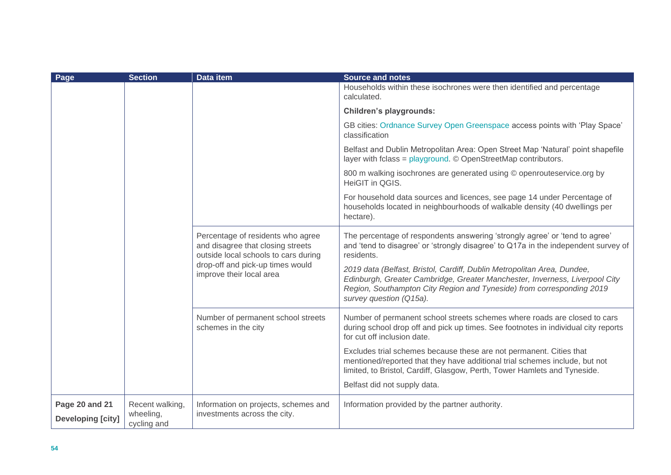| Page                                       | <b>Section</b>                              | <b>Data item</b>                                                                                                                                                               | <b>Source and notes</b>                                                                                                                                                                                                                                    |
|--------------------------------------------|---------------------------------------------|--------------------------------------------------------------------------------------------------------------------------------------------------------------------------------|------------------------------------------------------------------------------------------------------------------------------------------------------------------------------------------------------------------------------------------------------------|
|                                            |                                             |                                                                                                                                                                                | Households within these isochrones were then identified and percentage<br>calculated.                                                                                                                                                                      |
|                                            |                                             |                                                                                                                                                                                | <b>Children's playgrounds:</b>                                                                                                                                                                                                                             |
|                                            |                                             |                                                                                                                                                                                | GB cities: Ordnance Survey Open Greenspace access points with 'Play Space'<br>classification                                                                                                                                                               |
|                                            |                                             |                                                                                                                                                                                | Belfast and Dublin Metropolitan Area: Open Street Map 'Natural' point shapefile<br>layer with fclass = $playground$ . © OpenStreetMap contributors.                                                                                                        |
|                                            |                                             |                                                                                                                                                                                | 800 m walking isochrones are generated using © openrouteservice.org by<br>HeiGIT in QGIS.                                                                                                                                                                  |
|                                            |                                             |                                                                                                                                                                                | For household data sources and licences, see page 14 under Percentage of<br>households located in neighbourhoods of walkable density (40 dwellings per<br>hectare).                                                                                        |
|                                            |                                             | Percentage of residents who agree<br>and disagree that closing streets<br>outside local schools to cars during<br>drop-off and pick-up times would<br>improve their local area | The percentage of respondents answering 'strongly agree' or 'tend to agree'<br>and 'tend to disagree' or 'strongly disagree' to Q17a in the independent survey of<br>residents.                                                                            |
|                                            |                                             |                                                                                                                                                                                | 2019 data (Belfast, Bristol, Cardiff, Dublin Metropolitan Area, Dundee,<br>Edinburgh, Greater Cambridge, Greater Manchester, Inverness, Liverpool City<br>Region, Southampton City Region and Tyneside) from corresponding 2019<br>survey question (Q15a). |
|                                            |                                             | Number of permanent school streets<br>schemes in the city                                                                                                                      | Number of permanent school streets schemes where roads are closed to cars<br>during school drop off and pick up times. See footnotes in individual city reports<br>for cut off inclusion date.                                                             |
|                                            |                                             |                                                                                                                                                                                | Excludes trial schemes because these are not permanent. Cities that<br>mentioned/reported that they have additional trial schemes include, but not<br>limited, to Bristol, Cardiff, Glasgow, Perth, Tower Hamlets and Tyneside.                            |
|                                            |                                             |                                                                                                                                                                                | Belfast did not supply data.                                                                                                                                                                                                                               |
| Page 20 and 21<br><b>Developing [city]</b> | Recent walking,<br>wheeling,<br>cycling and | Information on projects, schemes and<br>investments across the city.                                                                                                           | Information provided by the partner authority.                                                                                                                                                                                                             |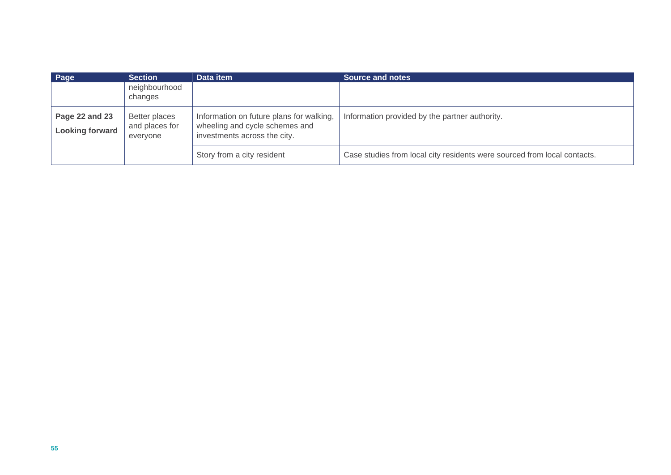| Page                                     | <b>Section</b>                              | Data item                                                                                                  | <b>Source and notes</b>                                                  |
|------------------------------------------|---------------------------------------------|------------------------------------------------------------------------------------------------------------|--------------------------------------------------------------------------|
|                                          | neighbourhood<br>changes                    |                                                                                                            |                                                                          |
| Page 22 and 23<br><b>Looking forward</b> | Better places<br>and places for<br>everyone | Information on future plans for walking,<br>wheeling and cycle schemes and<br>investments across the city. | Information provided by the partner authority.                           |
|                                          |                                             | Story from a city resident                                                                                 | Case studies from local city residents were sourced from local contacts. |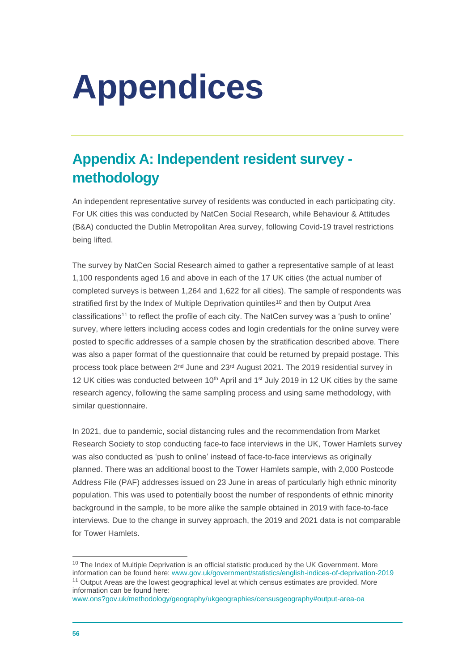# **Appendices**

# **Appendix A: Independent resident survey methodology**

An independent representative survey of residents was conducted in each participating city. For UK cities this was conducted by NatCen Social Research, while Behaviour & Attitudes (B&A) conducted the Dublin Metropolitan Area survey, following Covid-19 travel restrictions being lifted.

The survey by NatCen Social Research aimed to gather a representative sample of at least 1,100 respondents aged 16 and above in each of the 17 UK cities (the actual number of completed surveys is between 1,264 and 1,622 for all cities). The sample of respondents was stratified first by the Index of Multiple Deprivation quintiles<sup>10</sup> and then by Output Area classifications<sup>11</sup> to reflect the profile of each city. The NatCen survey was a 'push to online' survey, where letters including access codes and login credentials for the online survey were posted to specific addresses of a sample chosen by the stratification described above. There was also a paper format of the questionnaire that could be returned by prepaid postage. This process took place between 2<sup>nd</sup> June and 23<sup>rd</sup> August 2021. The 2019 residential survey in 12 UK cities was conducted between  $10<sup>th</sup>$  April and  $1<sup>st</sup>$  July 2019 in 12 UK cities by the same research agency, following the same sampling process and using same methodology, with similar questionnaire.

In 2021, due to pandemic, social distancing rules and the recommendation from Market Research Society to stop conducting face-to face interviews in the UK, Tower Hamlets survey was also conducted as 'push to online' instead of face-to-face interviews as originally planned. There was an additional boost to the Tower Hamlets sample, with 2,000 Postcode Address File (PAF) addresses issued on 23 June in areas of particularly high ethnic minority population. This was used to potentially boost the number of respondents of ethnic minority background in the sample, to be more alike the sample obtained in 2019 with face-to-face interviews. Due to the change in survey approach, the 2019 and 2021 data is not comparable for Tower Hamlets.

<sup>&</sup>lt;sup>10</sup> The Index of Multiple Deprivation is an official statistic produced by the UK Government. More information can be found here: [www.gov.uk/government/statistics/english-indices-of-deprivation-2019](https://www.gov.uk/government/statistics/english-indices-of-deprivation-2019) <sup>11</sup> Output Areas are the lowest geographical level at which census estimates are provided. More information can be found here:

[www.ons?gov.uk/methodology/geography/ukgeographies/censusgeography#output-area-oa](http://www.ons/?gov.uk/methodology/geography/ukgeographies/censusgeography#output-area-oa)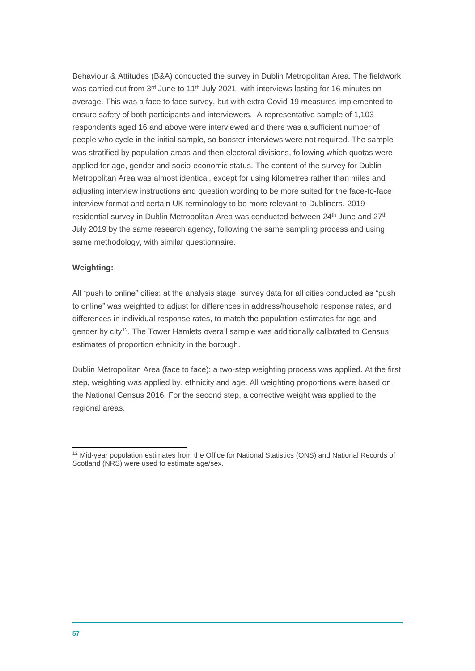Behaviour & Attitudes (B&A) conducted the survey in Dublin Metropolitan Area. The fieldwork was carried out from 3<sup>rd</sup> June to 11<sup>th</sup> July 2021, with interviews lasting for 16 minutes on average. This was a face to face survey, but with extra Covid-19 measures implemented to ensure safety of both participants and interviewers. A representative sample of 1,103 respondents aged 16 and above were interviewed and there was a sufficient number of people who cycle in the initial sample, so booster interviews were not required. The sample was stratified by population areas and then electoral divisions, following which quotas were applied for age, gender and socio-economic status. The content of the survey for Dublin Metropolitan Area was almost identical, except for using kilometres rather than miles and adjusting interview instructions and question wording to be more suited for the face-to-face interview format and certain UK terminology to be more relevant to Dubliners. 2019 residential survey in Dublin Metropolitan Area was conducted between 24<sup>th</sup> June and 27<sup>th</sup> July 2019 by the same research agency, following the same sampling process and using same methodology, with similar questionnaire.

# **Weighting:**

All "push to online" cities: at the analysis stage, survey data for all cities conducted as "push to online" was weighted to adjust for differences in address/household response rates, and differences in individual response rates, to match the population estimates for age and gender by city<sup>12</sup>. The Tower Hamlets overall sample was additionally calibrated to Census estimates of proportion ethnicity in the borough.

Dublin Metropolitan Area (face to face): a two-step weighting process was applied. At the first step, weighting was applied by, ethnicity and age. All weighting proportions were based on the National Census 2016. For the second step, a corrective weight was applied to the regional areas.

<sup>&</sup>lt;sup>12</sup> Mid-year population estimates from the Office for National Statistics (ONS) and National Records of Scotland (NRS) were used to estimate age/sex.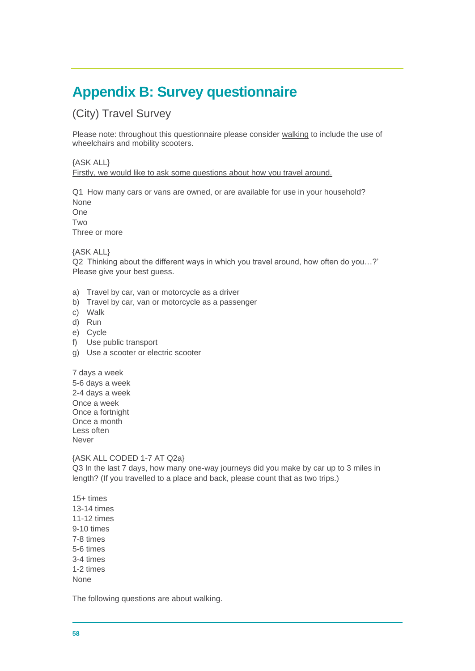# **Appendix B: Survey questionnaire**

(City) Travel Survey

Please note: throughout this questionnaire please consider walking to include the use of wheelchairs and mobility scooters.

# {ASK ALL} Firstly, we would like to ask some questions about how you travel around.

Q1 How many cars or vans are owned, or are available for use in your household? None

One **Two** 

Three or more

{ASK ALL}

Q2 Thinking about the different ways in which you travel around, how often do you…?' Please give your best guess.

- a) Travel by car, van or motorcycle as a driver
- b) Travel by car, van or motorcycle as a passenger
- c) Walk
- d) Run
- e) Cycle
- f) Use public transport
- g) Use a scooter or electric scooter

7 days a week 5-6 days a week 2-4 days a week Once a week Once a fortnight Once a month Less often Never

# {ASK ALL CODED 1-7 AT Q2a}

Q3 In the last 7 days, how many one-way journeys did you make by car up to 3 miles in length? (If you travelled to a place and back, please count that as two trips.)

15+ times 13-14 times 11-12 times 9-10 times 7-8 times 5-6 times 3-4 times 1-2 times None

The following questions are about walking.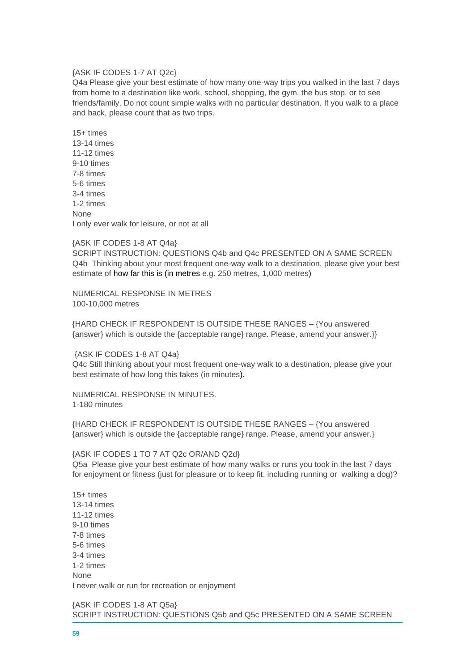#### {ASK IF CODES 1-7 AT Q2c}

Q4a Please give your best estimate of how many one-way trips you walked in the last 7 days from home to a destination like work, school, shopping, the gym, the bus stop, or to see friends/family. Do not count simple walks with no particular destination. If you walk to a place and back, please count that as two trips.

15+ times 13-14 times 11-12 times 9-10 times 7-8 times 5-6 times 3-4 times 1-2 times **None** I only ever walk for leisure, or not at all

#### {ASK IF CODES 1-8 AT Q4a}

SCRIPT INSTRUCTION: QUESTIONS Q4b and Q4c PRESENTED ON A SAME SCREEN Q4b Thinking about your most frequent one-way walk to a destination, please give your best estimate of how far this is (in metres e.g. 250 metres, 1,000 metres)

NUMERICAL RESPONSE IN METRES 100-10,000 metres

{HARD CHECK IF RESPONDENT IS OUTSIDE THESE RANGES – {You answered {answer} which is outside the {acceptable range} range. Please, amend your answer.}}

{ASK IF CODES 1-8 AT Q4a}

Q4c Still thinking about your most frequent one-way walk to a destination, please give your best estimate of how long this takes (in minutes).

NUMERICAL RESPONSE IN MINUTES. 1-180 minutes

{HARD CHECK IF RESPONDENT IS OUTSIDE THESE RANGES – {You answered {answer} which is outside the {acceptable range} range. Please, amend your answer.}

#### {ASK IF CODES 1 TO 7 AT Q2c OR/AND Q2d}

Q5a Please give your best estimate of how many walks or runs you took in the last 7 days for enjoyment or fitness (just for pleasure or to keep fit, including running or walking a dog)?

15+ times 13-14 times 11-12 times 9-10 times 7-8 times 5-6 times 3-4 times 1-2 times None I never walk or run for recreation or enjoyment

{ASK IF CODES 1-8 AT Q5a} SCRIPT INSTRUCTION: QUESTIONS Q5b and Q5c PRESENTED ON A SAME SCREEN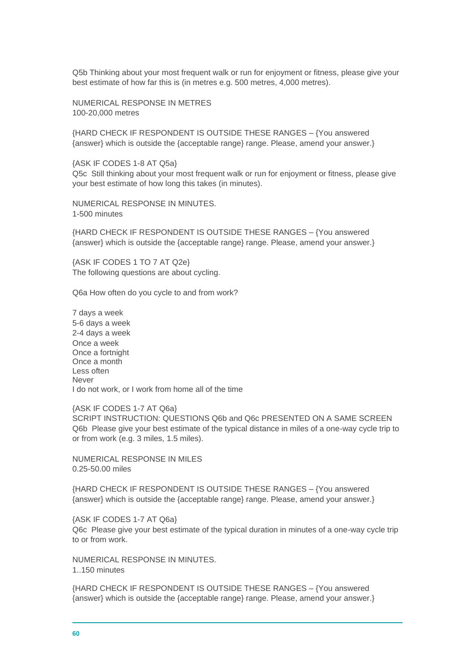Q5b Thinking about your most frequent walk or run for enjoyment or fitness, please give your best estimate of how far this is (in metres e.g. 500 metres, 4,000 metres).

NUMERICAL RESPONSE IN METRES 100-20,000 metres

{HARD CHECK IF RESPONDENT IS OUTSIDE THESE RANGES – {You answered {answer} which is outside the {acceptable range} range. Please, amend your answer.}

{ASK IF CODES 1-8 AT Q5a} Q5c Still thinking about your most frequent walk or run for enjoyment or fitness, please give your best estimate of how long this takes (in minutes).

NUMERICAL RESPONSE IN MINUTES. 1-500 minutes

{HARD CHECK IF RESPONDENT IS OUTSIDE THESE RANGES – {You answered {answer} which is outside the {acceptable range} range. Please, amend your answer.}

{ASK IF CODES 1 TO 7 AT Q2e} The following questions are about cycling.

Q6a How often do you cycle to and from work?

7 days a week 5-6 days a week 2-4 days a week Once a week Once a fortnight Once a month Less often Never I do not work, or I work from home all of the time

#### {ASK IF CODES 1-7 AT Q6a}

SCRIPT INSTRUCTION: QUESTIONS Q6b and Q6c PRESENTED ON A SAME SCREEN Q6b Please give your best estimate of the typical distance in miles of a one-way cycle trip to or from work (e.g. 3 miles, 1.5 miles).

NUMERICAL RESPONSE IN MILES 0.25-50.00 miles

{HARD CHECK IF RESPONDENT IS OUTSIDE THESE RANGES – {You answered {answer} which is outside the {acceptable range} range. Please, amend your answer.}

{ASK IF CODES 1-7 AT Q6a} Q6c Please give your best estimate of the typical duration in minutes of a one-way cycle trip to or from work.

NUMERICAL RESPONSE IN MINUTES. 1..150 minutes

{HARD CHECK IF RESPONDENT IS OUTSIDE THESE RANGES – {You answered {answer} which is outside the {acceptable range} range. Please, amend your answer.}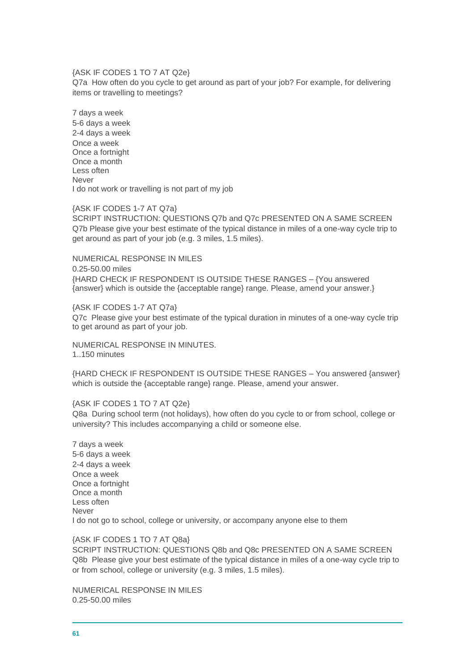## {ASK IF CODES 1 TO 7 AT Q2e}

Q7a How often do you cycle to get around as part of your job? For example, for delivering items or travelling to meetings?

7 days a week 5-6 days a week 2-4 days a week Once a week Once a fortnight Once a month Less often Never I do not work or travelling is not part of my job

#### {ASK IF CODES 1-7 AT Q7a}

SCRIPT INSTRUCTION: QUESTIONS Q7b and Q7c PRESENTED ON A SAME SCREEN Q7b Please give your best estimate of the typical distance in miles of a one-way cycle trip to get around as part of your job (e.g. 3 miles, 1.5 miles).

NUMERICAL RESPONSE IN MILES 0.25-50.00 miles {HARD CHECK IF RESPONDENT IS OUTSIDE THESE RANGES – {You answered {answer} which is outside the {acceptable range} range. Please, amend your answer.}

{ASK IF CODES 1-7 AT Q7a} Q7c Please give your best estimate of the typical duration in minutes of a one-way cycle trip to get around as part of your job.

NUMERICAL RESPONSE IN MINUTES. 1..150 minutes

{HARD CHECK IF RESPONDENT IS OUTSIDE THESE RANGES – You answered {answer} which is outside the {acceptable range} range. Please, amend your answer.

{ASK IF CODES 1 TO 7 AT Q2e}

Q8a During school term (not holidays), how often do you cycle to or from school, college or university? This includes accompanying a child or someone else.

7 days a week 5-6 days a week 2-4 days a week Once a week Once a fortnight Once a month Less often Never I do not go to school, college or university, or accompany anyone else to them

{ASK IF CODES 1 TO 7 AT Q8a}

SCRIPT INSTRUCTION: QUESTIONS Q8b and Q8c PRESENTED ON A SAME SCREEN Q8b Please give your best estimate of the typical distance in miles of a one-way cycle trip to or from school, college or university (e.g. 3 miles, 1.5 miles).

NUMERICAL RESPONSE IN MILES 0.25-50.00 miles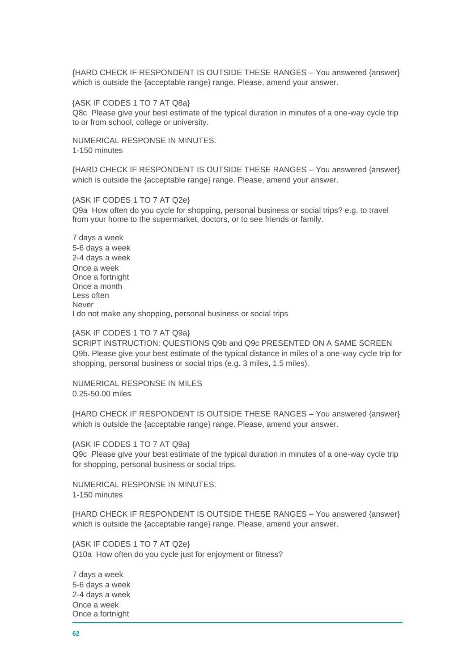{HARD CHECK IF RESPONDENT IS OUTSIDE THESE RANGES – You answered {answer} which is outside the {acceptable range} range. Please, amend your answer.

{ASK IF CODES 1 TO 7 AT Q8a}

Q8c Please give your best estimate of the typical duration in minutes of a one-way cycle trip to or from school, college or university.

NUMERICAL RESPONSE IN MINUTES. 1-150 minutes

{HARD CHECK IF RESPONDENT IS OUTSIDE THESE RANGES – You answered {answer} which is outside the {acceptable range} range. Please, amend your answer.

{ASK IF CODES 1 TO 7 AT Q2e} Q9a How often do you cycle for shopping, personal business or social trips? e.g. to travel from your home to the supermarket, doctors, or to see friends or family.

7 days a week 5-6 days a week 2-4 days a week Once a week Once a fortnight Once a month Less often Never I do not make any shopping, personal business or social trips

{ASK IF CODES 1 TO 7 AT Q9a}

SCRIPT INSTRUCTION: QUESTIONS Q9b and Q9c PRESENTED ON A SAME SCREEN Q9b. Please give your best estimate of the typical distance in miles of a one-way cycle trip for shopping, personal business or social trips (e.g. 3 miles, 1.5 miles).

NUMERICAL RESPONSE IN MILES 0.25-50.00 miles

{HARD CHECK IF RESPONDENT IS OUTSIDE THESE RANGES – You answered {answer} which is outside the {acceptable range} range. Please, amend your answer.

{ASK IF CODES 1 TO 7 AT Q9a}

Q9c Please give your best estimate of the typical duration in minutes of a one-way cycle trip for shopping, personal business or social trips.

NUMERICAL RESPONSE IN MINUTES. 1-150 minutes

{HARD CHECK IF RESPONDENT IS OUTSIDE THESE RANGES – You answered {answer} which is outside the {acceptable range} range. Please, amend your answer.

{ASK IF CODES 1 TO 7 AT Q2e} Q10a How often do you cycle just for enjoyment or fitness?

7 days a week 5-6 days a week 2-4 days a week Once a week Once a fortnight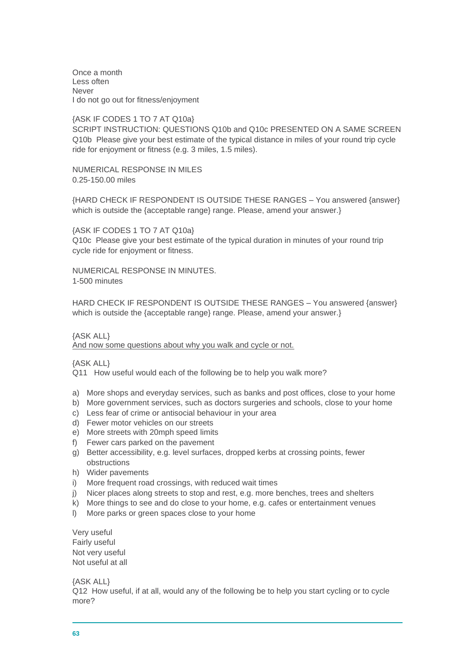Once a month Less often Never I do not go out for fitness/enjoyment

{ASK IF CODES 1 TO 7 AT Q10a} SCRIPT INSTRUCTION: QUESTIONS Q10b and Q10c PRESENTED ON A SAME SCREEN Q10b Please give your best estimate of the typical distance in miles of your round trip cycle ride for enjoyment or fitness (e.g. 3 miles, 1.5 miles).

NUMERICAL RESPONSE IN MILES 0.25-150.00 miles

{HARD CHECK IF RESPONDENT IS OUTSIDE THESE RANGES – You answered {answer} which is outside the {acceptable range} range. Please, amend your answer.}

{ASK IF CODES 1 TO 7 AT Q10a} Q10c Please give your best estimate of the typical duration in minutes of your round trip cycle ride for enjoyment or fitness.

NUMERICAL RESPONSE IN MINUTES. 1-500 minutes

HARD CHECK IF RESPONDENT IS OUTSIDE THESE RANGES – You answered {answer} which is outside the {acceptable range} range. Please, amend your answer.}

# {ASK ALL}

And now some questions about why you walk and cycle or not.

{ASK ALL}

Q11 How useful would each of the following be to help you walk more?

- a) More shops and everyday services, such as banks and post offices, close to your home
- b) More government services, such as doctors surgeries and schools, close to your home
- c) Less fear of crime or antisocial behaviour in your area
- d) Fewer motor vehicles on our streets
- e) More streets with 20mph speed limits
- f) Fewer cars parked on the pavement
- g) Better accessibility, e.g. level surfaces, dropped kerbs at crossing points, fewer obstructions
- h) Wider pavements
- i) More frequent road crossings, with reduced wait times
- j) Nicer places along streets to stop and rest, e.g. more benches, trees and shelters
- k) More things to see and do close to your home, e.g. cafes or entertainment venues
- l) More parks or green spaces close to your home

Very useful Fairly useful Not very useful Not useful at all

{ASK ALL}

Q12 How useful, if at all, would any of the following be to help you start cycling or to cycle more?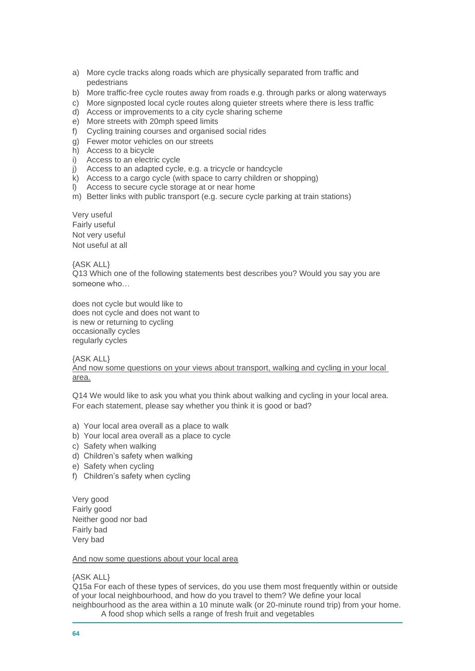- a) More cycle tracks along roads which are physically separated from traffic and pedestrians
- b) More traffic-free cycle routes away from roads e.g. through parks or along waterways
- c) More signposted local cycle routes along quieter streets where there is less traffic
- d) Access or improvements to a city cycle sharing scheme
- e) More streets with 20mph speed limits
- f) Cycling training courses and organised social rides
- g) Fewer motor vehicles on our streets
- h) Access to a bicycle
- i) Access to an electric cycle
- j) Access to an adapted cycle, e.g. a tricycle or handcycle
- k) Access to a cargo cycle (with space to carry children or shopping)
- l) Access to secure cycle storage at or near home
- m) Better links with public transport (e.g. secure cycle parking at train stations)

Very useful Fairly useful Not very useful Not useful at all

{ASK ALL}

Q13 Which one of the following statements best describes you? Would you say you are someone who…

does not cycle but would like to does not cycle and does not want to is new or returning to cycling occasionally cycles regularly cycles

{ASK ALL}

And now some questions on your views about transport, walking and cycling in your local area.

Q14 We would like to ask you what you think about walking and cycling in your local area. For each statement, please say whether you think it is good or bad?

- a) Your local area overall as a place to walk
- b) Your local area overall as a place to cycle
- c) Safety when walking
- d) Children's safety when walking
- e) Safety when cycling
- f) Children's safety when cycling

Very good Fairly good Neither good nor bad Fairly bad Very bad

# And now some questions about your local area

# {ASK ALL}

Q15a For each of these types of services, do you use them most frequently within or outside of your local neighbourhood, and how do you travel to them? We define your local neighbourhood as the area within a 10 minute walk (or 20-minute round trip) from your home.

A food shop which sells a range of fresh fruit and vegetables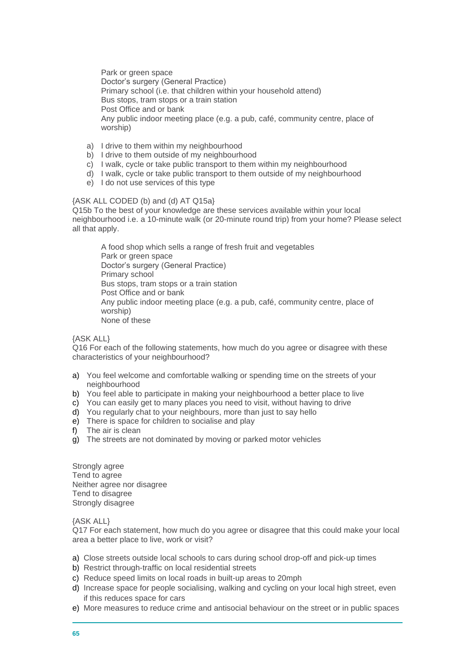Park or green space Doctor's surgery (General Practice) Primary school (i.e. that children within your household attend) Bus stops, tram stops or a train station Post Office and or bank Any public indoor meeting place (e.g. a pub, café, community centre, place of worship)

- a) I drive to them within my neighbourhood
- b) I drive to them outside of my neighbourhood
- c) I walk, cycle or take public transport to them within my neighbourhood
- d) I walk, cycle or take public transport to them outside of my neighbourhood
- e) I do not use services of this type

## {ASK ALL CODED (b) and (d) AT Q15a}

Q15b To the best of your knowledge are these services available within your local neighbourhood i.e. a 10-minute walk (or 20-minute round trip) from your home? Please select all that apply.

A food shop which sells a range of fresh fruit and vegetables Park or green space Doctor's surgery (General Practice) Primary school Bus stops, tram stops or a train station Post Office and or bank Any public indoor meeting place (e.g. a pub, café, community centre, place of worship) None of these

# {ASK ALL}

Q16 For each of the following statements, how much do you agree or disagree with these characteristics of your neighbourhood?

- a) You feel welcome and comfortable walking or spending time on the streets of your neighbourhood
- b) You feel able to participate in making your neighbourhood a better place to live
- c) You can easily get to many places you need to visit, without having to drive
- d) You regularly chat to your neighbours, more than just to say hello
- e) There is space for children to socialise and play
- f) The air is clean
- g) The streets are not dominated by moving or parked motor vehicles

Strongly agree Tend to agree Neither agree nor disagree Tend to disagree Strongly disagree

{ASK ALL}

Q17 For each statement, how much do you agree or disagree that this could make your local area a better place to live, work or visit?

- a) Close streets outside local schools to cars during school drop-off and pick-up times
- b) Restrict through-traffic on local residential streets
- c) Reduce speed limits on local roads in built-up areas to 20mph
- d) Increase space for people socialising, walking and cycling on your local high street, even if this reduces space for cars
- e) More measures to reduce crime and antisocial behaviour on the street or in public spaces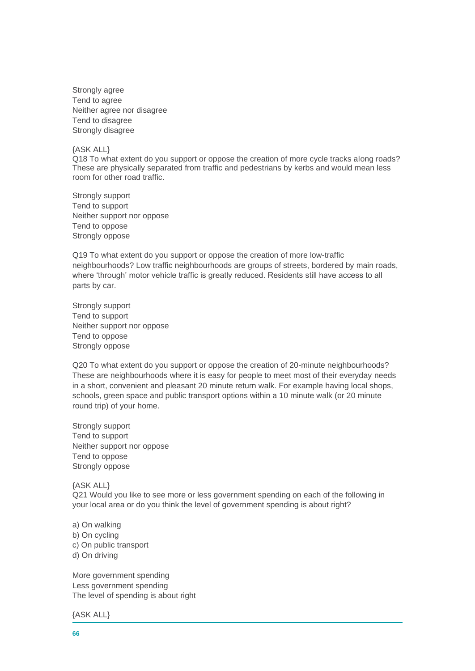Strongly agree Tend to agree Neither agree nor disagree Tend to disagree Strongly disagree

#### {ASK ALL}

Q18 To what extent do you support or oppose the creation of more cycle tracks along roads? These are physically separated from traffic and pedestrians by kerbs and would mean less room for other road traffic.

Strongly support Tend to support Neither support nor oppose Tend to oppose Strongly oppose

Q19 To what extent do you support or oppose the creation of more low-traffic neighbourhoods? Low traffic neighbourhoods are groups of streets, bordered by main roads, where 'through' motor vehicle traffic is greatly reduced. Residents still have access to all parts by car.

Strongly support Tend to support Neither support nor oppose Tend to oppose Strongly oppose

Q20 To what extent do you support or oppose the creation of 20-minute neighbourhoods? These are neighbourhoods where it is easy for people to meet most of their everyday needs in a short, convenient and pleasant 20 minute return walk. For example having local shops, schools, green space and public transport options within a 10 minute walk (or 20 minute round trip) of your home.

Strongly support Tend to support Neither support nor oppose Tend to oppose Strongly oppose

# {ASK ALL}

Q21 Would you like to see more or less government spending on each of the following in your local area or do you think the level of government spending is about right?

## a) On walking

- b) On cycling
- c) On public transport
- d) On driving

More government spending Less government spending The level of spending is about right

{ASK ALL}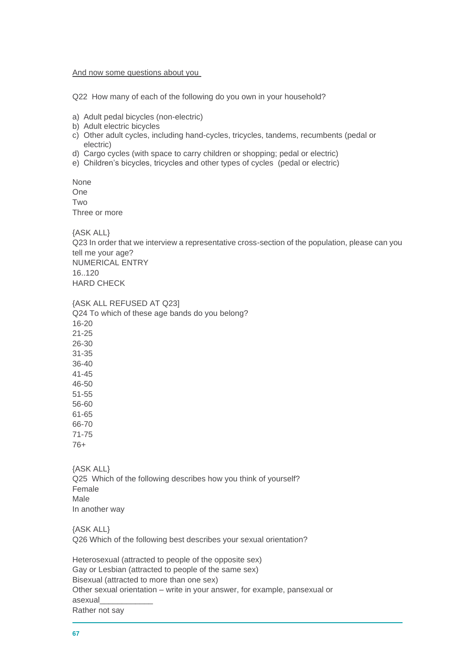#### And now some questions about you

Q22 How many of each of the following do you own in your household?

- a) Adult pedal bicycles (non-electric)
- b) Adult electric bicycles
- c) Other adult cycles, including hand-cycles, tricycles, tandems, recumbents (pedal or electric)
- d) Cargo cycles (with space to carry children or shopping; pedal or electric)
- e) Children's bicycles, tricycles and other types of cycles (pedal or electric)

None One Two Three or more

{ASK ALL}

Q23 In order that we interview a representative cross-section of the population, please can you tell me your age? NUMERICAL ENTRY 16.120 HARD CHECK

{ASK ALL REFUSED AT Q23] Q24 To which of these age bands do you belong? 16-20 21-25 26-30 31-35 36-40 41-45 46-50 51-55 56-60 61-65 66-70 71-75 76+

{ASK ALL} Q25 Which of the following describes how you think of yourself? Female Male In another way

{ASK ALL} Q26 Which of the following best describes your sexual orientation?

Heterosexual (attracted to people of the opposite sex) Gay or Lesbian (attracted to people of the same sex) Bisexual (attracted to more than one sex) Other sexual orientation – write in your answer, for example, pansexual or asexual\_\_\_\_\_\_\_\_\_\_\_\_ Rather not say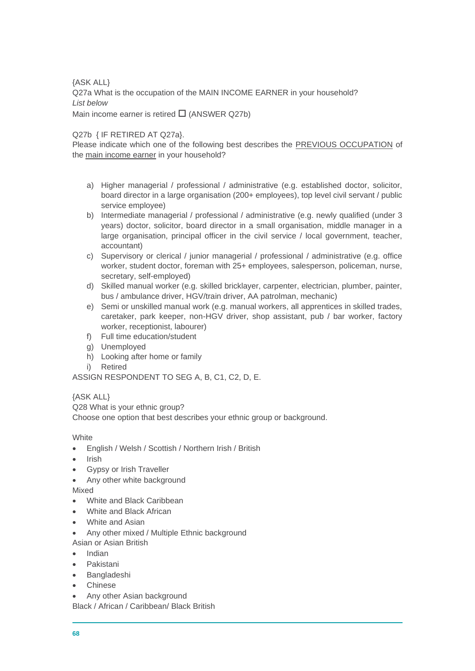{ASK ALL} Q27a What is the occupation of the MAIN INCOME EARNER in your household? *List below* Main income earner is retired  $\Box$  (ANSWER Q27b)

Q27b { IF RETIRED AT Q27a}.

Please indicate which one of the following best describes the PREVIOUS OCCUPATION of the main income earner in your household?

- a) Higher managerial / professional / administrative (e.g. established doctor, solicitor, board director in a large organisation (200+ employees), top level civil servant / public service employee)
- b) Intermediate managerial / professional / administrative (e.g. newly qualified (under 3 years) doctor, solicitor, board director in a small organisation, middle manager in a large organisation, principal officer in the civil service / local government, teacher, accountant)
- c) Supervisory or clerical / junior managerial / professional / administrative (e.g. office worker, student doctor, foreman with 25+ employees, salesperson, policeman, nurse, secretary, self-employed)
- d) Skilled manual worker (e.g. skilled bricklayer, carpenter, electrician, plumber, painter, bus / ambulance driver, HGV/train driver, AA patrolman, mechanic)
- e) Semi or unskilled manual work (e.g. manual workers, all apprentices in skilled trades, caretaker, park keeper, non-HGV driver, shop assistant, pub / bar worker, factory worker, receptionist, labourer)
- f) Full time education/student
- g) Unemployed
- h) Looking after home or family
- i) Retired

ASSIGN RESPONDENT TO SEG A, B, C1, C2, D, E.

{ASK ALL}

Q28 What is your ethnic group? Choose one option that best describes your ethnic group or background.

**White** 

- English / Welsh / Scottish / Northern Irish / British
- Irish
- Gypsy or Irish Traveller
- Any other white background

Mixed

- White and Black Caribbean
- White and Black African
- White and Asian
- Any other mixed / Multiple Ethnic background
- Asian or Asian British
- Indian
- **Pakistani**
- Bangladeshi
- Chinese
- Any other Asian background

Black / African / Caribbean/ Black British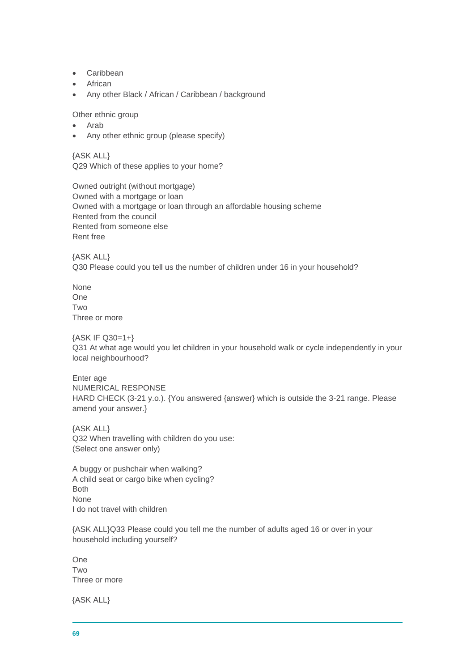- Caribbean
- African
- Any other Black / African / Caribbean / background

Other ethnic group

- Arab
- Any other ethnic group (please specify)

{ASK ALL} Q29 Which of these applies to your home?

Owned outright (without mortgage) Owned with a mortgage or loan Owned with a mortgage or loan through an affordable housing scheme Rented from the council Rented from someone else Rent free

{ASK ALL} Q30 Please could you tell us the number of children under 16 in your household?

None One **Two** Three or more

{ASK IF Q30=1+} Q31 At what age would you let children in your household walk or cycle independently in your local neighbourhood?

Enter age NUMERICAL RESPONSE HARD CHECK (3-21 y.o.). {You answered {answer} which is outside the 3-21 range. Please amend your answer.}

{ASK ALL} Q32 When travelling with children do you use: (Select one answer only)

A buggy or pushchair when walking? A child seat or cargo bike when cycling? Both None I do not travel with children

{ASK ALL}Q33 Please could you tell me the number of adults aged 16 or over in your household including yourself?

One Two Three or more

{ASK ALL}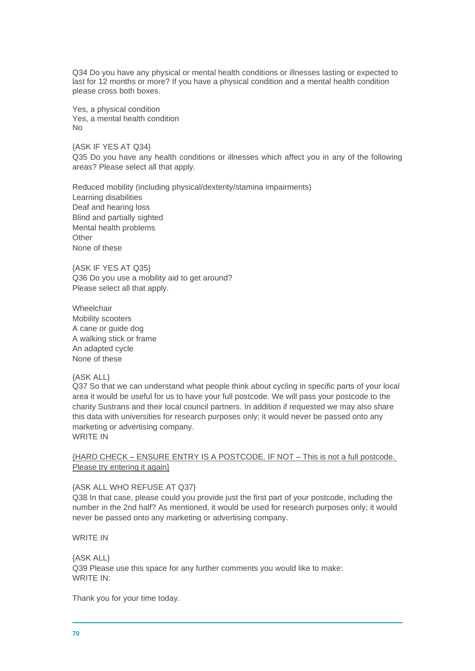Q34 Do you have any physical or mental health conditions or illnesses lasting or expected to last for 12 months or more? If you have a physical condition and a mental health condition please cross both boxes.

Yes, a physical condition Yes, a mental health condition No

{ASK IF YES AT Q34} Q35 Do you have any health conditions or illnesses which affect you in any of the following areas? Please select all that apply.

Reduced mobility (including physical/dexterity/stamina impairments) Learning disabilities Deaf and hearing loss Blind and partially sighted Mental health problems **Other** None of these

{ASK IF YES AT Q35} Q36 Do you use a mobility aid to get around? Please select all that apply.

Wheelchair Mobility scooters A cane or guide dog A walking stick or frame An adapted cycle None of these

# {ASK ALL}

Q37 So that we can understand what people think about cycling in specific parts of your local area it would be useful for us to have your full postcode. We will pass your postcode to the charity Sustrans and their local council partners. In addition if requested we may also share this data with universities for research purposes only; it would never be passed onto any marketing or advertising company. WRITE IN

{HARD CHECK – ENSURE ENTRY IS A POSTCODE. IF NOT – This is not a full postcode. Please try entering it again}

## {ASK ALL WHO REFUSE AT Q37}

Q38 In that case, please could you provide just the first part of your postcode, including the number in the 2nd half? As mentioned, it would be used for research purposes only; it would never be passed onto any marketing or advertising company.

WRITE IN

{ASK ALL} Q39 Please use this space for any further comments you would like to make: WRITE IN:

Thank you for your time today.